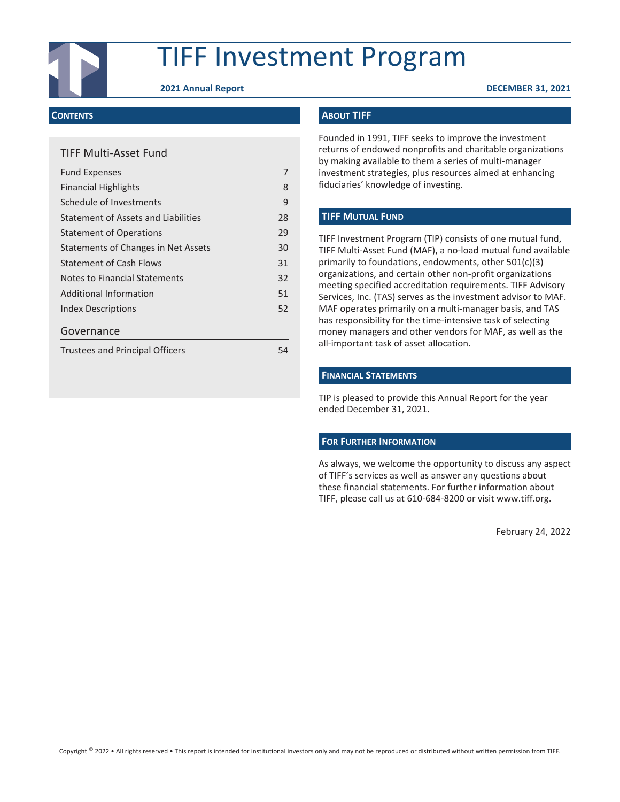

# TIFF Investment Program

**2021 Annual Report DECEMBER 31, 2021**

#### **CONTENTS**

# TIFF Multi-Asset Fund

| <b>Fund Expenses</b>                   |    |
|----------------------------------------|----|
| <b>Financial Highlights</b>            | 8  |
| Schedule of Investments                | 9  |
| Statement of Assets and Liabilities    | 28 |
| <b>Statement of Operations</b>         | 29 |
| Statements of Changes in Net Assets    | 30 |
| <b>Statement of Cash Flows</b>         | 31 |
| Notes to Financial Statements          | 32 |
| Additional Information                 | 51 |
| <b>Index Descriptions</b>              | 52 |
| Governance                             |    |
| <b>Trustees and Principal Officers</b> | 54 |

### **ABOUT TIFF**

Founded in 1991, TIFF seeks to improve the investment returns of endowed nonprofits and charitable organizations by making available to them a series of multi-manager investment strategies, plus resources aimed at enhancing fiduciaries' knowledge of investing.

#### **TIFF MUTUAL FUND**

TIFF Investment Program (TIP) consists of one mutual fund, TIFF Multi-Asset Fund (MAF), a no-load mutual fund available primarily to foundations, endowments, other 501(c)(3) organizations, and certain other non-profit organizations meeting specified accreditation requirements. TIFF Advisory Services, Inc. (TAS) serves as the investment advisor to MAF. MAF operates primarily on a multi-manager basis, and TAS has responsibility for the time-intensive task of selecting money managers and other vendors for MAF, as well as the all-important task of asset allocation.

#### **FINANCIAL STATEMENTS**

TIP is pleased to provide this Annual Report for the year ended December 31, 2021.

#### **FOR FURTHER INFORMATION**

As always, we welcome the opportunity to discuss any aspect of TIFF's services as well as answer any questions about these financial statements. For further information about TIFF, please call us at 610-684-8200 or visit www.tiff.org.

February 24, 2022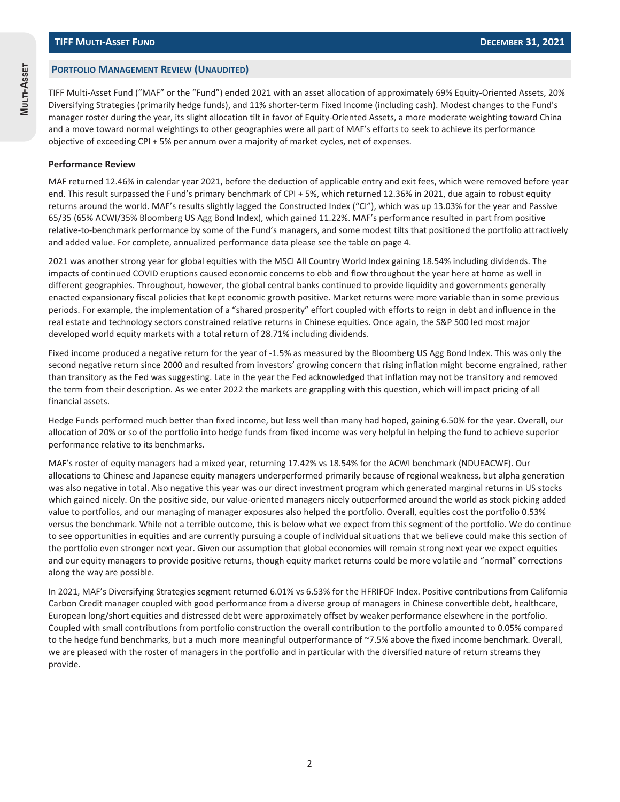#### **PORTFOLIO MANAGEMENT REVIEW (UNAUDITED)**

TIFF Multi-Asset Fund ("MAF" or the "Fund") ended 2021 with an asset allocation of approximately 69% Equity-Oriented Assets, 20% Diversifying Strategies (primarily hedge funds), and 11% shorter-term Fixed Income (including cash). Modest changes to the Fund's manager roster during the year, its slight allocation tilt in favor of Equity-Oriented Assets, a more moderate weighting toward China and a move toward normal weightings to other geographies were all part of MAF's efforts to seek to achieve its performance objective of exceeding CPI + 5% per annum over a majority of market cycles, net of expenses.

#### **Performance Review**

MAF returned 12.46% in calendar year 2021, before the deduction of applicable entry and exit fees, which were removed before year end. This result surpassed the Fund's primary benchmark of CPI + 5%, which returned 12.36% in 2021, due again to robust equity returns around the world. MAF's results slightly lagged the Constructed Index ("CI"), which was up 13.03% for the year and Passive 65/35 (65% ACWI/35% Bloomberg US Agg Bond Index), which gained 11.22%. MAF's performance resulted in part from positive relative-to-benchmark performance by some of the Fund's managers, and some modest tilts that positioned the portfolio attractively and added value. For complete, annualized performance data please see the table on page 4.

2021 was another strong year for global equities with the MSCI All Country World Index gaining 18.54% including dividends. The impacts of continued COVID eruptions caused economic concerns to ebb and flow throughout the year here at home as well in different geographies. Throughout, however, the global central banks continued to provide liquidity and governments generally enacted expansionary fiscal policies that kept economic growth positive. Market returns were more variable than in some previous periods. For example, the implementation of a "shared prosperity" effort coupled with efforts to reign in debt and influence in the real estate and technology sectors constrained relative returns in Chinese equities. Once again, the S&P 500 led most major developed world equity markets with a total return of 28.71% including dividends.

Fixed income produced a negative return for the year of -1.5% as measured by the Bloomberg US Agg Bond Index. This was only the second negative return since 2000 and resulted from investors' growing concern that rising inflation might become engrained, rather than transitory as the Fed was suggesting. Late in the year the Fed acknowledged that inflation may not be transitory and removed the term from their description. As we enter 2022 the markets are grappling with this question, which will impact pricing of all financial assets.

Hedge Funds performed much better than fixed income, but less well than many had hoped, gaining 6.50% for the year. Overall, our allocation of 20% or so of the portfolio into hedge funds from fixed income was very helpful in helping the fund to achieve superior performance relative to its benchmarks.

MAF's roster of equity managers had a mixed year, returning 17.42% vs 18.54% for the ACWI benchmark (NDUEACWF). Our allocations to Chinese and Japanese equity managers underperformed primarily because of regional weakness, but alpha generation was also negative in total. Also negative this year was our direct investment program which generated marginal returns in US stocks which gained nicely. On the positive side, our value-oriented managers nicely outperformed around the world as stock picking added value to portfolios, and our managing of manager exposures also helped the portfolio. Overall, equities cost the portfolio 0.53% versus the benchmark. While not a terrible outcome, this is below what we expect from this segment of the portfolio. We do continue to see opportunities in equities and are currently pursuing a couple of individual situations that we believe could make this section of the portfolio even stronger next year. Given our assumption that global economies will remain strong next year we expect equities and our equity managers to provide positive returns, though equity market returns could be more volatile and "normal" corrections along the way are possible.

In 2021, MAF's Diversifying Strategies segment returned 6.01% vs 6.53% for the HFRIFOF Index. Positive contributions from California Carbon Credit manager coupled with good performance from a diverse group of managers in Chinese convertible debt, healthcare, European long/short equities and distressed debt were approximately offset by weaker performance elsewhere in the portfolio. Coupled with small contributions from portfolio construction the overall contribution to the portfolio amounted to 0.05% compared to the hedge fund benchmarks, but a much more meaningful outperformance of ~7.5% above the fixed income benchmark. Overall, we are pleased with the roster of managers in the portfolio and in particular with the diversified nature of return streams they provide.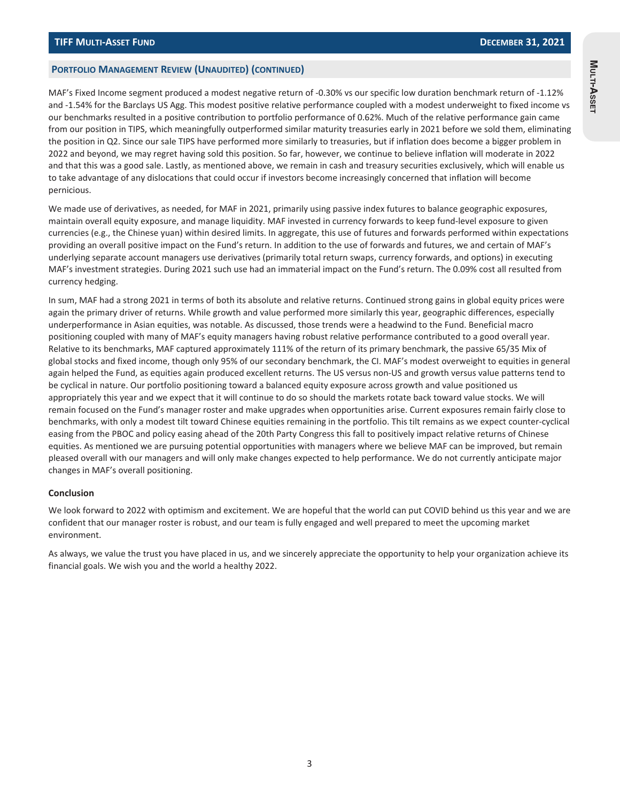#### **PORTFOLIO MANAGEMENT REVIEW (UNAUDITED) (CONTINUED)**

MAF's Fixed Income segment produced a modest negative return of -0.30% vs our specific low duration benchmark return of -1.12% and -1.54% for the Barclays US Agg. This modest positive relative performance coupled with a modest underweight to fixed income vs our benchmarks resulted in a positive contribution to portfolio performance of 0.62%. Much of the relative performance gain came from our position in TIPS, which meaningfully outperformed similar maturity treasuries early in 2021 before we sold them, eliminating the position in Q2. Since our sale TIPS have performed more similarly to treasuries, but if inflation does become a bigger problem in 2022 and beyond, we may regret having sold this position. So far, however, we continue to believe inflation will moderate in 2022 and that this was a good sale. Lastly, as mentioned above, we remain in cash and treasury securities exclusively, which will enable us to take advantage of any dislocations that could occur if investors become increasingly concerned that inflation will become pernicious.

We made use of derivatives, as needed, for MAF in 2021, primarily using passive index futures to balance geographic exposures, maintain overall equity exposure, and manage liquidity. MAF invested in currency forwards to keep fund-level exposure to given currencies (e.g., the Chinese yuan) within desired limits. In aggregate, this use of futures and forwards performed within expectations providing an overall positive impact on the Fund's return. In addition to the use of forwards and futures, we and certain of MAF's underlying separate account managers use derivatives (primarily total return swaps, currency forwards, and options) in executing MAF's investment strategies. During 2021 such use had an immaterial impact on the Fund's return. The 0.09% cost all resulted from currency hedging.

In sum, MAF had a strong 2021 in terms of both its absolute and relative returns. Continued strong gains in global equity prices were again the primary driver of returns. While growth and value performed more similarly this year, geographic differences, especially underperformance in Asian equities, was notable. As discussed, those trends were a headwind to the Fund. Beneficial macro positioning coupled with many of MAF's equity managers having robust relative performance contributed to a good overall year. Relative to its benchmarks, MAF captured approximately 111% of the return of its primary benchmark, the passive 65/35 Mix of global stocks and fixed income, though only 95% of our secondary benchmark, the CI. MAF's modest overweight to equities in general again helped the Fund, as equities again produced excellent returns. The US versus non-US and growth versus value patterns tend to be cyclical in nature. Our portfolio positioning toward a balanced equity exposure across growth and value positioned us appropriately this year and we expect that it will continue to do so should the markets rotate back toward value stocks. We will remain focused on the Fund's manager roster and make upgrades when opportunities arise. Current exposures remain fairly close to benchmarks, with only a modest tilt toward Chinese equities remaining in the portfolio. This tilt remains as we expect counter-cyclical easing from the PBOC and policy easing ahead of the 20th Party Congress this fall to positively impact relative returns of Chinese equities. As mentioned we are pursuing potential opportunities with managers where we believe MAF can be improved, but remain pleased overall with our managers and will only make changes expected to help performance. We do not currently anticipate major changes in MAF's overall positioning.

#### **Conclusion**

We look forward to 2022 with optimism and excitement. We are hopeful that the world can put COVID behind us this year and we are confident that our manager roster is robust, and our team is fully engaged and well prepared to meet the upcoming market environment.

As always, we value the trust you have placed in us, and we sincerely appreciate the opportunity to help your organization achieve its financial goals. We wish you and the world a healthy 2022.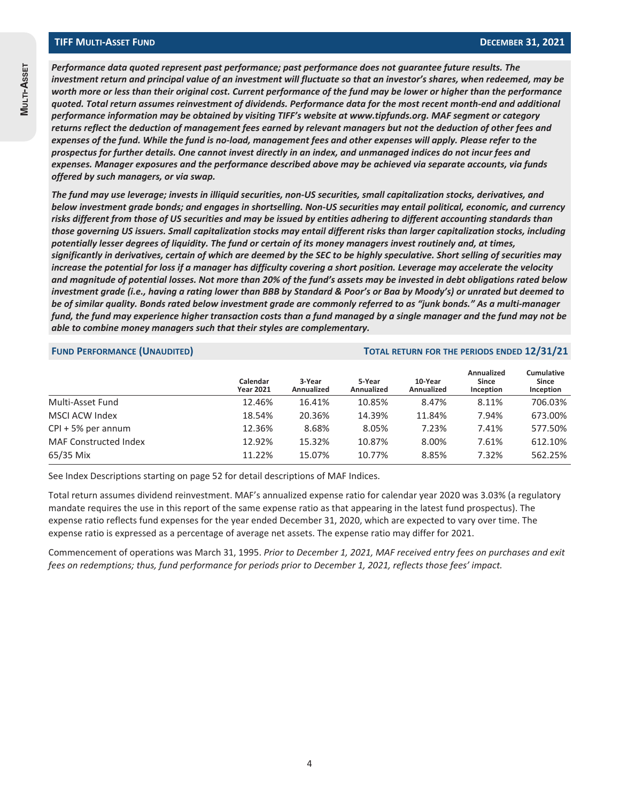*Performance data quoted represent past performance; past performance does not guarantee future results. The investment return and principal value of an investment will fluctuate so that an investor's shares, when redeemed, may be worth more or less than their original cost. Current performance of the fund may be lower or higher than the performance quoted. Total return assumes reinvestment of dividends. Performance data for the most recent month-end and additional performance information may be obtained by visiting TIFF's website at www.tipfunds.org. MAF segment or category returns reflect the deduction of management fees earned by relevant managers but not the deduction of other fees and expenses of the fund. While the fund is no-load, management fees and other expenses will apply. Please refer to the prospectus for further details. One cannot invest directly in an index, and unmanaged indices do not incur fees and expenses. Manager exposures and the performance described above may be achieved via separate accounts, via funds offered by such managers, or via swap.*

*The fund may use leverage; invests in illiquid securities, non-US securities, small capitalization stocks, derivatives, and below investment grade bonds; and engages in shortselling. Non-US securities may entail political, economic, and currency risks different from those of US securities and may be issued by entities adhering to different accounting standards than those governing US issuers. Small capitalization stocks may entail different risks than larger capitalization stocks, including potentially lesser degrees of liquidity. The fund or certain of its money managers invest routinely and, at times, significantly in derivatives, certain of which are deemed by the SEC to be highly speculative. Short selling of securities may increase the potential for loss if a manager has difficulty covering a short position. Leverage may accelerate the velocity and magnitude of potential losses. Not more than 20% of the fund's assets may be invested in debt obligations rated below investment grade (i.e., having a rating lower than BBB by Standard & Poor's or Baa by Moody's) or unrated but deemed to be of similar quality. Bonds rated below investment grade are commonly referred to as "junk bonds." As a multi-manager fund, the fund may experience higher transaction costs than a fund managed by a single manager and the fund may not be able to combine money managers such that their styles are complementary.*

#### **FUND PERFORMANCE (UNAUDITED) TOTAL RETURN FOR THE PERIODS ENDED 12/31/21**

|                              | Calendar<br><b>Year 2021</b> | 3-Year<br>Annualized | 5-Year<br>Annualized | 10-Year<br>Annualized | Annualized<br>Since<br>Inception | <b>Cumulative</b><br>Since<br>Inception |
|------------------------------|------------------------------|----------------------|----------------------|-----------------------|----------------------------------|-----------------------------------------|
| Multi-Asset Fund             | 12.46%                       | 16.41%               | 10.85%               | 8.47%                 | 8.11%                            | 706.03%                                 |
| MSCI ACW Index               | 18.54%                       | 20.36%               | 14.39%               | 11.84%                | 7.94%                            | 673.00%                                 |
| $CPI + 5%$ per annum         | 12.36%                       | 8.68%                | 8.05%                | 7.23%                 | 7.41%                            | 577.50%                                 |
| <b>MAF Constructed Index</b> | 12.92%                       | 15.32%               | 10.87%               | 8.00%                 | 7.61%                            | 612.10%                                 |
| 65/35 Mix                    | 11.22%                       | 15.07%               | 10.77%               | 8.85%                 | 7.32%                            | 562.25%                                 |

See Index Descriptions starting on page 52 for detail descriptions of MAF Indices.

Total return assumes dividend reinvestment. MAF's annualized expense ratio for calendar year 2020 was 3.03% (a regulatory mandate requires the use in this report of the same expense ratio as that appearing in the latest fund prospectus). The expense ratio reflects fund expenses for the year ended December 31, 2020, which are expected to vary over time. The expense ratio is expressed as a percentage of average net assets. The expense ratio may differ for 2021.

Commencement of operations was March 31, 1995. *Prior to December 1, 2021, MAF received entry fees on purchases and exit fees on redemptions; thus, fund performance for periods prior to December 1, 2021, reflects those fees' impact.*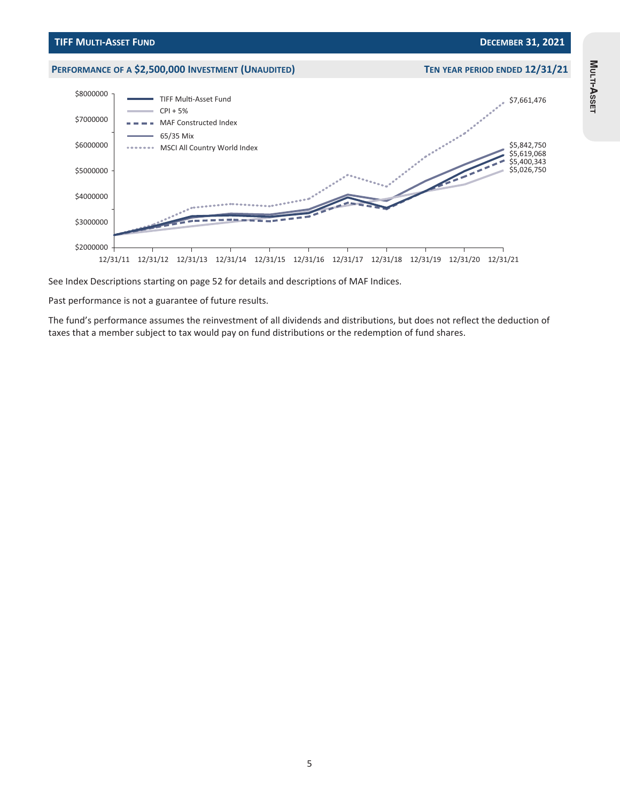

See Index Descriptions starting on page 52 for details and descriptions of MAF Indices.

Past performance is not a guarantee of future results.

The fund's performance assumes the reinvestment of all dividends and distributions, but does not reflect the deduction of taxes that a member subject to tax would pay on fund distributions or the redemption of fund shares.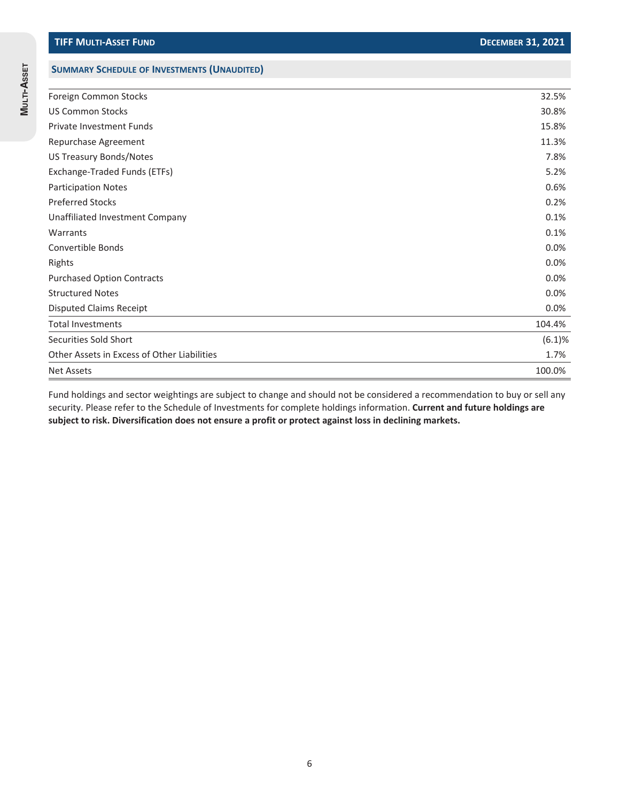**MULTI-ASSET**

MULTI-ASSET

# **SUMMARY SCHEDULE OF INVESTMENTS (UNAUDITED)**

| Foreign Common Stocks                       | 32.5%  |
|---------------------------------------------|--------|
| <b>US Common Stocks</b>                     | 30.8%  |
| Private Investment Funds                    | 15.8%  |
| Repurchase Agreement                        | 11.3%  |
| <b>US Treasury Bonds/Notes</b>              | 7.8%   |
| Exchange-Traded Funds (ETFs)                | 5.2%   |
| <b>Participation Notes</b>                  | 0.6%   |
| <b>Preferred Stocks</b>                     | 0.2%   |
| Unaffiliated Investment Company             | 0.1%   |
| Warrants                                    | 0.1%   |
| Convertible Bonds                           | 0.0%   |
| Rights                                      | 0.0%   |
| <b>Purchased Option Contracts</b>           | 0.0%   |
| <b>Structured Notes</b>                     | 0.0%   |
| <b>Disputed Claims Receipt</b>              | 0.0%   |
| <b>Total Investments</b>                    | 104.4% |
| Securities Sold Short                       | (6.1)% |
| Other Assets in Excess of Other Liabilities | 1.7%   |
| <b>Net Assets</b>                           | 100.0% |

Fund holdings and sector weightings are subject to change and should not be considered a recommendation to buy or sell any security. Please refer to the Schedule of Investments for complete holdings information. **Current and future holdings are subject to risk. Diversification does not ensure a profit or protect against loss in declining markets.**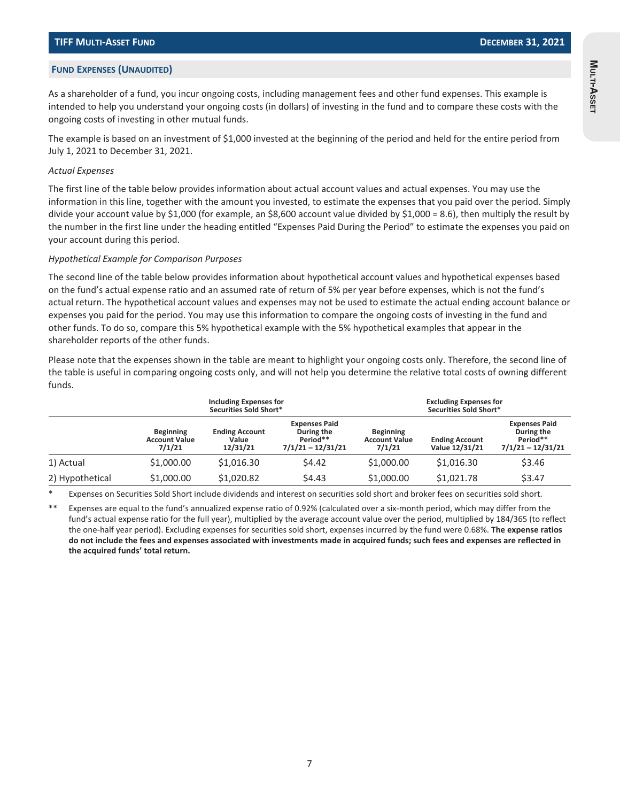**MULTI-ASSET**

Multi-Asset

#### **FUND EXPENSES (UNAUDITED)**

As a shareholder of a fund, you incur ongoing costs, including management fees and other fund expenses. This example is intended to help you understand your ongoing costs (in dollars) of investing in the fund and to compare these costs with the ongoing costs of investing in other mutual funds.

The example is based on an investment of \$1,000 invested at the beginning of the period and held for the entire period from July 1, 2021 to December 31, 2021.

#### *Actual Expenses*

The first line of the table below provides information about actual account values and actual expenses. You may use the information in this line, together with the amount you invested, to estimate the expenses that you paid over the period. Simply divide your account value by \$1,000 (for example, an \$8,600 account value divided by \$1,000 = 8.6), then multiply the result by the number in the first line under the heading entitled "Expenses Paid During the Period" to estimate the expenses you paid on your account during this period.

#### *Hypothetical Example for Comparison Purposes*

The second line of the table below provides information about hypothetical account values and hypothetical expenses based on the fund's actual expense ratio and an assumed rate of return of 5% per year before expenses, which is not the fund's actual return. The hypothetical account values and expenses may not be used to estimate the actual ending account balance or expenses you paid for the period. You may use this information to compare the ongoing costs of investing in the fund and other funds. To do so, compare this 5% hypothetical example with the 5% hypothetical examples that appear in the shareholder reports of the other funds.

Please note that the expenses shown in the table are meant to highlight your ongoing costs only. Therefore, the second line of the table is useful in comparing ongoing costs only, and will not help you determine the relative total costs of owning different funds.

|                 |                                                    | Including Expenses for<br>Securities Sold Short* |                                                                       |                                                    | <b>Excluding Expenses for</b><br>Securities Sold Short* |                                                                       |
|-----------------|----------------------------------------------------|--------------------------------------------------|-----------------------------------------------------------------------|----------------------------------------------------|---------------------------------------------------------|-----------------------------------------------------------------------|
|                 | <b>Beginning</b><br><b>Account Value</b><br>7/1/21 | <b>Ending Account</b><br>Value<br>12/31/21       | <b>Expenses Paid</b><br>During the<br>Period**<br>$7/1/21 - 12/31/21$ | <b>Beginning</b><br><b>Account Value</b><br>7/1/21 | <b>Ending Account</b><br>Value 12/31/21                 | <b>Expenses Paid</b><br>During the<br>Period**<br>$7/1/21 - 12/31/21$ |
| 1) Actual       | \$1,000.00                                         | \$1,016.30                                       | \$4.42                                                                | \$1,000.00                                         | \$1,016.30                                              | \$3.46                                                                |
| 2) Hypothetical | \$1,000.00                                         | \$1,020.82                                       | \$4.43                                                                | \$1,000.00                                         | \$1,021.78                                              | \$3.47                                                                |

Expenses on Securities Sold Short include dividends and interest on securities sold short and broker fees on securities sold short.

Expenses are equal to the fund's annualized expense ratio of 0.92% (calculated over a six-month period, which may differ from the fund's actual expense ratio for the full year), multiplied by the average account value over the period, multiplied by 184/365 (to reflect the one-half year period). Excluding expenses for securities sold short, expenses incurred by the fund were 0.68%. **The expense ratios do not include the fees and expenses associated with investments made in acquired funds; such fees and expenses are reflected in the acquired funds' total return.**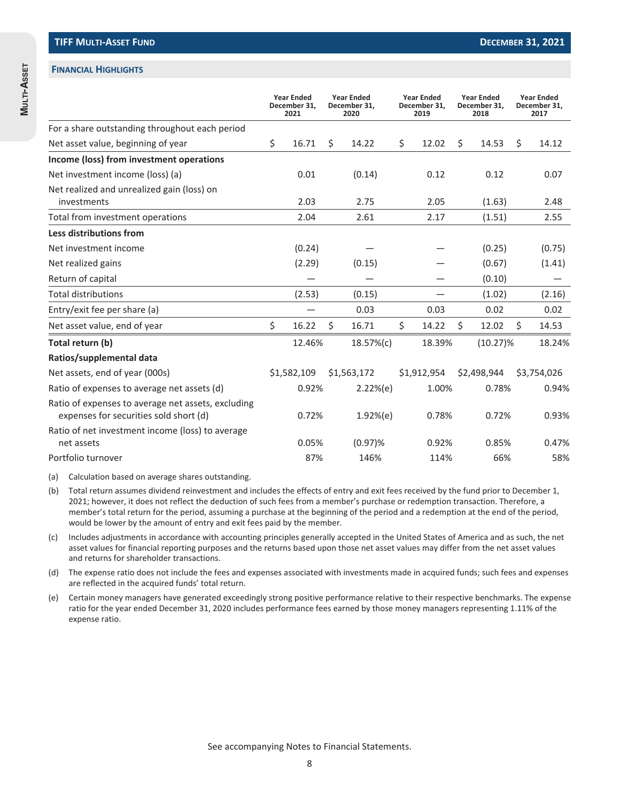#### **FINANCIAL HIGHLIGHTS**

|                                                                                              |     | <b>Year Ended</b><br>December 31,<br>2021 | <b>Year Ended</b><br>December 31,<br>2020 | <b>Year Ended</b><br>December 31,<br>2019 | <b>Year Ended</b><br>December 31,<br>2018 | <b>Year Ended</b><br>December 31,<br>2017 |
|----------------------------------------------------------------------------------------------|-----|-------------------------------------------|-------------------------------------------|-------------------------------------------|-------------------------------------------|-------------------------------------------|
| For a share outstanding throughout each period                                               |     |                                           |                                           |                                           |                                           |                                           |
| Net asset value, beginning of year                                                           | \$. | 16.71                                     | \$<br>14.22                               | \$<br>12.02                               | \$<br>14.53                               | \$<br>14.12                               |
| Income (loss) from investment operations                                                     |     |                                           |                                           |                                           |                                           |                                           |
| Net investment income (loss) (a)                                                             |     | 0.01                                      | (0.14)                                    | 0.12                                      | 0.12                                      | 0.07                                      |
| Net realized and unrealized gain (loss) on<br>investments                                    |     | 2.03                                      | 2.75                                      | 2.05                                      | (1.63)                                    | 2.48                                      |
| Total from investment operations                                                             |     | 2.04                                      | 2.61                                      | 2.17                                      | (1.51)                                    | 2.55                                      |
| Less distributions from                                                                      |     |                                           |                                           |                                           |                                           |                                           |
| Net investment income                                                                        |     | (0.24)                                    |                                           |                                           | (0.25)                                    | (0.75)                                    |
| Net realized gains                                                                           |     | (2.29)                                    | (0.15)                                    |                                           | (0.67)                                    | (1.41)                                    |
| Return of capital                                                                            |     |                                           |                                           |                                           | (0.10)                                    |                                           |
| <b>Total distributions</b>                                                                   |     | (2.53)                                    | (0.15)                                    |                                           | (1.02)                                    | (2.16)                                    |
| Entry/exit fee per share (a)                                                                 |     |                                           | 0.03                                      | 0.03                                      | 0.02                                      | 0.02                                      |
| Net asset value, end of year                                                                 | \$  | 16.22                                     | \$<br>16.71                               | \$<br>14.22                               | \$<br>12.02                               | \$<br>14.53                               |
| Total return (b)                                                                             |     | 12.46%                                    | 18.57%(c)                                 | 18.39%                                    | $(10.27)\%$                               | 18.24%                                    |
| Ratios/supplemental data                                                                     |     |                                           |                                           |                                           |                                           |                                           |
| Net assets, end of year (000s)                                                               |     | \$1,582,109                               | \$1,563,172                               | \$1,912,954                               | \$2,498,944                               | \$3,754,026                               |
| Ratio of expenses to average net assets (d)                                                  |     | 0.92%                                     | 2.22%(e)                                  | 1.00%                                     | 0.78%                                     | 0.94%                                     |
| Ratio of expenses to average net assets, excluding<br>expenses for securities sold short (d) |     | 0.72%                                     | 1.92%(e)                                  | 0.78%                                     | 0.72%                                     | 0.93%                                     |
| Ratio of net investment income (loss) to average<br>net assets                               |     | 0.05%                                     | $(0.97)\%$                                | 0.92%                                     | 0.85%                                     | 0.47%                                     |
| Portfolio turnover                                                                           |     | 87%                                       | 146%                                      | 114%                                      | 66%                                       | 58%                                       |

(a) Calculation based on average shares outstanding.

(b) Total return assumes dividend reinvestment and includes the effects of entry and exit fees received by the fund prior to December 1, 2021; however, it does not reflect the deduction of such fees from a member's purchase or redemption transaction. Therefore, a member's total return for the period, assuming a purchase at the beginning of the period and a redemption at the end of the period, would be lower by the amount of entry and exit fees paid by the member.

(c) Includes adjustments in accordance with accounting principles generally accepted in the United States of America and as such, the net asset values for financial reporting purposes and the returns based upon those net asset values may differ from the net asset values and returns for shareholder transactions.

(d) The expense ratio does not include the fees and expenses associated with investments made in acquired funds; such fees and expenses are reflected in the acquired funds' total return.

(e) Certain money managers have generated exceedingly strong positive performance relative to their respective benchmarks. The expense ratio for the year ended December 31, 2020 includes performance fees earned by those money managers representing 1.11% of the expense ratio.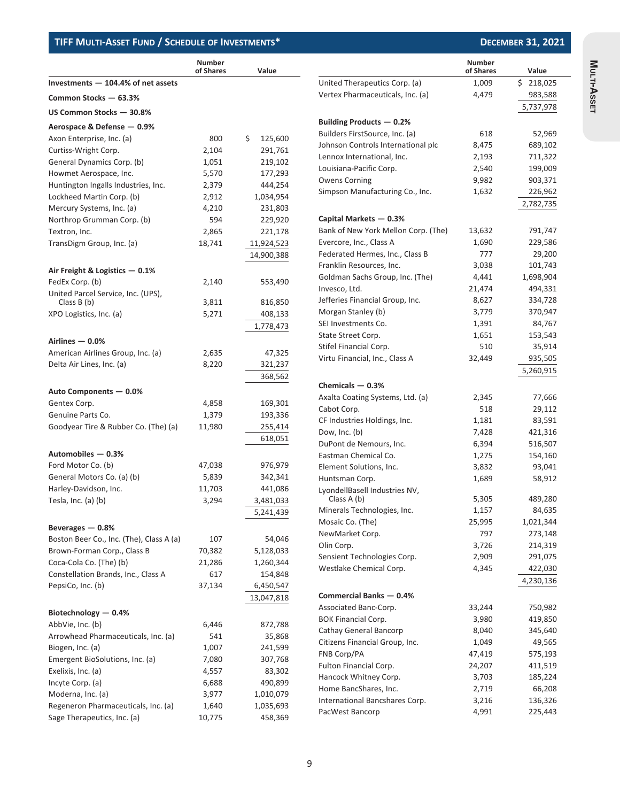### **TIFF MULTI-ASSET FUND / SCHEDULE OF INVESTMENTS\***

| <b>DECEMBER 31, 2021</b> |  |  |  |
|--------------------------|--|--|--|
|--------------------------|--|--|--|

|                                                    | <b>Number</b><br>of Shares | Value         |                                              | <b>Number</b><br>of Shares | Value     |
|----------------------------------------------------|----------------------------|---------------|----------------------------------------------|----------------------------|-----------|
| Investments $-104.4%$ of net assets                |                            |               | United Therapeutics Corp. (a)                | 1,009                      | \$218,025 |
| Common Stocks - 63.3%                              |                            |               | Vertex Pharmaceuticals, Inc. (a)             | 4,479                      | 983,588   |
| US Common Stocks - 30.8%                           |                            |               |                                              |                            | 5,737,978 |
| Aerospace & Defense - 0.9%                         |                            |               | Building Products - 0.2%                     |                            |           |
| Axon Enterprise, Inc. (a)                          | 800                        | \$<br>125,600 | Builders FirstSource, Inc. (a)               | 618                        | 52,969    |
| Curtiss-Wright Corp.                               | 2,104                      | 291,761       | Johnson Controls International plc           | 8,475                      | 689,102   |
| General Dynamics Corp. (b)                         | 1,051                      | 219,102       | Lennox International, Inc.                   | 2,193                      | 711,322   |
| Howmet Aerospace, Inc.                             | 5,570                      | 177,293       | Louisiana-Pacific Corp.                      | 2,540                      | 199,009   |
| Huntington Ingalls Industries, Inc.                | 2,379                      | 444,254       | <b>Owens Corning</b>                         | 9,982                      | 903,371   |
| Lockheed Martin Corp. (b)                          | 2,912                      | 1,034,954     | Simpson Manufacturing Co., Inc.              | 1,632                      | 226,962   |
| Mercury Systems, Inc. (a)                          | 4,210                      | 231,803       |                                              |                            | 2,782,735 |
| Northrop Grumman Corp. (b)                         | 594                        | 229,920       | Capital Markets - 0.3%                       |                            |           |
| Textron, Inc.                                      | 2,865                      | 221,178       | Bank of New York Mellon Corp. (The)          | 13,632                     | 791,747   |
| TransDigm Group, Inc. (a)                          | 18,741                     | 11,924,523    | Evercore, Inc., Class A                      | 1,690                      | 229,586   |
|                                                    |                            | 14,900,388    | Federated Hermes, Inc., Class B              | 777                        | 29,200    |
|                                                    |                            |               | Franklin Resources, Inc.                     | 3,038                      | 101,743   |
| Air Freight & Logistics - 0.1%                     |                            |               | Goldman Sachs Group, Inc. (The)              | 4,441                      | 1,698,904 |
| FedEx Corp. (b)                                    | 2,140                      | 553,490       | Invesco, Ltd.                                | 21,474                     | 494,331   |
| United Parcel Service, Inc. (UPS),<br>Class $B(b)$ | 3,811                      | 816,850       | Jefferies Financial Group, Inc.              | 8,627                      | 334,728   |
| XPO Logistics, Inc. (a)                            | 5,271                      | 408,133       | Morgan Stanley (b)                           | 3,779                      | 370,947   |
|                                                    |                            | 1,778,473     | SEI Investments Co.                          | 1,391                      | 84,767    |
|                                                    |                            |               | State Street Corp.                           | 1,651                      | 153,543   |
| Airlines $-0.0%$                                   |                            |               | Stifel Financial Corp.                       | 510                        | 35,914    |
| American Airlines Group, Inc. (a)                  | 2,635                      | 47,325        | Virtu Financial, Inc., Class A               | 32,449                     | 935,505   |
| Delta Air Lines, Inc. (a)                          | 8,220                      | 321,237       |                                              |                            | 5,260,915 |
|                                                    |                            | 368,562       |                                              |                            |           |
| Auto Components - 0.0%                             |                            |               | Chemicals $-0.3%$                            |                            |           |
| Gentex Corp.                                       | 4,858                      | 169,301       | Axalta Coating Systems, Ltd. (a)             | 2,345                      | 77,666    |
| Genuine Parts Co.                                  | 1,379                      | 193,336       | Cabot Corp.                                  | 518                        | 29,112    |
| Goodyear Tire & Rubber Co. (The) (a)               | 11,980                     | 255,414       | CF Industries Holdings, Inc.                 | 1,181                      | 83,591    |
|                                                    |                            | 618,051       | Dow, Inc. (b)                                | 7,428                      | 421,316   |
| Automobiles - 0.3%                                 |                            |               | DuPont de Nemours, Inc.                      | 6,394                      | 516,507   |
| Ford Motor Co. (b)                                 | 47,038                     | 976,979       | Eastman Chemical Co.                         | 1,275                      | 154,160   |
| General Motors Co. (a) (b)                         | 5,839                      | 342,341       | Element Solutions, Inc.                      | 3,832                      | 93,041    |
| Harley-Davidson, Inc.                              | 11,703                     | 441,086       | Huntsman Corp.                               | 1,689                      | 58,912    |
| Tesla, Inc. (a) (b)                                | 3,294                      | 3,481,033     | LyondellBasell Industries NV,<br>Class A (b) | 5,305                      | 489,280   |
|                                                    |                            |               | Minerals Technologies, Inc.                  | 1,157                      | 84,635    |
|                                                    |                            | 5,241,439     | Mosaic Co. (The)                             | 25,995                     | 1,021,344 |
| Beverages $-0.8%$                                  |                            |               | NewMarket Corp.                              | 797                        | 273,148   |
| Boston Beer Co., Inc. (The), Class A (a)           | 107                        | 54,046        | Olin Corp.                                   | 3,726                      | 214,319   |
| Brown-Forman Corp., Class B                        | 70,382                     | 5,128,033     | Sensient Technologies Corp.                  | 2,909                      | 291,075   |
| Coca-Cola Co. (The) (b)                            | 21,286                     | 1,260,344     | Westlake Chemical Corp.                      | 4,345                      | 422,030   |
| Constellation Brands, Inc., Class A                | 617                        | 154,848       |                                              |                            | 4,230,136 |
| PepsiCo, Inc. (b)                                  | 37,134                     | 6,450,547     |                                              |                            |           |
|                                                    |                            | 13,047,818    | Commercial Banks - 0.4%                      |                            |           |
| Biotechnology - 0.4%                               |                            |               | Associated Banc-Corp.                        | 33,244                     | 750,982   |
| AbbVie, Inc. (b)                                   | 6,446                      | 872,788       | <b>BOK Financial Corp.</b>                   | 3,980                      | 419,850   |
| Arrowhead Pharmaceuticals, Inc. (a)                | 541                        | 35,868        | Cathay General Bancorp                       | 8,040                      | 345,640   |
| Biogen, Inc. (a)                                   | 1,007                      | 241,599       | Citizens Financial Group, Inc.               | 1,049                      | 49,565    |
| Emergent BioSolutions, Inc. (a)                    | 7,080                      | 307,768       | FNB Corp/PA                                  | 47,419                     | 575,193   |
| Exelixis, Inc. (a)                                 | 4,557                      | 83,302        | Fulton Financial Corp.                       | 24,207                     | 411,519   |
| Incyte Corp. (a)                                   | 6,688                      | 490,899       | Hancock Whitney Corp.                        | 3,703                      | 185,224   |
| Moderna, Inc. (a)                                  | 3,977                      | 1,010,079     | Home BancShares, Inc.                        | 2,719                      | 66,208    |
| Regeneron Pharmaceuticals, Inc. (a)                | 1,640                      | 1,035,693     | International Bancshares Corp.               | 3,216                      | 136,326   |
| Sage Therapeutics, Inc. (a)                        | 10,775                     | 458,369       | PacWest Bancorp                              | 4,991                      | 225,443   |

9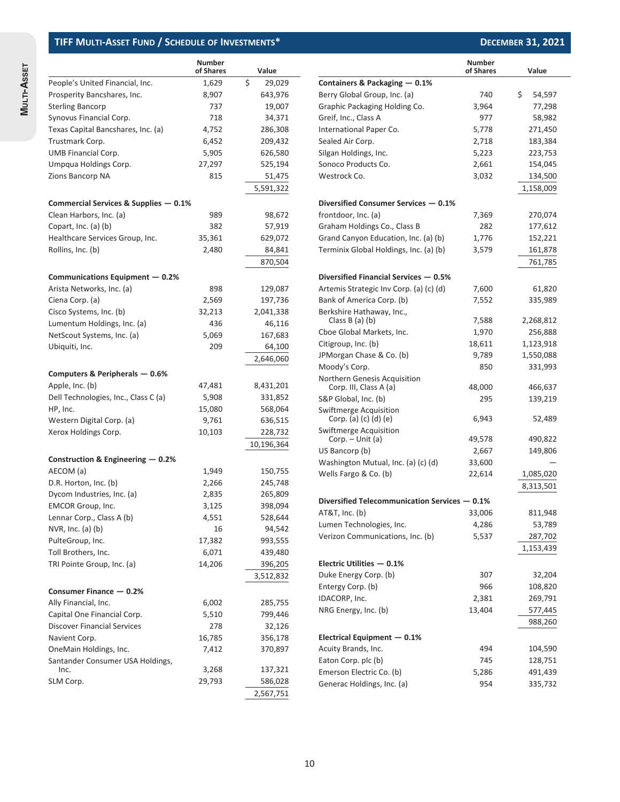|                                       | <b>Number</b><br>of Shares | Value        |
|---------------------------------------|----------------------------|--------------|
| People's United Financial, Inc.       | 1,629                      | \$<br>29,029 |
| Prosperity Bancshares, Inc.           | 8,907                      | 643,976      |
| <b>Sterling Bancorp</b>               | 737                        | 19,007       |
| Synovus Financial Corp.               | 718                        | 34,371       |
| Texas Capital Bancshares, Inc. (a)    | 4,752                      | 286,308      |
| Trustmark Corp.                       | 6,452                      | 209,432      |
| <b>UMB Financial Corp.</b>            | 5,905                      | 626,580      |
| Umpqua Holdings Corp.                 | 27,297                     | 525,194      |
| Zions Bancorp NA                      | 815                        | 51,475       |
|                                       |                            | 5,591,322    |
| Commercial Services & Supplies - 0.1% |                            |              |
| Clean Harbors, Inc. (a)               | 989                        | 98,672       |
| Copart, Inc. (a) (b)                  | 382                        | 57,919       |
| Healthcare Services Group, Inc.       | 35,361                     | 629,072      |
| Rollins, Inc. (b)                     | 2,480                      | 84,841       |
|                                       |                            | 870,504      |
| Communications Equipment - 0.2%       |                            |              |
| Arista Networks, Inc. (a)             | 898                        | 129,087      |
| Ciena Corp. (a)                       | 2,569                      | 197,736      |
| Cisco Systems, Inc. (b)               | 32,213                     | 2,041,338    |
| Lumentum Holdings, Inc. (a)           | 436                        | 46,116       |
| NetScout Systems, Inc. (a)            | 5,069                      | 167,683      |
| Ubiquiti, Inc.                        | 209                        | 64,100       |
|                                       |                            | 2,646,060    |
| Computers & Peripherals - 0.6%        |                            |              |
| Apple, Inc. (b)                       | 47,481                     | 8,431,201    |
| Dell Technologies, Inc., Class C (a)  | 5,908                      | 331,852      |
| HP, Inc.                              | 15,080                     | 568,064      |
| Western Digital Corp. (a)             | 9,761                      | 636,515      |
| Xerox Holdings Corp.                  | 10,103                     | 228,732      |
|                                       |                            | 10,196,364   |
| Construction & Engineering $-0.2%$    |                            |              |
| AECOM (a)                             | 1,949                      | 150,755      |
| D.R. Horton, Inc. (b)                 | 2,266                      | 245,748      |
| Dycom Industries, Inc. (a)            | 2,835                      | 265,809      |
| <b>EMCOR Group, Inc.</b>              | 3,125                      | 398,094      |
| Lennar Corp., Class A (b)             | 4,551                      | 528,644      |
| $NVR$ , Inc. (a) (b)                  | 16                         | 94,542       |
| PulteGroup, Inc.                      | 17,382                     | 993,555      |
| Toll Brothers, Inc.                   | 6,071                      | 439,480      |
| TRI Pointe Group, Inc. (a)            | 14,206                     | 396,205      |
|                                       |                            | 3,512,832    |
| Consumer Finance - 0.2%               |                            |              |
| Ally Financial, Inc.                  | 6,002                      | 285,755      |
| Capital One Financial Corp.           | 5,510                      | 799,446      |
| <b>Discover Financial Services</b>    | 278                        | 32,126       |
| Navient Corp.                         | 16,785                     | 356,178      |
| OneMain Holdings, Inc.                | 7,412                      | 370,897      |
| Santander Consumer USA Holdings,      |                            |              |
| Inc.                                  | 3,268                      | 137,321      |
| SLM Corp.                             | 29,793                     | 586,028      |
|                                       |                            | 2,567,751    |

|                                                 | <b>Number</b><br>of Shares | Value        |
|-------------------------------------------------|----------------------------|--------------|
| Containers & Packaging $-0.1%$                  |                            |              |
| Berry Global Group, Inc. (a)                    | 740                        | \$<br>54,597 |
| Graphic Packaging Holding Co.                   | 3,964                      | 77,298       |
| Greif, Inc., Class A                            | 977                        | 58,982       |
| International Paper Co.                         | 5,778                      | 271,450      |
| Sealed Air Corp.                                | 2,718                      | 183,384      |
| Silgan Holdings, Inc.                           | 5,223                      | 223,753      |
| Sonoco Products Co.                             | 2,661                      | 154,045      |
| Westrock Co.                                    | 3,032                      | 134,500      |
|                                                 |                            | 1,158,009    |
| Diversified Consumer Services - 0.1%            |                            |              |
| frontdoor, Inc. (a)                             | 7,369                      | 270,074      |
| Graham Holdings Co., Class B                    | 282                        | 177,612      |
| Grand Canyon Education, Inc. (a) (b)            | 1,776                      | 152,221      |
| Terminix Global Holdings, Inc. (a) (b)          | 3,579                      | 161,878      |
|                                                 |                            | 761,785      |
|                                                 |                            |              |
| Diversified Financial Services - 0.5%           |                            |              |
| Artemis Strategic Inv Corp. (a) (c) (d)         | 7,600                      | 61,820       |
| Bank of America Corp. (b)                       | 7,552                      | 335,989      |
| Berkshire Hathaway, Inc.,<br>Class $B(a)$ (b)   | 7,588                      | 2,268,812    |
| Cboe Global Markets, Inc.                       | 1,970                      | 256,888      |
| Citigroup, Inc. (b)                             | 18,611                     | 1,123,918    |
| JPMorgan Chase & Co. (b)                        | 9,789                      | 1,550,088    |
| Moody's Corp.                                   | 850                        | 331,993      |
| Northern Genesis Acquisition                    |                            |              |
| Corp. III, Class A (a)                          | 48,000                     | 466,637      |
| S&P Global, Inc. (b)                            | 295                        | 139,219      |
| Swiftmerge Acquisition<br>Corp. (a) (c) (d) (e) | 6,943                      | 52,489       |
| Swiftmerge Acquisition                          |                            |              |
| Corp. – Unit (a)                                | 49,578                     | 490,822      |
| US Bancorp (b)                                  | 2,667                      | 149,806      |
| Washington Mutual, Inc. (a) (c) (d)             | 33,600                     |              |
| Wells Fargo & Co. (b)                           | 22,614                     | 1,085,020    |
|                                                 |                            | 8,313,501    |
| Diversified Telecommunication Services - 0.1%   |                            |              |
| AT&T, Inc. (b)                                  | 33,006                     | 811,948      |
| Lumen Technologies, Inc.                        | 4,286                      | 53,789       |
| Verizon Communications, Inc. (b)                | 5,537                      | 287,702      |
|                                                 |                            | 1,153,439    |
| Electric Utilities - 0.1%                       |                            |              |
| Duke Energy Corp. (b)                           | 307                        | 32,204       |
| Entergy Corp. (b)                               | 966                        | 108,820      |
| IDACORP, Inc.                                   | 2,381                      | 269,791      |
| NRG Energy, Inc. (b)                            | 13,404                     | 577,445      |
|                                                 |                            | 988,260      |
| Electrical Equipment $-0.1%$                    |                            |              |
| Acuity Brands, Inc.                             | 494                        | 104,590      |
| Eaton Corp. plc (b)                             | 745                        | 128,751      |
| Emerson Electric Co. (b)                        | 5,286                      | 491,439      |
| Generac Holdings, Inc. (a)                      | 954                        | 335,732      |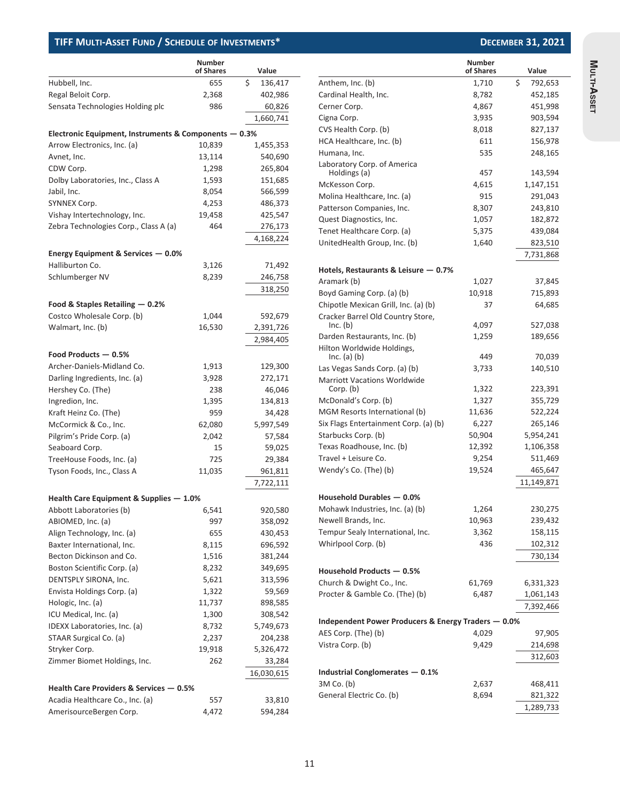|                                                       | <b>Number</b><br>of Shares | Value         |
|-------------------------------------------------------|----------------------------|---------------|
| Hubbell, Inc.                                         | 655                        | \$<br>136,417 |
| Regal Beloit Corp.                                    | 2,368                      | 402,986       |
| Sensata Technologies Holding plc                      | 986                        | 60,826        |
|                                                       |                            | 1,660,741     |
| Electronic Equipment, Instruments & Components - 0.3% |                            |               |
| Arrow Electronics, Inc. (a)                           | 10,839                     | 1,455,353     |
| Avnet, Inc.                                           | 13,114                     | 540,690       |
| CDW Corp.                                             | 1,298                      | 265,804       |
| Dolby Laboratories, Inc., Class A                     | 1,593                      | 151,685       |
| Jabil, Inc.                                           | 8,054                      | 566,599       |
| SYNNEX Corp.                                          |                            |               |
|                                                       | 4,253                      | 486,373       |
| Vishay Intertechnology, Inc.                          | 19,458                     | 425,547       |
| Zebra Technologies Corp., Class A (a)                 | 464                        | 276,173       |
|                                                       |                            | 4,168,224     |
| Energy Equipment & Services - 0.0%                    |                            |               |
| Halliburton Co.                                       | 3,126                      | 71,492        |
| Schlumberger NV                                       | 8,239                      | 246,758       |
|                                                       |                            | 318,250       |
| Food & Staples Retailing - 0.2%                       |                            |               |
| Costco Wholesale Corp. (b)                            | 1,044                      | 592,679       |
| Walmart, Inc. (b)                                     | 16,530                     | 2,391,726     |
|                                                       |                            | 2,984,405     |
| Food Products - 0.5%                                  |                            |               |
| Archer-Daniels-Midland Co.                            | 1,913                      | 129,300       |
| Darling Ingredients, Inc. (a)                         | 3,928                      | 272,171       |
| Hershey Co. (The)                                     | 238                        | 46,046        |
| Ingredion, Inc.                                       | 1,395                      | 134,813       |
| Kraft Heinz Co. (The)                                 | 959                        | 34,428        |
| McCormick & Co., Inc.                                 | 62,080                     | 5,997,549     |
| Pilgrim's Pride Corp. (a)                             | 2,042                      | 57,584        |
| Seaboard Corp.                                        | 15                         | 59,025        |
| TreeHouse Foods, Inc. (a)                             | 725                        | 29,384        |
| Tyson Foods, Inc., Class A                            | 11,035                     | 961,811       |
|                                                       |                            | 7,722,111     |
| Health Care Equipment & Supplies - 1.0%               |                            |               |
| Abbott Laboratories (b)                               | 6,541                      | 920,580       |
| ABIOMED, Inc. (a)                                     | 997                        | 358,092       |
| Align Technology, Inc. (a)                            | 655                        | 430,453       |
| Baxter International, Inc.                            | 8,115                      | 696,592       |
| Becton Dickinson and Co.                              | 1,516                      | 381,244       |
| Boston Scientific Corp. (a)                           | 8,232                      | 349,695       |
| DENTSPLY SIRONA, Inc.                                 | 5,621                      | 313,596       |
| Envista Holdings Corp. (a)                            | 1,322                      | 59,569        |
| Hologic, Inc. (a)                                     | 11,737                     | 898,585       |
| ICU Medical, Inc. (a)                                 | 1,300                      | 308,542       |
| IDEXX Laboratories, Inc. (a)                          |                            |               |
|                                                       | 8,732                      | 5,749,673     |
| STAAR Surgical Co. (a)                                | 2,237                      | 204,238       |
| Stryker Corp.                                         | 19,918                     | 5,326,472     |
| Zimmer Biomet Holdings, Inc.                          | 262                        | 33,284        |
|                                                       |                            | 16,030,615    |
| Health Care Providers & Services - 0.5%               |                            |               |
| Acadia Healthcare Co., Inc. (a)                       | 557                        | 33,810        |
| AmerisourceBergen Corp.                               | 4,472                      | 594,284       |

|                                                     | <b>Number</b><br>of Shares | Value         |
|-----------------------------------------------------|----------------------------|---------------|
| Anthem, Inc. (b)                                    | 1,710                      | \$<br>792,653 |
| Cardinal Health, Inc.                               | 8,782                      | 452,185       |
| Cerner Corp.                                        | 4,867                      | 451,998       |
| Cigna Corp.                                         | 3,935                      | 903,594       |
| CVS Health Corp. (b)                                | 8,018                      | 827,137       |
| HCA Healthcare, Inc. (b)                            | 611                        | 156,978       |
| Humana, Inc.                                        | 535                        | 248,165       |
| Laboratory Corp. of America<br>Holdings (a)         | 457                        | 143,594       |
| McKesson Corp.                                      | 4,615                      | 1,147,151     |
| Molina Healthcare, Inc. (a)                         | 915                        | 291,043       |
| Patterson Companies, Inc.                           | 8,307                      | 243,810       |
| Quest Diagnostics, Inc.                             | 1,057                      | 182,872       |
| Tenet Healthcare Corp. (a)                          | 5,375                      | 439,084       |
| UnitedHealth Group, Inc. (b)                        | 1,640                      | 823,510       |
|                                                     |                            | 7,731,868     |
| Hotels, Restaurants & Leisure — 0.7%                |                            |               |
| Aramark (b)                                         | 1,027                      | 37,845        |
| Boyd Gaming Corp. (a) (b)                           | 10,918                     | 715,893       |
| Chipotle Mexican Grill, Inc. (a) (b)                | 37                         | 64,685        |
| Cracker Barrel Old Country Store,<br>Inc. (b)       | 4,097                      | 527,038       |
| Darden Restaurants, Inc. (b)                        | 1,259                      | 189,656       |
| Hilton Worldwide Holdings,<br>Inc. (a) (b)          | 449                        | 70,039        |
| Las Vegas Sands Corp. (a) (b)                       | 3,733                      | 140,510       |
| <b>Marriott Vacations Worldwide</b>                 |                            |               |
| Corp. (b)                                           | 1,322                      | 223,391       |
| McDonald's Corp. (b)                                | 1,327                      | 355,729       |
| MGM Resorts International (b)                       | 11,636                     | 522,224       |
| Six Flags Entertainment Corp. (a) (b)               | 6,227                      | 265,146       |
| Starbucks Corp. (b)                                 | 50,904                     | 5,954,241     |
| Texas Roadhouse, Inc. (b)                           | 12,392                     | 1,106,358     |
| Travel + Leisure Co.                                | 9,254                      | 511,469       |
| Wendy's Co. (The) (b)                               | 19,524                     | 465,647       |
|                                                     |                            | 11,149,871    |
| Household Durables - 0.0%                           |                            |               |
| Mohawk Industries, Inc. (a) (b)                     | 1,264                      | 230,275       |
| Newell Brands, Inc.                                 | 10,963                     | 239,432       |
| Tempur Sealy International, Inc.                    | 3,362                      | 158,115       |
| Whirlpool Corp. (b)                                 | 436                        | 102,312       |
|                                                     |                            | 730,134       |
| Household Products - 0.5%                           |                            |               |
| Church & Dwight Co., Inc.                           | 61,769                     | 6,331,323     |
| Procter & Gamble Co. (The) (b)                      | 6,487                      | 1,061,143     |
|                                                     |                            | 7,392,466     |
| Independent Power Producers & Energy Traders - 0.0% |                            |               |
| AES Corp. (The) (b)                                 | 4,029                      | 97,905        |
| Vistra Corp. (b)                                    | 9,429                      | 214,698       |
|                                                     |                            | 312,603       |
| <b>Industrial Conglomerates - 0.1%</b>              |                            |               |
| 3M Co. (b)                                          | 2,637                      | 468,411       |
| General Electric Co. (b)                            | 8,694                      | 821,322       |
|                                                     |                            | 1,289,733     |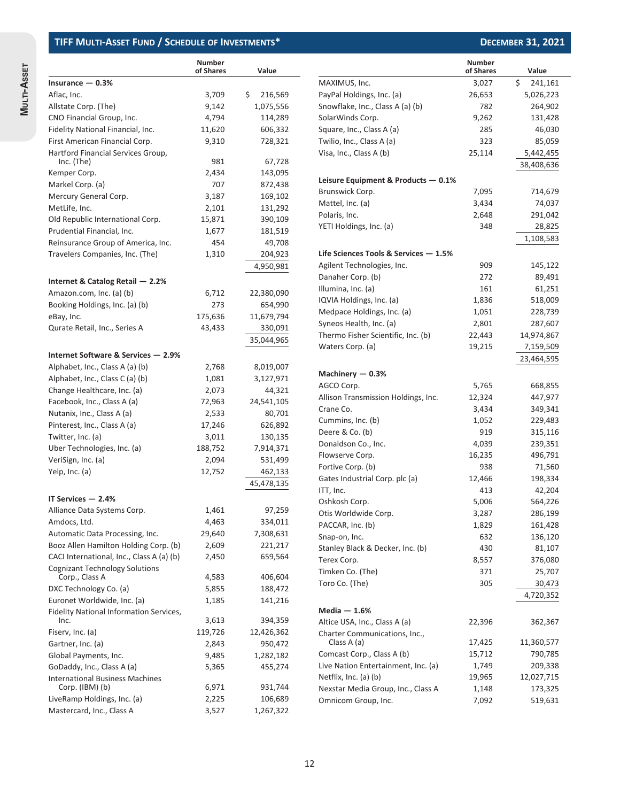|                                                 | <b>Number</b><br>of Shares | Value         |      |
|-------------------------------------------------|----------------------------|---------------|------|
| Insurance $-0.3%$                               |                            |               | M/   |
| Aflac, Inc.                                     | 3,709                      | \$<br>216,569 | Pa   |
| Allstate Corp. (The)                            | 9,142                      | 1,075,556     | Sn   |
| CNO Financial Group, Inc.                       | 4,794                      | 114,289       | So   |
| Fidelity National Financial, Inc.               | 11,620                     | 606,332       | Sq   |
| First American Financial Corp.                  | 9,310                      | 728,321       | Tw   |
| Hartford Financial Services Group,              |                            |               | Vis  |
| Inc. (The)                                      | 981                        | 67,728        |      |
| Kemper Corp.                                    | 2,434                      | 143,095       | Lei  |
| Markel Corp. (a)                                | 707                        | 872,438       | Bri  |
| Mercury General Corp.                           | 3,187                      | 169,102       | Ma   |
| MetLife, Inc.                                   | 2,101                      | 131,292       | Po   |
| Old Republic International Corp.                | 15,871                     | 390,109       | YE.  |
| Prudential Financial, Inc.                      | 1,677                      | 181,519       |      |
| Reinsurance Group of America, Inc.              | 454                        | 49,708        |      |
| Travelers Companies, Inc. (The)                 | 1,310                      | 204,923       | Lif  |
|                                                 |                            | 4,950,981     | Ag   |
| Internet & Catalog Retail $-2.2%$               |                            |               | Da   |
| Amazon.com, Inc. (a) (b)                        | 6,712                      | 22,380,090    | Illı |
| Booking Holdings, Inc. (a) (b)                  | 273                        | 654,990       | IQ'  |
| eBay, Inc.                                      | 175,636                    | 11,679,794    | M    |
| Qurate Retail, Inc., Series A                   | 43,433                     | 330,091       | Syı  |
|                                                 |                            | 35,044,965    | Th   |
|                                                 |                            |               | W    |
| Internet Software & Services - 2.9%             |                            |               |      |
| Alphabet, Inc., Class A (a) (b)                 | 2,768                      | 8,019,007     | M    |
| Alphabet, Inc., Class C (a) (b)                 | 1,081                      | 3,127,971     | AG   |
| Change Healthcare, Inc. (a)                     | 2,073                      | 44,321        | All  |
| Facebook, Inc., Class A (a)                     | 72,963                     | 24,541,105    | Cra  |
| Nutanix, Inc., Class A (a)                      | 2,533                      | 80,701        | Cu   |
| Pinterest, Inc., Class A (a)                    | 17,246                     | 626,892       | De   |
| Twitter, Inc. (a)                               | 3,011                      | 130,135       | Do   |
| Uber Technologies, Inc. (a)                     | 188,752                    | 7,914,371     | Flc  |
| VeriSign, Inc. (a)                              | 2,094                      | 531,499       | Fo   |
| Yelp, Inc. (a)                                  | 12,752                     | 462,133       | Ga   |
|                                                 |                            | 45,478,135    | ITT  |
| IT Services - 2.4%                              |                            |               | Os   |
| Alliance Data Systems Corp.                     | 1,461                      | 97,259        | Ot   |
| Amdocs, Ltd.                                    | 4,463                      | 334,011       | PА   |
| Automatic Data Processing, Inc.                 | 29,640                     | 7,308,631     | Sn   |
| Booz Allen Hamilton Holding Corp. (b)           | 2,609                      | 221,217       | Sta  |
| CACI International, Inc., Class A (a) (b)       | 2,450                      | 659,564       | Тe   |
| <b>Cognizant Technology Solutions</b>           |                            |               | Tir  |
| Corp., Class A                                  | 4,583                      | 406,604       | To   |
| DXC Technology Co. (a)                          | 5,855                      | 188,472       |      |
| Euronet Worldwide, Inc. (a)                     | 1,185                      | 141,216       | M    |
| Fidelity National Information Services,<br>Inc. | 3,613                      | 394,359       | Alt  |
| Fiserv, Inc. (a)                                | 119,726                    | 12,426,362    | Ch   |
| Gartner, Inc. (a)                               | 2,843                      | 950,472       |      |
| Global Payments, Inc.                           | 9,485                      | 1,282,182     | Co   |
| GoDaddy, Inc., Class A (a)                      | 5,365                      | 455,274       | Liv  |
| <b>International Business Machines</b>          |                            |               | Ne   |
| Corp. $(IBM)$ (b)                               | 6,971                      | 931,744       | Ne   |
| LiveRamp Holdings, Inc. (a)                     | 2,225                      | 106,689       | On   |
| Mastercard, Inc., Class A                       | 3,527                      | 1,267,322     |      |

|                                       | <b>Number</b><br>of Shares | Value         |
|---------------------------------------|----------------------------|---------------|
| MAXIMUS, Inc.                         | 3,027                      | \$<br>241,161 |
| PayPal Holdings, Inc. (a)             | 26,653                     | 5,026,223     |
| Snowflake, Inc., Class A (a) (b)      | 782                        | 264,902       |
| SolarWinds Corp.                      | 9,262                      | 131,428       |
| Square, Inc., Class A (a)             | 285                        | 46,030        |
| Twilio, Inc., Class A (a)             | 323                        | 85,059        |
| Visa, Inc., Class A (b)               | 25,114                     | 5,442,455     |
|                                       |                            | 38,408,636    |
|                                       |                            |               |
| Leisure Equipment & Products - 0.1%   |                            |               |
| Brunswick Corp.                       | 7,095                      | 714,679       |
| Mattel, Inc. (a)                      | 3,434                      | 74,037        |
| Polaris, Inc.                         | 2,648                      | 291,042       |
| YETI Holdings, Inc. (a)               | 348                        | 28,825        |
|                                       |                            | 1,108,583     |
| Life Sciences Tools & Services - 1.5% |                            |               |
| Agilent Technologies, Inc.            | 909                        | 145,122       |
| Danaher Corp. (b)                     | 272                        | 89,491        |
| Illumina, Inc. (a)                    | 161                        | 61,251        |
| IQVIA Holdings, Inc. (a)              | 1,836                      | 518,009       |
| Medpace Holdings, Inc. (a)            | 1,051                      | 228,739       |
| Syneos Health, Inc. (a)               | 2,801                      | 287,607       |
| Thermo Fisher Scientific, Inc. (b)    | 22,443                     | 14,974,867    |
| Waters Corp. (a)                      | 19,215                     | 7,159,509     |
|                                       |                            | 23,464,595    |
| Machinery — 0.3%                      |                            |               |
| AGCO Corp.                            | 5,765                      | 668,855       |
| Allison Transmission Holdings, Inc.   | 12,324                     | 447,977       |
| Crane Co.                             | 3,434                      | 349,341       |
| Cummins, Inc. (b)                     | 1,052                      | 229,483       |
| Deere & Co. (b)                       | 919                        | 315,116       |
| Donaldson Co., Inc.                   | 4,039                      | 239,351       |
| Flowserve Corp.                       | 16,235                     | 496,791       |
| Fortive Corp. (b)                     | 938                        | 71,560        |
| Gates Industrial Corp. plc (a)        | 12,466                     | 198,334       |
| ITT, Inc.                             | 413                        | 42,204        |
| Oshkosh Corp.                         | 5,006                      | 564,226       |
| Otis Worldwide Corp.                  | 3,287                      | 286,199       |
| PACCAR, Inc. (b)                      | 1,829                      | 161,428       |
| Snap-on, Inc.                         | 632                        | 136,120       |
| Stanley Black & Decker, Inc. (b)      | 430                        | 81,107        |
| Terex Corp.                           | 8,557                      | 376,080       |
| Timken Co. (The)                      | 371                        | 25,707        |
| Toro Co. (The)                        | 305                        | 30,473        |
|                                       |                            | 4,720,352     |
| Media — 1.6%                          |                            |               |
| Altice USA, Inc., Class A (a)         | 22,396                     | 362,367       |
| Charter Communications, Inc.,         |                            |               |
| Class A (a)                           | 17,425                     | 11,360,577    |
| Comcast Corp., Class A (b)            | 15,712                     | 790,785       |
| Live Nation Entertainment, Inc. (a)   | 1,749                      | 209,338       |
| Netflix, Inc. (a) (b)                 | 19,965                     | 12,027,715    |
| Nexstar Media Group, Inc., Class A    | 1,148                      | 173,325       |
| Omnicom Group, Inc.                   | 7,092                      | 519,631       |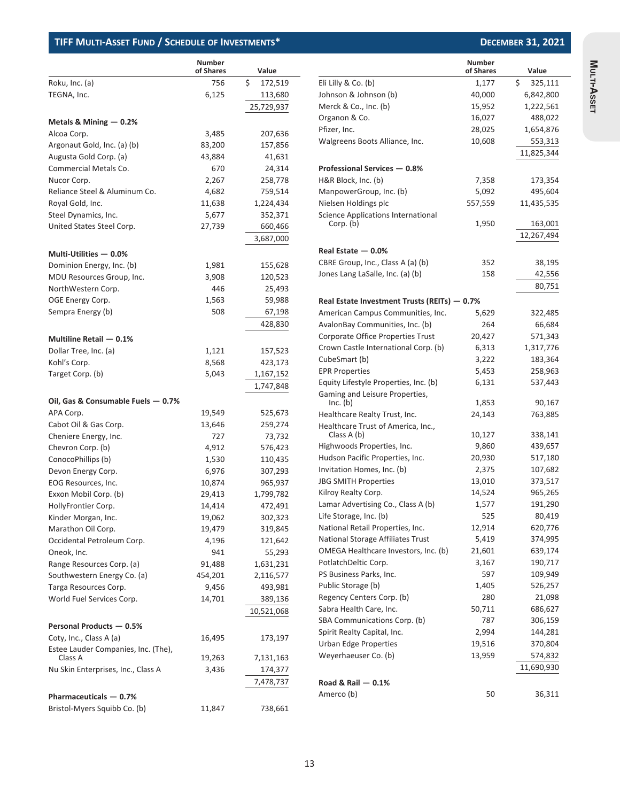|                                     | <b>Number</b><br>of Shares | Value         |
|-------------------------------------|----------------------------|---------------|
| Roku, Inc. (a)                      | 756                        | \$<br>172,519 |
| TEGNA, Inc.                         | 6,125                      | 113,680       |
|                                     |                            | 25,729,937    |
|                                     |                            |               |
| Metals & Mining $-0.2%$             |                            |               |
| Alcoa Corp.                         | 3,485                      | 207,636       |
| Argonaut Gold, Inc. (a) (b)         | 83,200                     | 157,856       |
| Augusta Gold Corp. (a)              | 43,884                     | 41,631        |
| Commercial Metals Co.               | 670                        | 24,314        |
| Nucor Corp.                         | 2,267                      | 258,778       |
| Reliance Steel & Aluminum Co.       | 4,682                      | 759,514       |
| Royal Gold, Inc.                    | 11,638                     | 1,224,434     |
| Steel Dynamics, Inc.                | 5,677                      | 352,371       |
| United States Steel Corp.           | 27,739                     | 660,466       |
|                                     |                            | 3,687,000     |
| Multi-Utilities - 0.0%              |                            |               |
| Dominion Energy, Inc. (b)           | 1,981                      | 155,628       |
| MDU Resources Group, Inc.           | 3,908                      | 120,523       |
| NorthWestern Corp.                  | 446                        | 25,493        |
| OGE Energy Corp.                    | 1,563                      | 59,988        |
| Sempra Energy (b)                   | 508                        | 67,198        |
|                                     |                            | 428,830       |
|                                     |                            |               |
| Multiline Retail - 0.1%             |                            |               |
| Dollar Tree, Inc. (a)               | 1,121                      | 157,523       |
| Kohl's Corp.                        | 8,568                      | 423,173       |
| Target Corp. (b)                    | 5,043                      | 1,167,152     |
|                                     |                            | 1,747,848     |
| Oil, Gas & Consumable Fuels - 0.7%  |                            |               |
| APA Corp.                           | 19,549                     | 525,673       |
| Cabot Oil & Gas Corp.               | 13,646                     | 259,274       |
| Cheniere Energy, Inc.               | 727                        | 73,732        |
| Chevron Corp. (b)                   | 4,912                      | 576,423       |
| ConocoPhillips (b)                  | 1,530                      | 110,435       |
| Devon Energy Corp.                  | 6,976                      | 307,293       |
| EOG Resources, Inc.                 | 10,874                     | 965,937       |
| Exxon Mobil Corp. (b)               | 29,413                     | 1,799,782     |
| HollyFrontier Corp.                 | 14,414                     | 472,491       |
| Kinder Morgan, Inc.                 | 19,062                     | 302,323       |
| Marathon Oil Corp.                  | 19,479                     | 319,845       |
| Occidental Petroleum Corp.          | 4,196                      | 121,642       |
|                                     |                            |               |
| Oneok, Inc.                         | 941                        | 55,293        |
| Range Resources Corp. (a)           | 91,488                     | 1,631,231     |
| Southwestern Energy Co. (a)         | 454,201                    | 2,116,577     |
| Targa Resources Corp.               | 9,456                      | 493,981       |
| World Fuel Services Corp.           | 14,701                     | 389,136       |
|                                     |                            | 10,521,068    |
| Personal Products - 0.5%            |                            |               |
| Coty, Inc., Class A (a)             | 16,495                     | 173,197       |
| Estee Lauder Companies, Inc. (The), |                            |               |
| Class A                             | 19,263                     | 7,131,163     |
| Nu Skin Enterprises, Inc., Class A  | 3,436                      | 174,377       |
|                                     |                            | 7,478,737     |
| Pharmaceuticals - 0.7%              |                            |               |
| Bristol-Myers Squibb Co. (b)        | 11,847                     | 738,661       |

|                                              | <b>Number</b> |               |
|----------------------------------------------|---------------|---------------|
|                                              | of Shares     | Value         |
| Eli Lilly & Co. (b)                          | 1,177         | \$<br>325,111 |
| Johnson & Johnson (b)                        | 40,000        | 6,842,800     |
| Merck & Co., Inc. (b)                        | 15,952        | 1,222,561     |
| Organon & Co.                                | 16,027        | 488,022       |
| Pfizer, Inc.                                 | 28,025        | 1,654,876     |
| Walgreens Boots Alliance, Inc.               | 10,608        | 553,313       |
|                                              |               | 11,825,344    |
| Professional Services - 0.8%                 |               |               |
| H&R Block, Inc. (b)                          | 7,358         | 173,354       |
| ManpowerGroup, Inc. (b)                      | 5,092         | 495,604       |
| Nielsen Holdings plc                         | 557,559       | 11,435,535    |
| Science Applications International           |               |               |
| Corp. (b)                                    | 1,950         | 163,001       |
|                                              |               | 12,267,494    |
| Real Estate - 0.0%                           |               |               |
| CBRE Group, Inc., Class A (a) (b)            | 352           | 38,195        |
| Jones Lang LaSalle, Inc. (a) (b)             | 158           | 42,556        |
|                                              |               | 80,751        |
| Real Estate Investment Trusts (REITs) - 0.7% |               |               |
| American Campus Communities, Inc.            | 5,629         | 322,485       |
| AvalonBay Communities, Inc. (b)              | 264           | 66,684        |
| Corporate Office Properties Trust            | 20,427        | 571,343       |
| Crown Castle International Corp. (b)         | 6,313         | 1,317,776     |
| CubeSmart (b)                                | 3,222         | 183,364       |
| <b>EPR Properties</b>                        | 5,453         | 258,963       |
| Equity Lifestyle Properties, Inc. (b)        | 6,131         | 537,443       |
| Gaming and Leisure Properties,<br>Inc. (b)   | 1,853         | 90,167        |
| Healthcare Realty Trust, Inc.                | 24,143        | 763,885       |
| Healthcare Trust of America, Inc.,           |               |               |
| Class A (b)                                  | 10,127        | 338,141       |
| Highwoods Properties, Inc.                   | 9,860         | 439,657       |
| Hudson Pacific Properties, Inc.              | 20,930        | 517,180       |
| Invitation Homes, Inc. (b)                   | 2,375         | 107,682       |
| <b>JBG SMITH Properties</b>                  | 13,010        | 373,517       |
| Kilroy Realty Corp.                          | 14,524        | 965,265       |
| Lamar Advertising Co., Class A (b)           | 1,577         | 191,290       |
| Life Storage, Inc. (b)                       | 525           | 80,419        |
| National Retail Properties, Inc.             | 12,914        | 620,776       |
| National Storage Affiliates Trust            | 5,419         | 374,995       |
| OMEGA Healthcare Investors, Inc. (b)         | 21,601        | 639,174       |
| PotlatchDeltic Corp.                         | 3,167         | 190,717       |
| PS Business Parks, Inc.                      | 597           | 109,949       |
| Public Storage (b)                           | 1,405         | 526,257       |
| Regency Centers Corp. (b)                    | 280           | 21,098        |
| Sabra Health Care, Inc.                      | 50,711        | 686,627       |
| SBA Communications Corp. (b)                 | 787           | 306,159       |
| Spirit Realty Capital, Inc.                  | 2,994         | 144,281       |
| <b>Urban Edge Properties</b>                 | 19,516        | 370,804       |
| Weyerhaeuser Co. (b)                         | 13,959        | 574,832       |
|                                              |               | 11,690,930    |
| Road & Rail - 0.1%                           |               |               |
| Amerco (b)                                   | 50            | 36,311        |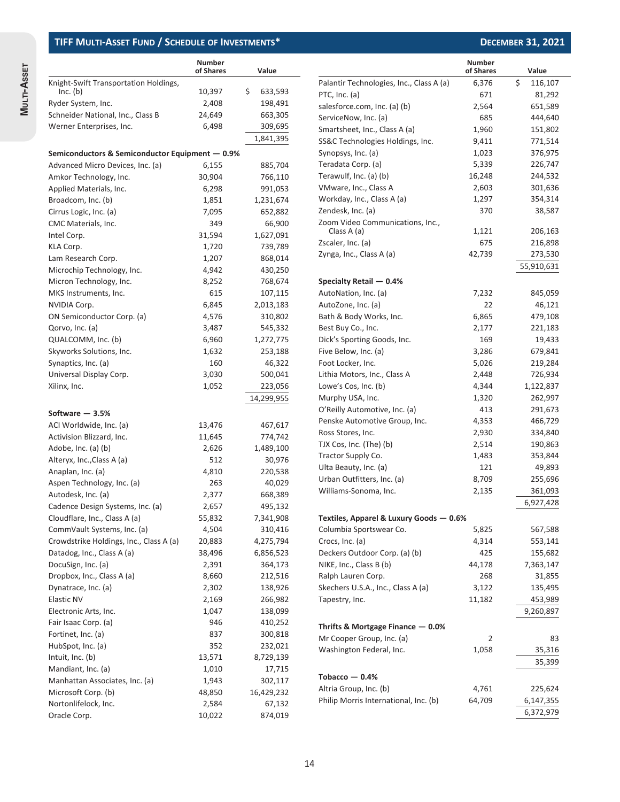| Knight-Swift Transportation Holdings,<br>\$<br>Inc. (b)<br>10,397<br>633,593<br>Ryder System, Inc.<br>2,408<br>198,491<br>Schneider National, Inc., Class B<br>24,649<br>663,305<br>6,498<br>Werner Enterprises, Inc.<br>309,695<br>1,841,395<br>Semiconductors & Semiconductor Equipment - 0.9%<br>Advanced Micro Devices, Inc. (a)<br>6,155<br>885,704<br>Amkor Technology, Inc.<br>30,904<br>766,110<br>6,298<br>991,053<br>Applied Materials, Inc.<br>Broadcom, Inc. (b)<br>1,851<br>1,231,674<br>Cirrus Logic, Inc. (a)<br>7,095<br>652,882<br>349<br>66,900<br>CMC Materials, Inc.<br>31,594<br>1,627,091<br>Intel Corp.<br>1,720<br>KLA Corp.<br>739,789<br>1,207<br>Lam Research Corp.<br>868,014<br>Microchip Technology, Inc.<br>4,942<br>430,250<br>Micron Technology, Inc.<br>8,252<br>768,674<br>615<br>MKS Instruments, Inc.<br>107,115<br>NVIDIA Corp.<br>6,845<br>2,013,183<br>ON Semiconductor Corp. (a)<br>4,576<br>310,802<br>Qorvo, Inc. (a)<br>3,487<br>545,332<br>QUALCOMM, Inc. (b)<br>6,960<br>1,272,775<br>Skyworks Solutions, Inc.<br>1,632<br>253,188<br>160<br>Synaptics, Inc. (a)<br>46,322<br>Universal Display Corp.<br>3,030<br>500,041<br>Xilinx, Inc.<br>1,052<br>223,056<br>14,299,955<br>Software — 3.5%<br>ACI Worldwide, Inc. (a)<br>13,476<br>467,617<br>Activision Blizzard, Inc.<br>774,742<br>11,645<br>Adobe, Inc. (a) (b)<br>2,626<br>1,489,100<br>Alteryx, Inc., Class A (a)<br>512<br>30,976<br>Anaplan, Inc. (a)<br>4,810<br>220,538<br>Aspen Technology, Inc. (a)<br>263<br>40,029<br>2,377<br>668,389<br>Autodesk, Inc. (a)<br>Cadence Design Systems, Inc. (a)<br>2,657<br>495,132<br>Cloudflare, Inc., Class A (a)<br>7,341,908<br>55,832<br>CommVault Systems, Inc. (a)<br>4,504<br>310,416<br>Crowdstrike Holdings, Inc., Class A (a)<br>4,275,794<br>20,883<br>Datadog, Inc., Class A (a)<br>38,496<br>6,856,523<br>DocuSign, Inc. (a)<br>2,391<br>364,173<br>Dropbox, Inc., Class A (a)<br>8,660<br>212,516<br>Dynatrace, Inc. (a)<br>2,302<br>138,926<br><b>Elastic NV</b><br>2,169<br>266,982<br>Electronic Arts, Inc.<br>1,047<br>138,099<br>Fair Isaac Corp. (a)<br>946<br>410,252<br>Fortinet, Inc. (a)<br>300,818<br>837<br>HubSpot, Inc. (a)<br>352<br>232,021<br>Intuit, Inc. (b)<br>13,571<br>8,729,139<br>Mandiant, Inc. (a)<br>1,010<br>17,715<br>Manhattan Associates, Inc. (a)<br>1,943<br>302,117<br>Microsoft Corp. (b)<br>48,850<br>16,429,232<br>Nortonlifelock, Inc.<br>2,584<br>67,132 |              | <b>Number</b><br>of Shares | Value   |
|------------------------------------------------------------------------------------------------------------------------------------------------------------------------------------------------------------------------------------------------------------------------------------------------------------------------------------------------------------------------------------------------------------------------------------------------------------------------------------------------------------------------------------------------------------------------------------------------------------------------------------------------------------------------------------------------------------------------------------------------------------------------------------------------------------------------------------------------------------------------------------------------------------------------------------------------------------------------------------------------------------------------------------------------------------------------------------------------------------------------------------------------------------------------------------------------------------------------------------------------------------------------------------------------------------------------------------------------------------------------------------------------------------------------------------------------------------------------------------------------------------------------------------------------------------------------------------------------------------------------------------------------------------------------------------------------------------------------------------------------------------------------------------------------------------------------------------------------------------------------------------------------------------------------------------------------------------------------------------------------------------------------------------------------------------------------------------------------------------------------------------------------------------------------------------------------------------------------------------------------------------------------------------------------------------------------------------------------------------------------------------------------------------------------------------------------------------------|--------------|----------------------------|---------|
|                                                                                                                                                                                                                                                                                                                                                                                                                                                                                                                                                                                                                                                                                                                                                                                                                                                                                                                                                                                                                                                                                                                                                                                                                                                                                                                                                                                                                                                                                                                                                                                                                                                                                                                                                                                                                                                                                                                                                                                                                                                                                                                                                                                                                                                                                                                                                                                                                                                                  |              |                            |         |
|                                                                                                                                                                                                                                                                                                                                                                                                                                                                                                                                                                                                                                                                                                                                                                                                                                                                                                                                                                                                                                                                                                                                                                                                                                                                                                                                                                                                                                                                                                                                                                                                                                                                                                                                                                                                                                                                                                                                                                                                                                                                                                                                                                                                                                                                                                                                                                                                                                                                  |              |                            |         |
|                                                                                                                                                                                                                                                                                                                                                                                                                                                                                                                                                                                                                                                                                                                                                                                                                                                                                                                                                                                                                                                                                                                                                                                                                                                                                                                                                                                                                                                                                                                                                                                                                                                                                                                                                                                                                                                                                                                                                                                                                                                                                                                                                                                                                                                                                                                                                                                                                                                                  |              |                            |         |
|                                                                                                                                                                                                                                                                                                                                                                                                                                                                                                                                                                                                                                                                                                                                                                                                                                                                                                                                                                                                                                                                                                                                                                                                                                                                                                                                                                                                                                                                                                                                                                                                                                                                                                                                                                                                                                                                                                                                                                                                                                                                                                                                                                                                                                                                                                                                                                                                                                                                  |              |                            |         |
|                                                                                                                                                                                                                                                                                                                                                                                                                                                                                                                                                                                                                                                                                                                                                                                                                                                                                                                                                                                                                                                                                                                                                                                                                                                                                                                                                                                                                                                                                                                                                                                                                                                                                                                                                                                                                                                                                                                                                                                                                                                                                                                                                                                                                                                                                                                                                                                                                                                                  |              |                            |         |
|                                                                                                                                                                                                                                                                                                                                                                                                                                                                                                                                                                                                                                                                                                                                                                                                                                                                                                                                                                                                                                                                                                                                                                                                                                                                                                                                                                                                                                                                                                                                                                                                                                                                                                                                                                                                                                                                                                                                                                                                                                                                                                                                                                                                                                                                                                                                                                                                                                                                  |              |                            |         |
|                                                                                                                                                                                                                                                                                                                                                                                                                                                                                                                                                                                                                                                                                                                                                                                                                                                                                                                                                                                                                                                                                                                                                                                                                                                                                                                                                                                                                                                                                                                                                                                                                                                                                                                                                                                                                                                                                                                                                                                                                                                                                                                                                                                                                                                                                                                                                                                                                                                                  |              |                            |         |
|                                                                                                                                                                                                                                                                                                                                                                                                                                                                                                                                                                                                                                                                                                                                                                                                                                                                                                                                                                                                                                                                                                                                                                                                                                                                                                                                                                                                                                                                                                                                                                                                                                                                                                                                                                                                                                                                                                                                                                                                                                                                                                                                                                                                                                                                                                                                                                                                                                                                  |              |                            |         |
|                                                                                                                                                                                                                                                                                                                                                                                                                                                                                                                                                                                                                                                                                                                                                                                                                                                                                                                                                                                                                                                                                                                                                                                                                                                                                                                                                                                                                                                                                                                                                                                                                                                                                                                                                                                                                                                                                                                                                                                                                                                                                                                                                                                                                                                                                                                                                                                                                                                                  |              |                            |         |
|                                                                                                                                                                                                                                                                                                                                                                                                                                                                                                                                                                                                                                                                                                                                                                                                                                                                                                                                                                                                                                                                                                                                                                                                                                                                                                                                                                                                                                                                                                                                                                                                                                                                                                                                                                                                                                                                                                                                                                                                                                                                                                                                                                                                                                                                                                                                                                                                                                                                  |              |                            |         |
|                                                                                                                                                                                                                                                                                                                                                                                                                                                                                                                                                                                                                                                                                                                                                                                                                                                                                                                                                                                                                                                                                                                                                                                                                                                                                                                                                                                                                                                                                                                                                                                                                                                                                                                                                                                                                                                                                                                                                                                                                                                                                                                                                                                                                                                                                                                                                                                                                                                                  |              |                            |         |
|                                                                                                                                                                                                                                                                                                                                                                                                                                                                                                                                                                                                                                                                                                                                                                                                                                                                                                                                                                                                                                                                                                                                                                                                                                                                                                                                                                                                                                                                                                                                                                                                                                                                                                                                                                                                                                                                                                                                                                                                                                                                                                                                                                                                                                                                                                                                                                                                                                                                  |              |                            |         |
|                                                                                                                                                                                                                                                                                                                                                                                                                                                                                                                                                                                                                                                                                                                                                                                                                                                                                                                                                                                                                                                                                                                                                                                                                                                                                                                                                                                                                                                                                                                                                                                                                                                                                                                                                                                                                                                                                                                                                                                                                                                                                                                                                                                                                                                                                                                                                                                                                                                                  |              |                            |         |
|                                                                                                                                                                                                                                                                                                                                                                                                                                                                                                                                                                                                                                                                                                                                                                                                                                                                                                                                                                                                                                                                                                                                                                                                                                                                                                                                                                                                                                                                                                                                                                                                                                                                                                                                                                                                                                                                                                                                                                                                                                                                                                                                                                                                                                                                                                                                                                                                                                                                  |              |                            |         |
|                                                                                                                                                                                                                                                                                                                                                                                                                                                                                                                                                                                                                                                                                                                                                                                                                                                                                                                                                                                                                                                                                                                                                                                                                                                                                                                                                                                                                                                                                                                                                                                                                                                                                                                                                                                                                                                                                                                                                                                                                                                                                                                                                                                                                                                                                                                                                                                                                                                                  |              |                            |         |
|                                                                                                                                                                                                                                                                                                                                                                                                                                                                                                                                                                                                                                                                                                                                                                                                                                                                                                                                                                                                                                                                                                                                                                                                                                                                                                                                                                                                                                                                                                                                                                                                                                                                                                                                                                                                                                                                                                                                                                                                                                                                                                                                                                                                                                                                                                                                                                                                                                                                  |              |                            |         |
|                                                                                                                                                                                                                                                                                                                                                                                                                                                                                                                                                                                                                                                                                                                                                                                                                                                                                                                                                                                                                                                                                                                                                                                                                                                                                                                                                                                                                                                                                                                                                                                                                                                                                                                                                                                                                                                                                                                                                                                                                                                                                                                                                                                                                                                                                                                                                                                                                                                                  |              |                            |         |
|                                                                                                                                                                                                                                                                                                                                                                                                                                                                                                                                                                                                                                                                                                                                                                                                                                                                                                                                                                                                                                                                                                                                                                                                                                                                                                                                                                                                                                                                                                                                                                                                                                                                                                                                                                                                                                                                                                                                                                                                                                                                                                                                                                                                                                                                                                                                                                                                                                                                  |              |                            |         |
|                                                                                                                                                                                                                                                                                                                                                                                                                                                                                                                                                                                                                                                                                                                                                                                                                                                                                                                                                                                                                                                                                                                                                                                                                                                                                                                                                                                                                                                                                                                                                                                                                                                                                                                                                                                                                                                                                                                                                                                                                                                                                                                                                                                                                                                                                                                                                                                                                                                                  |              |                            |         |
|                                                                                                                                                                                                                                                                                                                                                                                                                                                                                                                                                                                                                                                                                                                                                                                                                                                                                                                                                                                                                                                                                                                                                                                                                                                                                                                                                                                                                                                                                                                                                                                                                                                                                                                                                                                                                                                                                                                                                                                                                                                                                                                                                                                                                                                                                                                                                                                                                                                                  |              |                            |         |
|                                                                                                                                                                                                                                                                                                                                                                                                                                                                                                                                                                                                                                                                                                                                                                                                                                                                                                                                                                                                                                                                                                                                                                                                                                                                                                                                                                                                                                                                                                                                                                                                                                                                                                                                                                                                                                                                                                                                                                                                                                                                                                                                                                                                                                                                                                                                                                                                                                                                  |              |                            |         |
|                                                                                                                                                                                                                                                                                                                                                                                                                                                                                                                                                                                                                                                                                                                                                                                                                                                                                                                                                                                                                                                                                                                                                                                                                                                                                                                                                                                                                                                                                                                                                                                                                                                                                                                                                                                                                                                                                                                                                                                                                                                                                                                                                                                                                                                                                                                                                                                                                                                                  |              |                            |         |
|                                                                                                                                                                                                                                                                                                                                                                                                                                                                                                                                                                                                                                                                                                                                                                                                                                                                                                                                                                                                                                                                                                                                                                                                                                                                                                                                                                                                                                                                                                                                                                                                                                                                                                                                                                                                                                                                                                                                                                                                                                                                                                                                                                                                                                                                                                                                                                                                                                                                  |              |                            |         |
|                                                                                                                                                                                                                                                                                                                                                                                                                                                                                                                                                                                                                                                                                                                                                                                                                                                                                                                                                                                                                                                                                                                                                                                                                                                                                                                                                                                                                                                                                                                                                                                                                                                                                                                                                                                                                                                                                                                                                                                                                                                                                                                                                                                                                                                                                                                                                                                                                                                                  |              |                            |         |
|                                                                                                                                                                                                                                                                                                                                                                                                                                                                                                                                                                                                                                                                                                                                                                                                                                                                                                                                                                                                                                                                                                                                                                                                                                                                                                                                                                                                                                                                                                                                                                                                                                                                                                                                                                                                                                                                                                                                                                                                                                                                                                                                                                                                                                                                                                                                                                                                                                                                  |              |                            |         |
|                                                                                                                                                                                                                                                                                                                                                                                                                                                                                                                                                                                                                                                                                                                                                                                                                                                                                                                                                                                                                                                                                                                                                                                                                                                                                                                                                                                                                                                                                                                                                                                                                                                                                                                                                                                                                                                                                                                                                                                                                                                                                                                                                                                                                                                                                                                                                                                                                                                                  |              |                            |         |
|                                                                                                                                                                                                                                                                                                                                                                                                                                                                                                                                                                                                                                                                                                                                                                                                                                                                                                                                                                                                                                                                                                                                                                                                                                                                                                                                                                                                                                                                                                                                                                                                                                                                                                                                                                                                                                                                                                                                                                                                                                                                                                                                                                                                                                                                                                                                                                                                                                                                  |              |                            |         |
|                                                                                                                                                                                                                                                                                                                                                                                                                                                                                                                                                                                                                                                                                                                                                                                                                                                                                                                                                                                                                                                                                                                                                                                                                                                                                                                                                                                                                                                                                                                                                                                                                                                                                                                                                                                                                                                                                                                                                                                                                                                                                                                                                                                                                                                                                                                                                                                                                                                                  |              |                            |         |
|                                                                                                                                                                                                                                                                                                                                                                                                                                                                                                                                                                                                                                                                                                                                                                                                                                                                                                                                                                                                                                                                                                                                                                                                                                                                                                                                                                                                                                                                                                                                                                                                                                                                                                                                                                                                                                                                                                                                                                                                                                                                                                                                                                                                                                                                                                                                                                                                                                                                  |              |                            |         |
|                                                                                                                                                                                                                                                                                                                                                                                                                                                                                                                                                                                                                                                                                                                                                                                                                                                                                                                                                                                                                                                                                                                                                                                                                                                                                                                                                                                                                                                                                                                                                                                                                                                                                                                                                                                                                                                                                                                                                                                                                                                                                                                                                                                                                                                                                                                                                                                                                                                                  |              |                            |         |
|                                                                                                                                                                                                                                                                                                                                                                                                                                                                                                                                                                                                                                                                                                                                                                                                                                                                                                                                                                                                                                                                                                                                                                                                                                                                                                                                                                                                                                                                                                                                                                                                                                                                                                                                                                                                                                                                                                                                                                                                                                                                                                                                                                                                                                                                                                                                                                                                                                                                  |              |                            |         |
|                                                                                                                                                                                                                                                                                                                                                                                                                                                                                                                                                                                                                                                                                                                                                                                                                                                                                                                                                                                                                                                                                                                                                                                                                                                                                                                                                                                                                                                                                                                                                                                                                                                                                                                                                                                                                                                                                                                                                                                                                                                                                                                                                                                                                                                                                                                                                                                                                                                                  |              |                            |         |
|                                                                                                                                                                                                                                                                                                                                                                                                                                                                                                                                                                                                                                                                                                                                                                                                                                                                                                                                                                                                                                                                                                                                                                                                                                                                                                                                                                                                                                                                                                                                                                                                                                                                                                                                                                                                                                                                                                                                                                                                                                                                                                                                                                                                                                                                                                                                                                                                                                                                  |              |                            |         |
|                                                                                                                                                                                                                                                                                                                                                                                                                                                                                                                                                                                                                                                                                                                                                                                                                                                                                                                                                                                                                                                                                                                                                                                                                                                                                                                                                                                                                                                                                                                                                                                                                                                                                                                                                                                                                                                                                                                                                                                                                                                                                                                                                                                                                                                                                                                                                                                                                                                                  |              |                            |         |
|                                                                                                                                                                                                                                                                                                                                                                                                                                                                                                                                                                                                                                                                                                                                                                                                                                                                                                                                                                                                                                                                                                                                                                                                                                                                                                                                                                                                                                                                                                                                                                                                                                                                                                                                                                                                                                                                                                                                                                                                                                                                                                                                                                                                                                                                                                                                                                                                                                                                  |              |                            |         |
|                                                                                                                                                                                                                                                                                                                                                                                                                                                                                                                                                                                                                                                                                                                                                                                                                                                                                                                                                                                                                                                                                                                                                                                                                                                                                                                                                                                                                                                                                                                                                                                                                                                                                                                                                                                                                                                                                                                                                                                                                                                                                                                                                                                                                                                                                                                                                                                                                                                                  |              |                            |         |
|                                                                                                                                                                                                                                                                                                                                                                                                                                                                                                                                                                                                                                                                                                                                                                                                                                                                                                                                                                                                                                                                                                                                                                                                                                                                                                                                                                                                                                                                                                                                                                                                                                                                                                                                                                                                                                                                                                                                                                                                                                                                                                                                                                                                                                                                                                                                                                                                                                                                  |              |                            |         |
|                                                                                                                                                                                                                                                                                                                                                                                                                                                                                                                                                                                                                                                                                                                                                                                                                                                                                                                                                                                                                                                                                                                                                                                                                                                                                                                                                                                                                                                                                                                                                                                                                                                                                                                                                                                                                                                                                                                                                                                                                                                                                                                                                                                                                                                                                                                                                                                                                                                                  |              |                            |         |
|                                                                                                                                                                                                                                                                                                                                                                                                                                                                                                                                                                                                                                                                                                                                                                                                                                                                                                                                                                                                                                                                                                                                                                                                                                                                                                                                                                                                                                                                                                                                                                                                                                                                                                                                                                                                                                                                                                                                                                                                                                                                                                                                                                                                                                                                                                                                                                                                                                                                  |              |                            |         |
|                                                                                                                                                                                                                                                                                                                                                                                                                                                                                                                                                                                                                                                                                                                                                                                                                                                                                                                                                                                                                                                                                                                                                                                                                                                                                                                                                                                                                                                                                                                                                                                                                                                                                                                                                                                                                                                                                                                                                                                                                                                                                                                                                                                                                                                                                                                                                                                                                                                                  |              |                            |         |
|                                                                                                                                                                                                                                                                                                                                                                                                                                                                                                                                                                                                                                                                                                                                                                                                                                                                                                                                                                                                                                                                                                                                                                                                                                                                                                                                                                                                                                                                                                                                                                                                                                                                                                                                                                                                                                                                                                                                                                                                                                                                                                                                                                                                                                                                                                                                                                                                                                                                  |              |                            |         |
|                                                                                                                                                                                                                                                                                                                                                                                                                                                                                                                                                                                                                                                                                                                                                                                                                                                                                                                                                                                                                                                                                                                                                                                                                                                                                                                                                                                                                                                                                                                                                                                                                                                                                                                                                                                                                                                                                                                                                                                                                                                                                                                                                                                                                                                                                                                                                                                                                                                                  |              |                            |         |
|                                                                                                                                                                                                                                                                                                                                                                                                                                                                                                                                                                                                                                                                                                                                                                                                                                                                                                                                                                                                                                                                                                                                                                                                                                                                                                                                                                                                                                                                                                                                                                                                                                                                                                                                                                                                                                                                                                                                                                                                                                                                                                                                                                                                                                                                                                                                                                                                                                                                  |              |                            |         |
|                                                                                                                                                                                                                                                                                                                                                                                                                                                                                                                                                                                                                                                                                                                                                                                                                                                                                                                                                                                                                                                                                                                                                                                                                                                                                                                                                                                                                                                                                                                                                                                                                                                                                                                                                                                                                                                                                                                                                                                                                                                                                                                                                                                                                                                                                                                                                                                                                                                                  |              |                            |         |
|                                                                                                                                                                                                                                                                                                                                                                                                                                                                                                                                                                                                                                                                                                                                                                                                                                                                                                                                                                                                                                                                                                                                                                                                                                                                                                                                                                                                                                                                                                                                                                                                                                                                                                                                                                                                                                                                                                                                                                                                                                                                                                                                                                                                                                                                                                                                                                                                                                                                  |              |                            |         |
|                                                                                                                                                                                                                                                                                                                                                                                                                                                                                                                                                                                                                                                                                                                                                                                                                                                                                                                                                                                                                                                                                                                                                                                                                                                                                                                                                                                                                                                                                                                                                                                                                                                                                                                                                                                                                                                                                                                                                                                                                                                                                                                                                                                                                                                                                                                                                                                                                                                                  |              |                            |         |
|                                                                                                                                                                                                                                                                                                                                                                                                                                                                                                                                                                                                                                                                                                                                                                                                                                                                                                                                                                                                                                                                                                                                                                                                                                                                                                                                                                                                                                                                                                                                                                                                                                                                                                                                                                                                                                                                                                                                                                                                                                                                                                                                                                                                                                                                                                                                                                                                                                                                  |              |                            |         |
|                                                                                                                                                                                                                                                                                                                                                                                                                                                                                                                                                                                                                                                                                                                                                                                                                                                                                                                                                                                                                                                                                                                                                                                                                                                                                                                                                                                                                                                                                                                                                                                                                                                                                                                                                                                                                                                                                                                                                                                                                                                                                                                                                                                                                                                                                                                                                                                                                                                                  |              |                            |         |
|                                                                                                                                                                                                                                                                                                                                                                                                                                                                                                                                                                                                                                                                                                                                                                                                                                                                                                                                                                                                                                                                                                                                                                                                                                                                                                                                                                                                                                                                                                                                                                                                                                                                                                                                                                                                                                                                                                                                                                                                                                                                                                                                                                                                                                                                                                                                                                                                                                                                  |              |                            |         |
|                                                                                                                                                                                                                                                                                                                                                                                                                                                                                                                                                                                                                                                                                                                                                                                                                                                                                                                                                                                                                                                                                                                                                                                                                                                                                                                                                                                                                                                                                                                                                                                                                                                                                                                                                                                                                                                                                                                                                                                                                                                                                                                                                                                                                                                                                                                                                                                                                                                                  |              |                            |         |
|                                                                                                                                                                                                                                                                                                                                                                                                                                                                                                                                                                                                                                                                                                                                                                                                                                                                                                                                                                                                                                                                                                                                                                                                                                                                                                                                                                                                                                                                                                                                                                                                                                                                                                                                                                                                                                                                                                                                                                                                                                                                                                                                                                                                                                                                                                                                                                                                                                                                  |              |                            |         |
|                                                                                                                                                                                                                                                                                                                                                                                                                                                                                                                                                                                                                                                                                                                                                                                                                                                                                                                                                                                                                                                                                                                                                                                                                                                                                                                                                                                                                                                                                                                                                                                                                                                                                                                                                                                                                                                                                                                                                                                                                                                                                                                                                                                                                                                                                                                                                                                                                                                                  |              |                            |         |
|                                                                                                                                                                                                                                                                                                                                                                                                                                                                                                                                                                                                                                                                                                                                                                                                                                                                                                                                                                                                                                                                                                                                                                                                                                                                                                                                                                                                                                                                                                                                                                                                                                                                                                                                                                                                                                                                                                                                                                                                                                                                                                                                                                                                                                                                                                                                                                                                                                                                  |              |                            |         |
|                                                                                                                                                                                                                                                                                                                                                                                                                                                                                                                                                                                                                                                                                                                                                                                                                                                                                                                                                                                                                                                                                                                                                                                                                                                                                                                                                                                                                                                                                                                                                                                                                                                                                                                                                                                                                                                                                                                                                                                                                                                                                                                                                                                                                                                                                                                                                                                                                                                                  |              |                            |         |
|                                                                                                                                                                                                                                                                                                                                                                                                                                                                                                                                                                                                                                                                                                                                                                                                                                                                                                                                                                                                                                                                                                                                                                                                                                                                                                                                                                                                                                                                                                                                                                                                                                                                                                                                                                                                                                                                                                                                                                                                                                                                                                                                                                                                                                                                                                                                                                                                                                                                  | Oracle Corp. | 10,022                     | 874,019 |

|                                                                    | <b>Number</b><br>of Shares | Value                |
|--------------------------------------------------------------------|----------------------------|----------------------|
| Palantir Technologies, Inc., Class A (a)                           | 6,376                      | \$<br>116,107        |
| PTC, Inc. (a)                                                      | 671                        | 81,292               |
| salesforce.com, Inc. (a) (b)                                       | 2,564                      | 651,589              |
| ServiceNow, Inc. (a)                                               | 685                        | 444,640              |
| Smartsheet, Inc., Class A (a)                                      | 1,960                      | 151,802              |
| SS&C Technologies Holdings, Inc.                                   | 9,411                      | 771,514              |
| Synopsys, Inc. (a)                                                 | 1,023                      | 376,975              |
| Teradata Corp. (a)                                                 | 5,339                      | 226,747              |
| Terawulf, Inc. (a) (b)                                             | 16,248                     | 244,532              |
| VMware, Inc., Class A                                              | 2,603                      | 301,636              |
| Workday, Inc., Class A (a)                                         | 1,297                      | 354,314              |
| Zendesk, Inc. (a)                                                  | 370                        | 38,587               |
| Zoom Video Communications, Inc.,<br>Class A (a)                    | 1,121                      | 206,163              |
| Zscaler, Inc. (a)                                                  | 675                        | 216,898              |
| Zynga, Inc., Class A (a)                                           | 42,739                     | 273,530              |
|                                                                    |                            | 55,910,631           |
|                                                                    |                            |                      |
| Specialty Retail - 0.4%<br>AutoNation, Inc. (a)                    | 7,232                      | 845,059              |
| AutoZone, Inc. (a)                                                 | 22                         | 46,121               |
| Bath & Body Works, Inc.                                            | 6,865                      | 479,108              |
| Best Buy Co., Inc.                                                 | 2,177                      | 221,183              |
| Dick's Sporting Goods, Inc.                                        | 169                        | 19,433               |
| Five Below, Inc. (a)                                               | 3,286                      | 679,841              |
| Foot Locker, Inc.                                                  | 5,026                      | 219,284              |
| Lithia Motors, Inc., Class A                                       | 2,448                      | 726,934              |
| Lowe's Cos, Inc. (b)                                               | 4,344                      | 1,122,837            |
| Murphy USA, Inc.                                                   | 1,320                      | 262,997              |
| O'Reilly Automotive, Inc. (a)                                      | 413                        | 291,673              |
| Penske Automotive Group, Inc.                                      | 4,353                      | 466,729              |
| Ross Stores, Inc.                                                  | 2,930                      | 334,840              |
| TJX Cos, Inc. (The) (b)                                            | 2,514                      | 190,863              |
| Tractor Supply Co.                                                 | 1,483                      | 353,844              |
| Ulta Beauty, Inc. (a)                                              | 121                        | 49,893               |
| Urban Outfitters, Inc. (a)                                         | 8,709                      | 255,696              |
| Williams-Sonoma, Inc.                                              | 2,135                      | 361,093              |
|                                                                    |                            | 6,927,428            |
|                                                                    |                            |                      |
| Textiles, Apparel & Luxury Goods - 0.6%<br>Columbia Sportswear Co. | 5,825                      | 567,588              |
| Crocs, Inc. (a)                                                    | 4,314                      |                      |
|                                                                    | 425                        | 553,141<br>155,682   |
| Deckers Outdoor Corp. (a) (b)                                      |                            |                      |
| NIKE, Inc., Class B (b)                                            | 44,178                     | 7,363,147            |
| Ralph Lauren Corp.                                                 | 268                        | 31,855               |
| Skechers U.S.A., Inc., Class A (a)                                 | 3,122                      | 135,495              |
| Tapestry, Inc.                                                     | 11,182                     | 453,989              |
|                                                                    |                            | 9,260,897            |
| Thrifts & Mortgage Finance - 0.0%                                  |                            |                      |
| Mr Cooper Group, Inc. (a)                                          | 2                          | 83                   |
| Washington Federal, Inc.                                           | 1,058                      | 35,316               |
|                                                                    |                            | 35,399               |
| Tobacco — 0.4%                                                     |                            |                      |
| Altria Group, Inc. (b)<br>Philip Morris International, Inc. (b)    | 4,761<br>64,709            | 225,624<br>6,147,355 |
|                                                                    |                            | 6,372,979            |
|                                                                    |                            |                      |

l,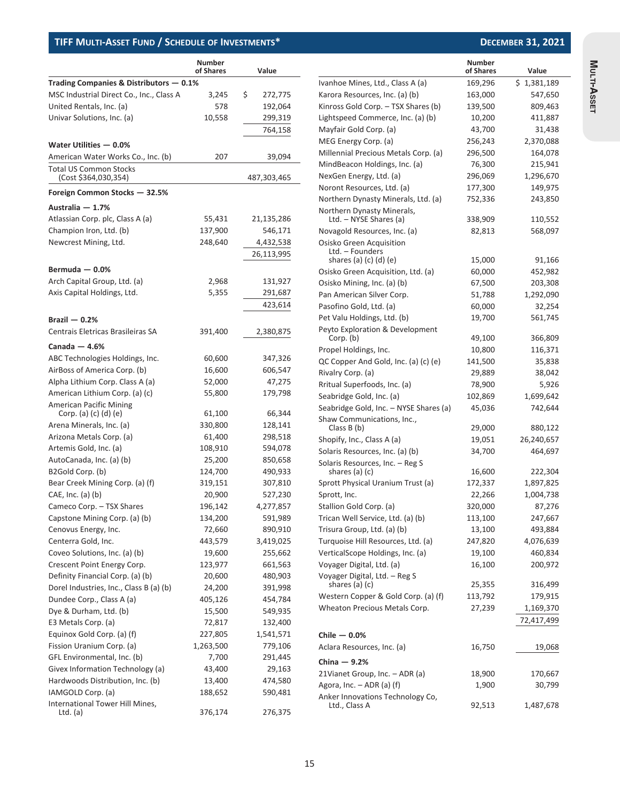|                                                                      | <b>Number</b><br>of Shares | Value         |
|----------------------------------------------------------------------|----------------------------|---------------|
| Trading Companies & Distributors - 0.1%                              |                            |               |
| MSC Industrial Direct Co., Inc., Class A                             | 3,245                      | \$<br>272,775 |
| United Rentals, Inc. (a)                                             | 578                        | 192,064       |
| Univar Solutions, Inc. (a)                                           | 10,558                     | 299,319       |
|                                                                      |                            | 764,158       |
| Water Utilities - 0.0%                                               |                            |               |
| American Water Works Co., Inc. (b)                                   | 207                        | 39,094        |
| <b>Total US Common Stocks</b><br>(Cost \$364,030,354)                |                            | 487,303,465   |
| Foreign Common Stocks - 32.5%                                        |                            |               |
| Australia - 1.7%                                                     |                            |               |
| Atlassian Corp. plc, Class A (a)                                     | 55,431                     | 21,135,286    |
| Champion Iron, Ltd. (b)                                              | 137,900                    | 546,171       |
| Newcrest Mining, Ltd.                                                | 248,640                    | 4,432,538     |
|                                                                      |                            | 26,113,995    |
| Bermuda $-0.0%$                                                      |                            |               |
| Arch Capital Group, Ltd. (a)                                         | 2,968                      | 131,927       |
| Axis Capital Holdings, Ltd.                                          | 5,355                      | 291,687       |
|                                                                      |                            | 423,614       |
| Brazil $-0.2%$                                                       |                            |               |
| Centrais Eletricas Brasileiras SA                                    |                            | 2,380,875     |
|                                                                      | 391,400                    |               |
| Canada $-4.6%$                                                       |                            |               |
| ABC Technologies Holdings, Inc.                                      | 60,600                     | 347,326       |
| AirBoss of America Corp. (b)                                         | 16,600                     | 606,547       |
| Alpha Lithium Corp. Class A (a)                                      | 52,000                     | 47,275        |
| American Lithium Corp. (a) (c)                                       | 55,800                     | 179,798       |
| <b>American Pacific Mining</b><br>Corp. (a) (c) (d) (e)              | 61,100                     | 66,344        |
| Arena Minerals, Inc. (a)                                             | 330,800                    | 128,141       |
| Arizona Metals Corp. (a)                                             | 61,400                     | 298,518       |
| Artemis Gold, Inc. (a)                                               | 108,910                    | 594,078       |
| AutoCanada, Inc. (a) (b)                                             | 25,200                     | 850,658       |
| B2Gold Corp. (b)                                                     | 124,700                    | 490,933       |
| Bear Creek Mining Corp. (a) (f)                                      | 319,151                    | 307,810       |
| CAE, Inc. (a) (b)                                                    | 20,900                     | 527,230       |
| Cameco Corp. - TSX Shares                                            | 196,142                    | 4,277,857     |
| Capstone Mining Corp. (a) (b)                                        | 134,200                    | 591,989       |
| Cenovus Energy, Inc.                                                 | 72,660                     | 890,910       |
| Centerra Gold, Inc.                                                  | 443,579                    | 3,419,025     |
| Coveo Solutions, Inc. (a) (b)                                        | 19,600                     | 255,662       |
| Crescent Point Energy Corp.                                          | 123,977                    | 661,563       |
| Definity Financial Corp. (a) (b)                                     | 20,600                     | 480,903       |
| Dorel Industries, Inc., Class B (a) (b)                              | 24,200                     | 391,998       |
| Dundee Corp., Class A (a)                                            | 405,126                    | 454,784       |
| Dye & Durham, Ltd. (b)                                               | 15,500                     | 549,935       |
| E3 Metals Corp. (a)                                                  | 72,817                     | 132,400       |
| Equinox Gold Corp. (a) (f)                                           | 227,805                    | 1,541,571     |
| Fission Uranium Corp. (a)                                            | 1,263,500                  | 779,106       |
| GFL Environmental, Inc. (b)                                          | 7,700                      | 291,445       |
| Givex Information Technology (a)<br>Hardwoods Distribution, Inc. (b) | 43,400                     | 29,163        |
| IAMGOLD Corp. (a)                                                    | 13,400                     | 474,580       |
| International Tower Hill Mines,                                      | 188,652                    | 590,481       |
| Ltd. $(a)$                                                           | 376,174                    | 276,375       |

|                                                      | <b>Number</b><br>of Shares | Value       |
|------------------------------------------------------|----------------------------|-------------|
| Ivanhoe Mines, Ltd., Class A (a)                     | 169,296                    | \$1,381,189 |
| Karora Resources, Inc. (a) (b)                       | 163,000                    | 547,650     |
| Kinross Gold Corp. - TSX Shares (b)                  | 139,500                    | 809,463     |
| Lightspeed Commerce, Inc. (a) (b)                    | 10,200                     | 411,887     |
| Mayfair Gold Corp. (a)                               | 43,700                     | 31,438      |
| MEG Energy Corp. (a)                                 | 256,243                    | 2,370,088   |
| Millennial Precious Metals Corp. (a)                 | 296,500                    | 164,078     |
| MindBeacon Holdings, Inc. (a)                        | 76,300                     | 215,941     |
| NexGen Energy, Ltd. (a)                              | 296,069                    | 1,296,670   |
| Noront Resources, Ltd. (a)                           | 177,300                    | 149,975     |
| Northern Dynasty Minerals, Ltd. (a)                  | 752,336                    | 243,850     |
| Northern Dynasty Minerals,<br>Ltd. - NYSE Shares (a) | 338,909                    | 110,552     |
| Novagold Resources, Inc. (a)                         | 82,813                     | 568,097     |
| Osisko Green Acquisition<br>Ltd. - Founders          |                            |             |
| shares (a) $(c)$ $(d)$ $(e)$                         | 15,000                     | 91,166      |
| Osisko Green Acquisition, Ltd. (a)                   | 60,000                     | 452,982     |
| Osisko Mining, Inc. (a) (b)                          | 67,500                     | 203,308     |
| Pan American Silver Corp.                            | 51,788                     | 1,292,090   |
| Pasofino Gold, Ltd. (a)                              | 60,000                     | 32,254      |
| Pet Valu Holdings, Ltd. (b)                          | 19,700                     | 561,745     |
| Peyto Exploration & Development<br>Corp. (b)         | 49,100                     | 366,809     |
| Propel Holdings, Inc.                                | 10,800                     | 116,371     |
| QC Copper And Gold, Inc. (a) (c) (e)                 | 141,500                    | 35,838      |
| Rivalry Corp. (a)                                    | 29,889                     | 38,042      |
| Rritual Superfoods, Inc. (a)                         | 78,900                     | 5,926       |
| Seabridge Gold, Inc. (a)                             | 102,869                    | 1,699,642   |
| Seabridge Gold, Inc. - NYSE Shares (a)               | 45,036                     | 742,644     |
| Shaw Communications, Inc.,<br>Class B (b)            | 29,000                     | 880,122     |
| Shopify, Inc., Class A (a)                           | 19,051                     | 26,240,657  |
| Solaris Resources, Inc. (a) (b)                      | 34,700                     | 464,697     |
| Solaris Resources, Inc. - Reg S<br>shares (a) (c)    | 16,600                     | 222,304     |
| Sprott Physical Uranium Trust (a)                    | 172,337                    | 1,897,825   |
| Sprott, Inc.                                         | 22,266                     | 1,004,738   |
| Stallion Gold Corp. (a)                              | 320,000                    | 87,276      |
| Trican Well Service, Ltd. (a) (b)                    | 113,100                    | 247,667     |
| Trisura Group, Ltd. (a) (b)                          | 13,100                     | 493,884     |
| Turquoise Hill Resources, Ltd. (a)                   | 247,820                    | 4,076,639   |
| VerticalScope Holdings, Inc. (a)                     | 19,100                     | 460,834     |
| Voyager Digital, Ltd. (a)                            | 16,100                     | 200,972     |
| Voyager Digital, Ltd. - Reg S<br>shares (a) (c)      | 25,355                     | 316,499     |
| Western Copper & Gold Corp. (a) (f)                  | 113,792                    | 179,915     |
| Wheaton Precious Metals Corp.                        | 27,239                     | 1,169,370   |
|                                                      |                            | 72,417,499  |
| Chile $-0.0%$                                        |                            |             |
| Aclara Resources, Inc. (a)                           | 16,750                     | 19,068      |
| China $-9.2%$                                        |                            |             |
| 21Vianet Group, Inc. - ADR (a)                       | 18,900                     | 170,667     |
| Agora, Inc. $-$ ADR (a) (f)                          | 1,900                      | 30,799      |
| Anker Innovations Technology Co,<br>Ltd., Class A    | 92,513                     | 1,487,678   |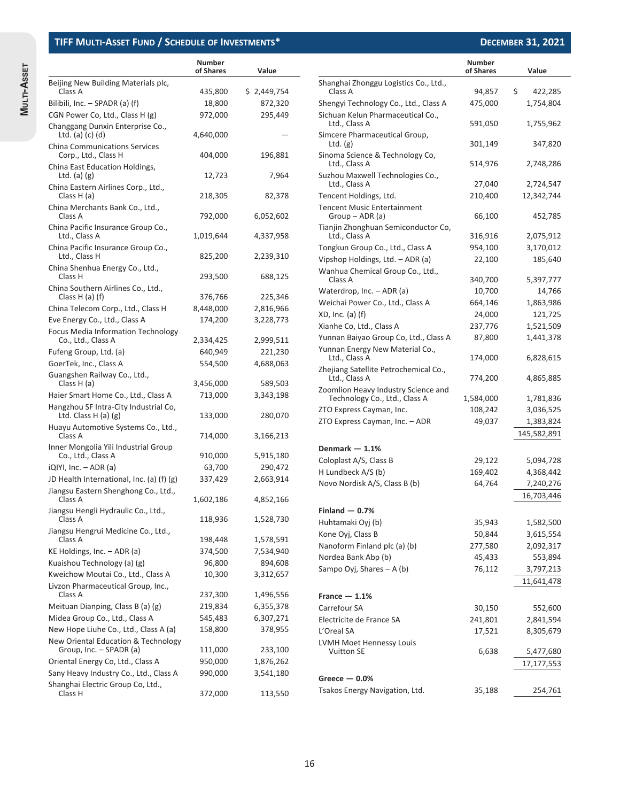|                                                                | <b>Number</b><br>of Shares | Value                  |                                                          |
|----------------------------------------------------------------|----------------------------|------------------------|----------------------------------------------------------|
| Beijing New Building Materials plc,<br>Class A                 | 435,800                    | \$2,449,754            | Shanghai Zhonggu Logistio<br>Class A                     |
| Bilibili, Inc. - SPADR (a) (f)                                 | 18,800                     | 872,320                | Shengyi Technology Co., L                                |
| CGN Power Co, Ltd., Class H (g)                                | 972,000                    | 295,449                | Sichuan Kelun Pharmaceu                                  |
| Changgang Dunxin Enterprise Co.,<br>Ltd. $(a)$ $(c)$ $(d)$     | 4,640,000                  |                        | Ltd., Class A<br>Simcere Pharmaceutical G                |
| <b>China Communications Services</b><br>Corp., Ltd., Class H   | 404,000                    | 196,881                | Ltd. $(g)$<br>Sinoma Science & Techno                    |
| China East Education Holdings,<br>Ltd. $(a)$ $(g)$             | 12,723                     | 7,964                  | Ltd., Class A<br>Suzhou Maxwell Technolo                 |
| China Eastern Airlines Corp., Ltd.,<br>Class H (a)             | 218,305                    | 82,378                 | Ltd., Class A<br>Tencent Holdings, Ltd.                  |
| China Merchants Bank Co., Ltd.,<br>Class A                     | 792,000                    | 6,052,602              | <b>Tencent Music Entertainm</b><br>Group – ADR (a)       |
| China Pacific Insurance Group Co.,<br>Ltd., Class A            | 1,019,644                  | 4,337,958              | Tianjin Zhonghuan Semico<br>Ltd., Class A                |
| China Pacific Insurance Group Co.,<br>Ltd., Class H            | 825,200                    | 2,239,310              | Tongkun Group Co., Ltd., (<br>Vipshop Holdings, Ltd. - A |
| China Shenhua Energy Co., Ltd.,<br>Class H                     | 293,500                    | 688,125                | Wanhua Chemical Group<br>Class A                         |
| China Southern Airlines Co., Ltd.,<br>Class $H(a)$ (f)         | 376,766                    | 225,346                | Waterdrop, Inc. - ADR (a)                                |
| China Telecom Corp., Ltd., Class H                             | 8,448,000                  | 2,816,966              | Weichai Power Co., Ltd., C                               |
| Eve Energy Co., Ltd., Class A                                  | 174,200                    | 3,228,773              | $XD$ , Inc. (a) (f)                                      |
| Focus Media Information Technology                             |                            |                        | Xianhe Co, Ltd., Class A<br>Yunnan Baiyao Group Co,      |
| Co., Ltd., Class A                                             | 2,334,425                  | 2,999,511              | Yunnan Energy New Mate                                   |
| Fufeng Group, Ltd. (a)                                         | 640,949                    | 221,230                | Ltd., Class A                                            |
| GoerTek, Inc., Class A                                         | 554,500                    | 4,688,063              | Zhejiang Satellite Petroch                               |
| Guangshen Railway Co., Ltd.,<br>Class H (a)                    | 3,456,000                  | 589,503                | Ltd., Class A                                            |
| Haier Smart Home Co., Ltd., Class A                            | 713,000                    | 3,343,198              | Zoomlion Heavy Industry !<br>Technology Co., Ltd., C     |
| Hangzhou SF Intra-City Industrial Co,<br>Ltd. Class $H(a)$ (g) | 133,000                    | 280,070                | ZTO Express Cayman, Inc.                                 |
| Huayu Automotive Systems Co., Ltd.,<br>Class A                 | 714,000                    | 3,166,213              | ZTO Express Cayman, Inc.                                 |
| Inner Mongolia Yili Industrial Group                           |                            |                        | Denmark $-1.1%$                                          |
| Co., Ltd., Class A                                             | 910,000                    | 5,915,180              | Coloplast A/S, Class B                                   |
| $iQ[YI, Inc. - ADR(a)]$                                        | 63,700                     | 290,472                | H Lundbeck A/S (b)                                       |
| JD Health International, Inc. (a) (f) (g)                      | 337,429                    | 2,663,914              | Novo Nordisk A/S, Class B                                |
| Jiangsu Eastern Shenghong Co., Ltd.,<br>Class A                | 1,602,186                  | 4,852,166              |                                                          |
| Jiangsu Hengli Hydraulic Co., Ltd.,                            |                            |                        | $Finaland - 0.7%$                                        |
| Class A                                                        | 118,936                    | 1,528,730              | Huhtamaki Oyj (b)                                        |
| Jiangsu Hengrui Medicine Co., Ltd.,                            |                            |                        | Kone Oyj, Class B                                        |
| Class A<br>KE Holdings, Inc. - ADR (a)                         | 198,448<br>374,500         | 1,578,591<br>7,534,940 | Nanoform Finland plc (a) (                               |
| Kuaishou Technology (a) (g)                                    | 96,800                     | 894,608                | Nordea Bank Abp (b)                                      |
| Kweichow Moutai Co., Ltd., Class A                             | 10,300                     | 3,312,657              | Sampo Oyj, Shares - A (b)                                |
| Livzon Pharmaceutical Group, Inc.,                             |                            |                        |                                                          |
| Class A                                                        | 237,300                    | 1,496,556              | France $-1.1%$                                           |
| Meituan Dianping, Class B (a) (g)                              | 219,834                    | 6,355,378              | Carrefour SA                                             |
| Midea Group Co., Ltd., Class A                                 | 545,483                    | 6,307,271              | Electricite de France SA                                 |
| New Hope Liuhe Co., Ltd., Class A (a)                          | 158,800                    | 378,955                | L'Oreal SA                                               |
| New Oriental Education & Technology                            |                            |                        | LVMH Moet Hennessy Lou                                   |
| Group, Inc. - SPADR (a)<br>Oriental Energy Co, Ltd., Class A   | 111,000<br>950,000         | 233,100                | <b>Vuitton SE</b>                                        |
| Sany Heavy Industry Co., Ltd., Class A                         |                            | 1,876,262              |                                                          |
| Shanghai Electric Group Co, Ltd.,                              | 990,000                    | 3,541,180              | Greece $-0.0%$                                           |
| Class H                                                        | 372,000                    | 113,550                | Tsakos Energy Navigation,                                |

**Number of Shares Value**

| Shanghai Zhonggu Logistics Co., Ltd.,                  |           |               |
|--------------------------------------------------------|-----------|---------------|
| Class A                                                | 94,857    | \$<br>422,285 |
| Shengyi Technology Co., Ltd., Class A                  | 475,000   | 1,754,804     |
| Sichuan Kelun Pharmaceutical Co.,<br>Ltd., Class A     | 591,050   | 1,755,962     |
| Simcere Pharmaceutical Group,<br>Ltd. $(g)$            | 301,149   | 347,820       |
| Sinoma Science & Technology Co,<br>Ltd., Class A       | 514,976   | 2,748,286     |
| Suzhou Maxwell Technologies Co.,<br>Ltd., Class A      | 27,040    | 2,724,547     |
| Tencent Holdings, Ltd.                                 | 210,400   | 12,342,744    |
| <b>Tencent Music Entertainment</b><br>Group - ADR (a)  | 66,100    | 452,785       |
| Tianjin Zhonghuan Semiconductor Co,<br>Ltd., Class A   | 316,916   | 2,075,912     |
| Tongkun Group Co., Ltd., Class A                       | 954,100   | 3,170,012     |
| Vipshop Holdings, Ltd. - ADR (a)                       | 22,100    | 185,640       |
| Wanhua Chemical Group Co., Ltd.,<br>Class A            | 340,700   | 5,397,777     |
| Waterdrop, Inc. – ADR (a)                              | 10,700    | 14,766        |
| Weichai Power Co., Ltd., Class A                       | 664,146   | 1,863,986     |
| XD, Inc. (a) (f)                                       | 24,000    | 121,725       |
| Xianhe Co, Ltd., Class A                               | 237,776   | 1,521,509     |
| Yunnan Baiyao Group Co, Ltd., Class A                  | 87,800    | 1,441,378     |
| Yunnan Energy New Material Co.,<br>Ltd., Class A       | 174,000   | 6,828,615     |
| Zhejiang Satellite Petrochemical Co.,<br>Ltd., Class A | 774,200   | 4,865,885     |
| Zoomlion Heavy Industry Science and                    |           |               |
| Technology Co., Ltd., Class A                          | 1,584,000 | 1,781,836     |
| ZTO Express Cayman, Inc.                               | 108,242   | 3,036,525     |
| ZTO Express Cayman, Inc. - ADR                         | 49,037    | 1,383,824     |
|                                                        |           | 145,582,891   |
| Denmark — 1.1%                                         |           |               |
| Coloplast A/S, Class B                                 | 29,122    | 5,094,728     |
| H Lundbeck A/S (b)                                     | 169,402   | 4,368,442     |
| Novo Nordisk A/S, Class B (b)                          | 64,764    | 7,240,276     |
|                                                        |           | 16,703,446    |
| Finland $-$ 0.7%                                       |           |               |
| Huhtamaki Oyj (b)                                      | 35,943    | 1,582,500     |
| Kone Oyj, Class B                                      | 50,844    | 3,615,554     |
| Nanoform Finland plc (a) (b)                           | 277,580   | 2,092,317     |
| Nordea Bank Abp (b)                                    | 45,433    | 553,894       |
| Sampo Oyj, Shares - A (b)                              | 76,112    | 3,797,213     |
|                                                        |           | 11,641,478    |
| France $-1.1%$                                         |           |               |
| Carrefour SA                                           | 30,150    | 552,600       |
| Electricite de France SA                               | 241,801   | 2,841,594     |
| L'Oreal SA                                             | 17,521    | 8,305,679     |
| LVMH Moet Hennessy Louis                               |           |               |
| <b>Vuitton SE</b>                                      | 6,638     | 5,477,680     |
|                                                        |           | 17,177,553    |
| Greece $-$ 0.0%                                        |           |               |
| Tsakos Energy Navigation, Ltd.                         | 35,188    | 254,761       |
|                                                        |           |               |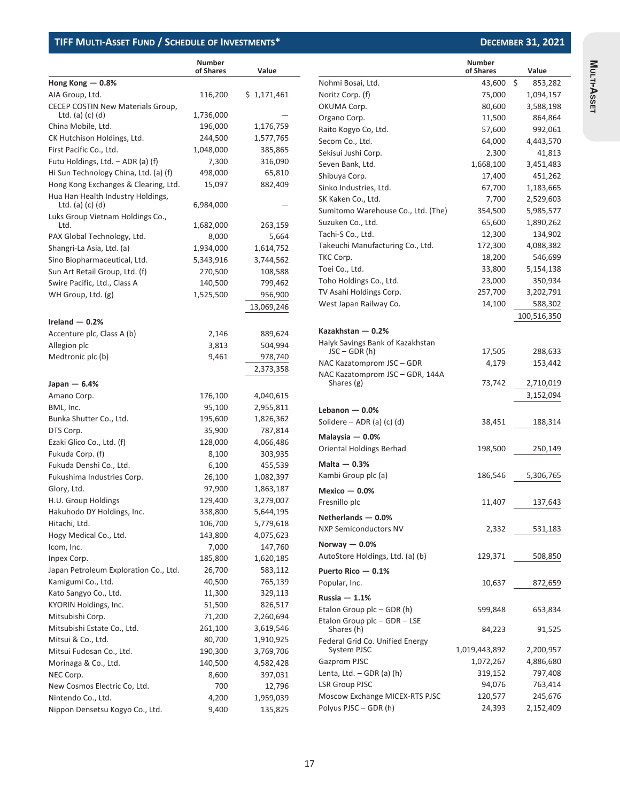|                                                                           | <b>Number</b><br>of Shares | Value                |
|---------------------------------------------------------------------------|----------------------------|----------------------|
| Hong Kong $-$ 0.8%                                                        |                            |                      |
| AIA Group, Ltd.                                                           | 116,200                    | \$1,171,461          |
| CECEP COSTIN New Materials Group,<br>Ltd. (a) (c) (d)                     | 1,736,000                  |                      |
|                                                                           | 196,000                    |                      |
| China Mobile, Ltd.                                                        | 244,500                    | 1,176,759            |
| CK Hutchison Holdings, Ltd.                                               |                            | 1,577,765<br>385,865 |
| First Pacific Co., Ltd.<br>Futu Holdings, Ltd. - ADR (a) (f)              | 1,048,000<br>7,300         |                      |
| Hi Sun Technology China, Ltd. (a) (f)                                     |                            | 316,090              |
|                                                                           | 498,000                    | 65,810               |
| Hong Kong Exchanges & Clearing, Ltd.<br>Hua Han Health Industry Holdings, | 15,097                     | 882,409              |
| Ltd. (a) $(c)$ $(d)$<br>Luks Group Vietnam Holdings Co.,                  | 6,984,000                  |                      |
| Ltd.                                                                      | 1,682,000                  | 263,159              |
| PAX Global Technology, Ltd.                                               | 8,000                      | 5,664                |
| Shangri-La Asia, Ltd. (a)                                                 | 1,934,000                  | 1,614,752            |
| Sino Biopharmaceutical, Ltd.                                              | 5,343,916                  | 3,744,562            |
| Sun Art Retail Group, Ltd. (f)                                            | 270,500                    | 108,588              |
| Swire Pacific, Ltd., Class A                                              | 140,500                    | 799,462              |
| WH Group, Ltd. (g)                                                        | 1,525,500                  | 956,900              |
|                                                                           |                            | 13,069,246           |
| Ireland $-0.2%$                                                           |                            |                      |
| Accenture plc, Class A (b)                                                | 2,146                      | 889,624              |
| Allegion plc                                                              | 3,813                      | 504,994              |
| Medtronic plc (b)                                                         | 9,461                      | 978,740              |
|                                                                           |                            | 2,373,358            |
| Japan — 6.4%                                                              |                            |                      |
| Amano Corp.                                                               | 176,100                    | 4,040,615            |
| BML, Inc.                                                                 | 95,100                     | 2,955,811            |
| Bunka Shutter Co., Ltd.                                                   | 195,600                    | 1,826,362            |
| DTS Corp.                                                                 | 35,900                     | 787,814              |
| Ezaki Glico Co., Ltd. (f)                                                 | 128,000                    | 4,066,486            |
| Fukuda Corp. (f)                                                          | 8,100                      | 303,935              |
| Fukuda Denshi Co., Ltd.                                                   | 6,100                      | 455,539              |
| Fukushima Industries Corp.                                                | 26,100                     | 1,082,397            |
| Glory, Ltd.                                                               | 97,900                     | 1,863,187            |
| H.U. Group Holdings                                                       | 129,400                    | 3,279,007            |
| Hakuhodo DY Holdings, Inc.                                                | 338,800                    | 5,644,195            |
| Hitachi, Ltd.                                                             | 106,700                    | 5,779,618            |
| Hogy Medical Co., Ltd.                                                    | 143,800                    | 4,075,623            |
| Icom, Inc.                                                                | 7,000                      | 147,760              |
| Inpex Corp.                                                               | 185,800                    | 1,620,185            |
| Japan Petroleum Exploration Co., Ltd.                                     | 26,700                     | 583,112              |
| Kamigumi Co., Ltd.                                                        | 40,500                     | 765,139              |
| Kato Sangyo Co., Ltd.                                                     | 11,300                     | 329,113              |
| KYORIN Holdings, Inc.                                                     | 51,500                     | 826,517              |
| Mitsubishi Corp.                                                          | 71,200                     | 2,260,694            |
| Mitsubishi Estate Co., Ltd.                                               | 261,100                    | 3,619,546            |
| Mitsui & Co., Ltd.                                                        | 80,700                     | 1,910,925            |
| Mitsui Fudosan Co., Ltd.                                                  | 190,300                    | 3,769,706            |
| Morinaga & Co., Ltd.                                                      | 140,500                    | 4,582,428            |
| NEC Corp.                                                                 | 8,600                      | 397,031              |
| New Cosmos Electric Co, Ltd.                                              | 700                        | 12,796               |
| Nintendo Co., Ltd.                                                        | 4,200                      | 1,959,039            |
| Nippon Densetsu Kogyo Co., Ltd.                                           | 9,400                      | 135,825              |

|                                                    | <b>Number</b><br>of Shares | Value         |
|----------------------------------------------------|----------------------------|---------------|
| Nohmi Bosai, Ltd.                                  | 43,600                     | \$<br>853,282 |
| Noritz Corp. (f)                                   | 75,000                     | 1,094,157     |
| OKUMA Corp.                                        | 80,600                     | 3,588,198     |
| Organo Corp.                                       | 11,500                     | 864,864       |
| Raito Kogyo Co, Ltd.                               | 57,600                     | 992,061       |
| Secom Co., Ltd.                                    | 64,000                     | 4,443,570     |
| Sekisui Jushi Corp.                                | 2,300                      | 41,813        |
| Seven Bank, Ltd.                                   | 1,668,100                  | 3,451,483     |
| Shibuya Corp.                                      | 17,400                     | 451,262       |
| Sinko Industries, Ltd.                             | 67,700                     | 1,183,665     |
| SK Kaken Co., Ltd.                                 | 7,700                      | 2,529,603     |
| Sumitomo Warehouse Co., Ltd. (The)                 | 354,500                    | 5,985,577     |
| Suzuken Co., Ltd.                                  | 65,600                     | 1,890,262     |
| Tachi-S Co., Ltd.                                  | 12,300                     | 134,902       |
| Takeuchi Manufacturing Co., Ltd.                   | 172,300                    | 4,088,382     |
| TKC Corp.                                          | 18,200                     | 546,699       |
| Toei Co., Ltd.                                     | 33,800                     | 5,154,138     |
| Toho Holdings Co., Ltd.                            | 23,000                     | 350,934       |
| TV Asahi Holdings Corp.                            | 257,700                    | 3,202,791     |
|                                                    |                            |               |
| West Japan Railway Co.                             | 14,100                     | 588,302       |
|                                                    |                            | 100,516,350   |
| Kazakhstan $-0.2%$                                 |                            |               |
| Halyk Savings Bank of Kazakhstan<br>$JSC - GDR(h)$ | 17,505                     | 288,633       |
| NAC Kazatomprom JSC - GDR                          | 4,179                      | 153,442       |
| NAC Kazatomprom JSC - GDR, 144A                    |                            |               |
| Shares (g)                                         | 73,742                     | 2,710,019     |
|                                                    |                            | 3,152,094     |
| Lebanon $-0.0%$                                    |                            |               |
| Solidere $-$ ADR (a) (c) (d)                       | 38,451                     | 188,314       |
|                                                    |                            |               |
| Malaysia $-0.0%$                                   |                            |               |
| Oriental Holdings Berhad                           | 198,500                    | 250,149       |
| Malta $-0.3%$                                      |                            |               |
| Kambi Group plc (a)                                | 186,546                    | 5,306,765     |
| Mexico $-0.0%$                                     |                            |               |
| Fresnillo plc                                      | 11,407                     | 137,643       |
| Netherlands - 0.0%                                 |                            |               |
| <b>NXP Semiconductors NV</b>                       | 2,332                      | 531,183       |
| Norway $-0.0%$                                     |                            |               |
| AutoStore Holdings, Ltd. (a) (b)                   | 129,371                    | 508,850       |
| Puerto Rico - 0.1%                                 |                            |               |
| Popular, Inc.                                      | 10,637                     | 872,659       |
| Russia $-1.1%$                                     |                            |               |
| Etalon Group plc - GDR (h)                         | 599,848                    | 653,834       |
| Etalon Group plc - GDR - LSE                       |                            |               |
| Shares (h)                                         | 84,223                     | 91,525        |
| Federal Grid Co. Unified Energy<br>System PJSC     | 1,019,443,892              | 2,200,957     |
| Gazprom PJSC                                       | 1,072,267                  | 4,886,680     |
| Lenta, Ltd. – GDR (a) (h)                          | 319,152                    | 797,408       |
| <b>LSR Group PJSC</b>                              | 94,076                     | 763,414       |
| Moscow Exchange MICEX-RTS PJSC                     | 120,577                    | 245,676       |
| Polyus PJSC - GDR (h)                              | 24,393                     | 2,152,409     |

Multi-Asset **MULTI-ASSET**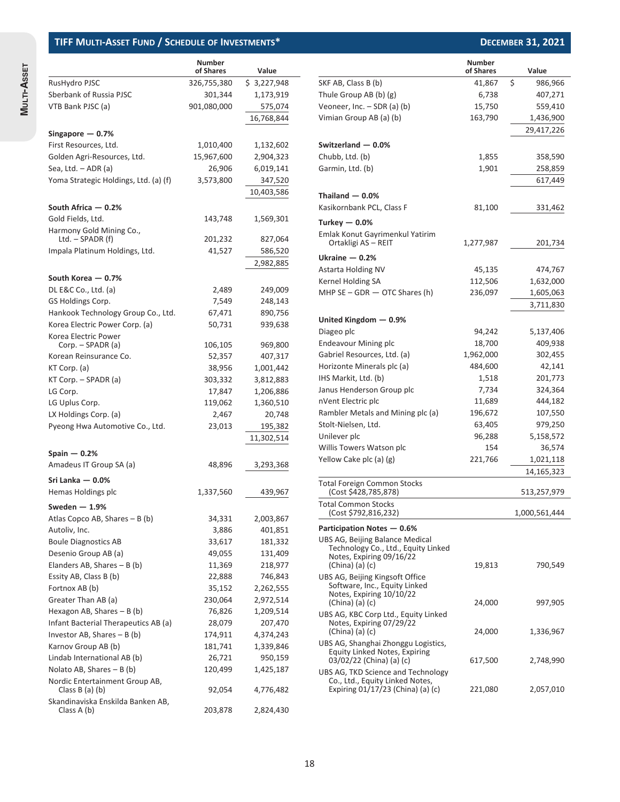| í      |  |
|--------|--|
| ò<br>ĕ |  |
|        |  |
|        |  |

|                                       | <b>Number</b><br>of Shares | Value       |
|---------------------------------------|----------------------------|-------------|
| RusHydro PJSC                         | 326,755,380                | \$3,227,948 |
| Sberbank of Russia PJSC               | 301,344                    | 1,173,919   |
| VTB Bank PJSC (a)                     | 901,080,000                | 575,074     |
|                                       |                            | 16,768,844  |
|                                       |                            |             |
| Singapore $-$ 0.7%                    |                            |             |
| First Resources, Ltd.                 | 1,010,400                  | 1,132,602   |
| Golden Agri-Resources, Ltd.           | 15,967,600                 | 2,904,323   |
| Sea, Ltd. – ADR (a)                   | 26,906                     | 6,019,141   |
| Yoma Strategic Holdings, Ltd. (a) (f) | 3,573,800                  | 347,520     |
|                                       |                            | 10,403,586  |
| South Africa - 0.2%                   |                            |             |
| Gold Fields, Ltd.                     | 143,748                    | 1,569,301   |
| Harmony Gold Mining Co.,              |                            |             |
| Ltd. – SPADR (f)                      | 201,232                    | 827,064     |
| Impala Platinum Holdings, Ltd.        | 41,527                     | 586,520     |
|                                       |                            | 2,982,885   |
| South Korea - 0.7%                    |                            |             |
| DL E&C Co., Ltd. (a)                  | 2,489                      | 249,009     |
| GS Holdings Corp.                     | 7,549                      | 248,143     |
| Hankook Technology Group Co., Ltd.    | 67,471                     | 890,756     |
| Korea Electric Power Corp. (a)        | 50,731                     | 939,638     |
| Korea Electric Power                  |                            |             |
| Corp. – SPADR (a)                     | 106,105                    | 969,800     |
| Korean Reinsurance Co.                | 52,357                     | 407,317     |
| KT Corp. (a)                          | 38,956                     | 1,001,442   |
| KT Corp. - SPADR (a)                  | 303,332                    | 3,812,883   |
| LG Corp.                              | 17,847                     | 1,206,886   |
| LG Uplus Corp.                        | 119,062                    | 1,360,510   |
| LX Holdings Corp. (a)                 | 2,467                      | 20,748      |
| Pyeong Hwa Automotive Co., Ltd.       | 23,013                     | 195,382     |
|                                       |                            | 11,302,514  |
| Spain $-$ 0.2%                        |                            |             |
| Amadeus IT Group SA (a)               | 48,896                     | 3,293,368   |
|                                       |                            |             |
| Sri Lanka — 0.0%                      |                            |             |
| Hemas Holdings plc                    | 1,337,560                  | 439,967     |
| Sweden $-1.9%$                        |                            |             |
| Atlas Copco AB, Shares - B (b)        | 34,331                     | 2,003,867   |
| Autoliv, Inc.                         | 3,886                      | 401,851     |
| <b>Boule Diagnostics AB</b>           | 33,617                     | 181,332     |
| Desenio Group AB (a)                  | 49,055                     | 131,409     |
| Elanders AB, Shares $- B(b)$          | 11,369                     | 218,977     |
| Essity AB, Class B (b)                | 22,888                     | 746,843     |
| Fortnox AB (b)                        | 35,152                     | 2,262,555   |
| Greater Than AB (a)                   | 230,064                    | 2,972,514   |
| Hexagon AB, Shares $- B (b)$          | 76,826                     | 1,209,514   |
| Infant Bacterial Therapeutics AB (a)  | 28,079                     | 207,470     |
| Investor AB, Shares $- B(b)$          | 174,911                    | 4,374,243   |
| Karnov Group AB (b)                   | 181,741                    | 1,339,846   |
| Lindab International AB (b)           | 26,721                     | 950,159     |
| Nolato AB, Shares $- B(b)$            | 120,499                    | 1,425,187   |
| Nordic Entertainment Group AB,        |                            |             |
| Class B (a) (b)                       | 92,054                     | 4,776,482   |
| Skandinaviska Enskilda Banken AB,     |                            |             |
| Class A (b)                           | 203,878                    | 2,824,430   |

|                                                                                                                             | <b>Number</b><br>of Shares | Value         |
|-----------------------------------------------------------------------------------------------------------------------------|----------------------------|---------------|
| SKF AB, Class B (b)                                                                                                         | 41,867                     | \$<br>986,966 |
| Thule Group AB (b) (g)                                                                                                      | 6,738                      | 407,271       |
| Veoneer, Inc. - SDR (a) (b)                                                                                                 | 15,750                     | 559,410       |
| Vimian Group AB (a) (b)                                                                                                     | 163,790                    | 1,436,900     |
|                                                                                                                             |                            | 29,417,226    |
| Switzerland - 0.0%                                                                                                          |                            |               |
| Chubb, Ltd. (b)                                                                                                             | 1,855                      | 358,590       |
| Garmin, Ltd. (b)                                                                                                            | 1,901                      | 258,859       |
|                                                                                                                             |                            | 617,449       |
| Thailand - 0.0%<br>Kasikornbank PCL, Class F                                                                                | 81,100                     | 331,462       |
| Turkey $-0.0%$                                                                                                              |                            |               |
| Emlak Konut Gayrimenkul Yatirim<br>Ortakligi AS - REIT                                                                      | 1,277,987                  | 201,734       |
| Ukraine $-0.2%$                                                                                                             |                            |               |
| Astarta Holding NV                                                                                                          | 45,135                     | 474,767       |
| Kernel Holding SA                                                                                                           | 112,506                    | 1,632,000     |
| MHP SE $-$ GDR $-$ OTC Shares (h)                                                                                           | 236,097                    | 1,605,063     |
|                                                                                                                             |                            | 3,711,830     |
| United Kingdom - 0.9%                                                                                                       |                            |               |
| Diageo plc                                                                                                                  | 94,242                     | 5,137,406     |
| Endeavour Mining plc                                                                                                        | 18,700                     | 409,938       |
| Gabriel Resources, Ltd. (a)                                                                                                 | 1,962,000                  | 302,455       |
| Horizonte Minerals plc (a)                                                                                                  | 484,600                    | 42,141        |
| IHS Markit, Ltd. (b)                                                                                                        | 1,518                      | 201,773       |
| Janus Henderson Group plc                                                                                                   | 7,734                      | 324,364       |
| nVent Electric plc                                                                                                          | 11,689                     | 444,182       |
| Rambler Metals and Mining plc (a)                                                                                           | 196,672                    | 107,550       |
| Stolt-Nielsen, Ltd.                                                                                                         | 63,405                     | 979,250       |
| Unilever plc                                                                                                                | 96,288                     | 5,158,572     |
| Willis Towers Watson plc                                                                                                    | 154                        | 36,574        |
| Yellow Cake plc (a) (g)                                                                                                     | 221,766                    | 1,021,118     |
|                                                                                                                             |                            | 14,165,323    |
| <b>Total Foreign Common Stocks</b><br>(Cost \$428,785,878)                                                                  |                            | 513,257,979   |
| <b>Total Common Stocks</b><br>(Cost \$792,816,232)                                                                          |                            | 1,000,561,444 |
| Participation Notes - 0.6%                                                                                                  |                            |               |
| UBS AG, Beijing Balance Medical<br>Technology Co., Ltd., Equity Linked<br>Notes, Expiring 09/16/22<br>$(China)$ $(a)$ $(c)$ | 19,813                     | 790,549       |
| UBS AG, Beijing Kingsoft Office<br>Software, Inc., Equity Linked<br>Notes, Expiring 10/10/22<br>$(China)$ $(a)$ $(c)$       | 24,000                     | 997,905       |
| UBS AG, KBC Corp Ltd., Equity Linked<br>Notes, Expiring 07/29/22<br>$(China)$ $(a)$ $(c)$                                   | 24,000                     | 1,336,967     |
| UBS AG, Shanghai Zhonggu Logistics,<br>Equity Linked Notes, Expiring<br>03/02/22 (China) (a) (c)                            | 617,500                    | 2,748,990     |
| UBS AG, TKD Science and Technology<br>Co., Ltd., Equity Linked Notes,<br>Expiring 01/17/23 (China) (a) (c)                  | 221,080                    | 2,057,010     |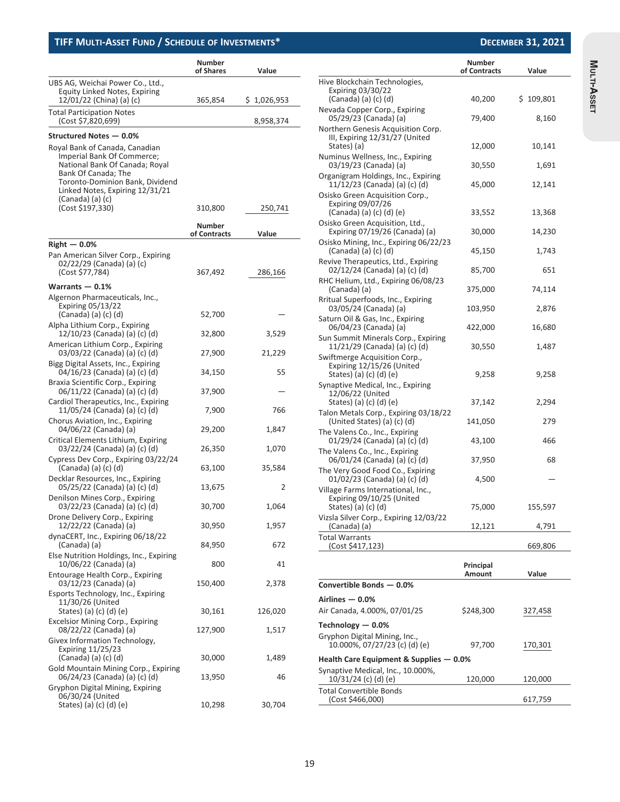|                                                                                                                                                                                                                 | <b>Number</b><br>of Shares | Value       |
|-----------------------------------------------------------------------------------------------------------------------------------------------------------------------------------------------------------------|----------------------------|-------------|
| UBS AG, Weichai Power Co., Ltd.,<br>Equity Linked Notes, Expiring<br>12/01/22 (China) (a) (c)                                                                                                                   | 365,854                    | \$1,026,953 |
| <b>Total Participation Notes</b><br>(Cost \$7,820,699)                                                                                                                                                          |                            | 8,958,374   |
| Structured Notes - 0.0%                                                                                                                                                                                         |                            |             |
| Royal Bank of Canada, Canadian<br>Imperial Bank Of Commerce;<br>National Bank Of Canada; Royal<br>Bank Of Canada; The<br>Toronto-Dominion Bank, Dividend<br>Linked Notes, Expiring 12/31/21<br>(Canada) (a) (c) |                            |             |
| (Cost \$197,330)                                                                                                                                                                                                | 310,800                    | 250,741     |
|                                                                                                                                                                                                                 | Number<br>of Contracts     | Value       |
| $Right - 0.0\%$                                                                                                                                                                                                 |                            |             |
| Pan American Silver Corp., Expiring<br>02/22/29 (Canada) (a) (c)<br>(Cost \$77,784)                                                                                                                             | 367,492                    | 286,166     |
| Warrants $-0.1%$                                                                                                                                                                                                |                            |             |
| Algernon Pharmaceuticals, Inc.,<br><b>Expiring 05/13/22</b><br>(Canada) (a) (c) (d)                                                                                                                             | 52,700                     |             |
| Alpha Lithium Corp., Expiring<br>12/10/23 (Canada) (a) (c) (d)                                                                                                                                                  | 32,800                     | 3,529       |
| American Lithium Corp., Expiring<br>03/03/22 (Canada) (a) (c) (d)                                                                                                                                               | 27,900                     | 21,229      |
| Bigg Digital Assets, Inc., Expiring<br>04/16/23 (Canada) (a) (c) (d)                                                                                                                                            | 34,150                     | 55          |
| Braxia Scientific Corp., Expiring<br>06/11/22 (Canada) (a) (c) (d)                                                                                                                                              | 37,900                     |             |
| Cardiol Therapeutics, Inc., Expiring<br>11/05/24 (Canada) (a) (c) (d)                                                                                                                                           | 7,900                      | 766         |
| Chorus Aviation, Inc., Expiring<br>04/06/22 (Canada) (a)                                                                                                                                                        | 29,200                     | 1,847       |
| Critical Elements Lithium, Expiring<br>03/22/24 (Canada) (a) (c) (d)                                                                                                                                            | 26,350                     | 1,070       |
| Cypress Dev Corp., Expiring 03/22/24<br>(Canada) (a) (c) (d)                                                                                                                                                    | 63,100                     | 35,584      |
| Decklar Resources, Inc., Expiring<br>05/25/22 (Canada) (a) (c) (d)                                                                                                                                              | 13,675                     | 2           |
| Denilson Mines Corp., Expiring<br>03/22/23 (Canada) (a) (c) (d)                                                                                                                                                 | 30,700                     | 1,064       |
| Drone Delivery Corp., Expiring<br>12/22/22 (Canada) (a)                                                                                                                                                         | 30,950                     | 1,957       |
| dynaCERT, Inc., Expiring 06/18/22<br>(Canada) (a)                                                                                                                                                               | 84,950                     | 672         |
| Else Nutrition Holdings, Inc., Expiring<br>10/06/22 (Canada) (a)                                                                                                                                                | 800                        | 41          |
| Entourage Health Corp., Expiring<br>03/12/23 (Canada) (a)                                                                                                                                                       | 150,400                    | 2,378       |
| Esports Technology, Inc., Expiring<br>11/30/26 (United<br>States) (a) (c) (d) (e)                                                                                                                               | 30,161                     | 126,020     |
| Excelsior Mining Corp., Expiring<br>08/22/22 (Canada) (a)                                                                                                                                                       | 127,900                    | 1,517       |
| Givex Information Technology,<br><b>Expiring 11/25/23</b>                                                                                                                                                       |                            |             |
| (Canada) (a) (c) (d)<br>Gold Mountain Mining Corp., Expiring                                                                                                                                                    | 30,000                     | 1,489       |
| 06/24/23 (Canada) (a) (c) (d)<br>Gryphon Digital Mining, Expiring                                                                                                                                               | 13,950                     | 46          |
| 06/30/24 (United<br>States) (a) (c) (d) (e)                                                                                                                                                                     | 10,298                     | 30,704      |

|                                                                                             | Number<br>of Contracts | Value     |
|---------------------------------------------------------------------------------------------|------------------------|-----------|
| Hive Blockchain Technologies,                                                               |                        |           |
| Expiring 03/30/22<br>(Canada) (a) (c) (d)                                                   | 40,200                 | \$109,801 |
| Nevada Copper Corp., Expiring<br>05/29/23 (Canada) (a)                                      | 79,400                 | 8,160     |
| Northern Genesis Acquisition Corp.<br>III, Expiring 12/31/27 (United<br>States) (a)         | 12,000                 | 10,141    |
| Numinus Wellness, Inc., Expiring<br>03/19/23 (Canada) (a)                                   | 30,550                 | 1,691     |
| Organigram Holdings, Inc., Expiring<br>11/12/23 (Canada) (a) (c) (d)                        | 45,000                 | 12,141    |
| Osisko Green Acquisition Corp.,<br>Expiring 09/07/26                                        |                        |           |
| (Canada) (a) (c) (d) (e)<br>Osisko Green Acquisition, Ltd.,                                 | 33,552                 | 13,368    |
| Expiring 07/19/26 (Canada) (a)<br>Osisko Mining, Inc., Expiring 06/22/23                    | 30,000                 | 14,230    |
| (Canada) (a) (c) (d)<br>Revive Therapeutics, Ltd., Expiring                                 | 45,150                 | 1,743     |
| 02/12/24 (Canada) (a) (c) (d)<br>RHC Helium, Ltd., Expiring 06/08/23                        | 85,700                 | 651       |
| (Canada) (a)<br>Rritual Superfoods, Inc., Expiring                                          | 375,000                | 74,114    |
| 03/05/24 (Canada) (a)<br>Saturn Oil & Gas, Inc., Expiring                                   | 103,950                | 2,876     |
| 06/04/23 (Canada) (a)<br>Sun Summit Minerals Corp., Expiring                                | 422,000                | 16,680    |
| 11/21/29 (Canada) (a) (c) (d)<br>Swiftmerge Acquisition Corp.,<br>Expiring 12/15/26 (United | 30,550                 | 1,487     |
| States) (a) (c) (d) (e)<br>Synaptive Medical, Inc., Expiring<br>12/06/22 (United            | 9,258                  | 9,258     |
| States) (a) (c) (d) (e)<br>Talon Metals Corp., Expiring 03/18/22                            | 37,142                 | 2,294     |
| (United States) (a) (c) (d)<br>The Valens Co., Inc., Expiring                               | 141,050                | 279       |
| 01/29/24 (Canada) (a) (c) (d)<br>The Valens Co., Inc., Expiring                             | 43,100                 | 466       |
| 06/01/24 (Canada) (a) (c) (d)<br>The Very Good Food Co., Expiring                           | 37,950                 | 68        |
| 01/02/23 (Canada) (a) (c) (d)<br>Village Farms International, Inc.,                         | 4,500                  |           |
| Expiring 09/10/25 (United<br>States) (a) (c) (d)                                            | 75,000                 | 155,597   |
| Vizsla Silver Corp., Expiring 12/03/22<br>(Canada) (a)                                      | 12,121                 | 4,791     |
| Total Warrants<br>(Cost \$417,123)                                                          |                        | 669,806   |
|                                                                                             | Principal<br>Amount    | Value     |
| Convertible Bonds - 0.0%                                                                    |                        |           |
| Airlines — 0.0%                                                                             |                        |           |
| Air Canada, 4.000%, 07/01/25                                                                | \$248,300              | 327,458   |
| Technology - 0.0%                                                                           |                        |           |
| Gryphon Digital Mining, Inc.,<br>10.000%, 07/27/23 (c) (d) (e)                              | 97,700                 | 170,301   |
| Health Care Equipment & Supplies — 0.0%<br>Synaptive Medical, Inc., 10.000%,                |                        |           |

10/31/24 (c) (d) (e) 120,000 120,000

(Cost \$466,000) 617,759

Total Convertible Bonds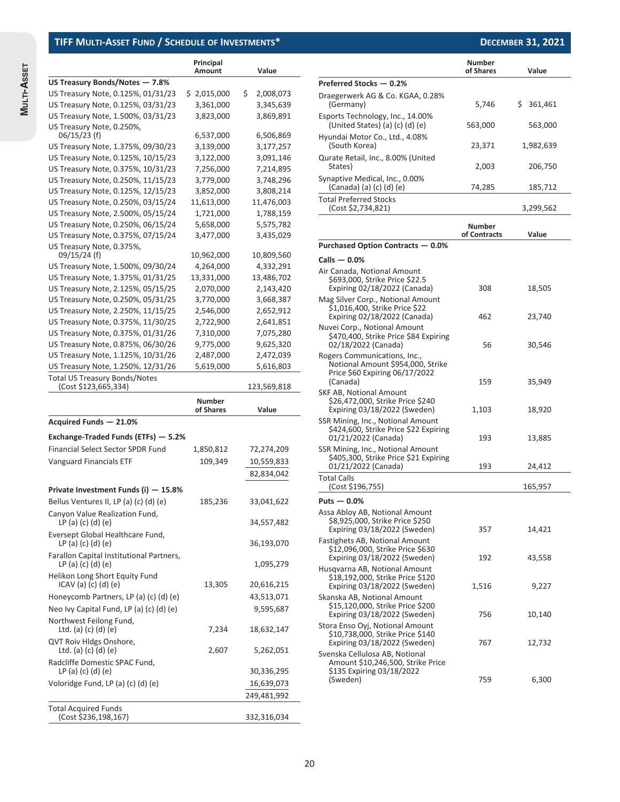**MULTI-ASSET**

MULTI-ASSET

|                                                                     | Principal                  |                           |
|---------------------------------------------------------------------|----------------------------|---------------------------|
| US Treasury Bonds/Notes - 7.8%                                      | Amount                     | Value                     |
| US Treasury Note, 0.125%, 01/31/23                                  | \$2,015,000                | \$.<br>2,008,073          |
| US Treasury Note, 0.125%, 03/31/23                                  | 3,361,000                  | 3,345,639                 |
| US Treasury Note, 1.500%, 03/31/23                                  | 3,823,000                  | 3,869,891                 |
| US Treasury Note, 0.250%,                                           |                            |                           |
| $06/15/23$ (f)                                                      | 6,537,000                  | 6,506,869                 |
| US Treasury Note, 1.375%, 09/30/23                                  | 3,139,000                  | 3,177,257                 |
| US Treasury Note, 0.125%, 10/15/23                                  | 3,122,000                  | 3,091,146                 |
| US Treasury Note, 0.375%, 10/31/23                                  | 7,256,000                  | 7,214,895                 |
| US Treasury Note, 0.250%, 11/15/23                                  | 3,779,000                  | 3,748,296                 |
| US Treasury Note, 0.125%, 12/15/23                                  | 3,852,000                  | 3,808,214                 |
| US Treasury Note, 0.250%, 03/15/24                                  | 11,613,000                 | 11,476,003                |
| US Treasury Note, 2.500%, 05/15/24                                  | 1,721,000                  | 1,788,159                 |
| US Treasury Note, 0.250%, 06/15/24                                  | 5,658,000                  | 5,575,782                 |
| US Treasury Note, 0.375%, 07/15/24                                  | 3,477,000                  | 3,435,029                 |
| US Treasury Note, 0.375%,                                           |                            |                           |
| 09/15/24 (f)                                                        | 10,962,000                 | 10,809,560                |
| US Treasury Note, 1.500%, 09/30/24                                  | 4,264,000                  | 4,332,291                 |
| US Treasury Note, 1.375%, 01/31/25                                  | 13,331,000                 | 13,486,702                |
| US Treasury Note, 2.125%, 05/15/25                                  | 2,070,000                  | 2,143,420                 |
| US Treasury Note, 0.250%, 05/31/25                                  | 3,770,000                  | 3,668,387                 |
| US Treasury Note, 2.250%, 11/15/25                                  | 2,546,000                  | 2,652,912                 |
| US Treasury Note, 0.375%, 11/30/25                                  | 2,722,900                  | 2,641,851                 |
| US Treasury Note, 0.375%, 01/31/26                                  | 7,310,000                  | 7,075,280                 |
| US Treasury Note, 0.875%, 06/30/26                                  | 9,775,000                  | 9,625,320                 |
| US Treasury Note, 1.125%, 10/31/26                                  | 2,487,000                  | 2,472,039                 |
| US Treasury Note, 1.250%, 12/31/26                                  | 5,619,000                  | 5,616,803                 |
| <b>Total US Treasury Bonds/Notes</b>                                |                            |                           |
| (Cost \$123,665,334)                                                |                            | 123,569,818               |
|                                                                     | <b>Number</b><br>of Shares | Value                     |
| Acquired Funds - 21.0%                                              |                            |                           |
| Exchange-Traded Funds (ETFs) – 5.2%                                 |                            |                           |
| <b>Financial Select Sector SPDR Fund</b>                            | 1,850,812                  | 72,274,209                |
| <b>Vanguard Financials ETF</b>                                      | 109,349                    | 10,559,833                |
|                                                                     |                            | 82,834,042                |
|                                                                     |                            |                           |
| Private Investment Funds (i) – 15.8%                                |                            |                           |
| Bellus Ventures II, LP (a) (c) (d) (e)                              | 185,236                    | 33,041,622                |
| Canyon Value Realization Fund,<br>LP(a) (c) (d) (e)                 |                            |                           |
|                                                                     |                            | 34,557,482                |
| Eversept Global Healthcare Fund,<br>LP (a) (c) (d) (e)              |                            | 36,193,070                |
| Farallon Capital Institutional Partners,<br>LP(a) (c) (d) (e)       |                            |                           |
| Helikon Long Short Equity Fund                                      | 13,305                     | 1,095,279                 |
| ICAV(a) (c) (d) (e)                                                 |                            | 20,616,215                |
| Honeycomb Partners, LP (a) (c) (d) (e)                              |                            | 43,513,071                |
| Neo Ivy Capital Fund, LP (a) (c) (d) (e)<br>Northwest Feilong Fund, |                            | 9,595,687                 |
| Ltd. (a) (c) (d) (e)                                                | 7,234                      | 18,632,147                |
| QVT Roiv Hldgs Onshore,<br>Ltd. (a) (c) (d) (e)                     | 2,607                      | 5,262,051                 |
| Radcliffe Domestic SPAC Fund,                                       |                            |                           |
| LP(a) (c) (d) (e)                                                   |                            | 30,336,295                |
| Voloridge Fund, LP (a) (c) (d) (e)                                  |                            | 16,639,073<br>249,481,992 |

(Cost \$236,198,167) 332,316,034

|                                                                                                                                    | <b>Number</b><br>of Shares | Value         |
|------------------------------------------------------------------------------------------------------------------------------------|----------------------------|---------------|
| Preferred Stocks - 0.2%                                                                                                            |                            |               |
| Draegerwerk AG & Co. KGAA, 0.28%<br>(Germany)                                                                                      | 5,746                      | \$<br>361,461 |
| Esports Technology, Inc., 14.00%<br>(United States) (a) $(c)$ (d) $(e)$                                                            | 563,000                    | 563,000       |
| Hyundai Motor Co., Ltd., 4.08%<br>(South Korea)                                                                                    | 23,371                     | 1,982,639     |
| Qurate Retail, Inc., 8.00% (United<br>States)                                                                                      | 2,003                      | 206,750       |
| Synaptive Medical, Inc., 0.00%<br>(Canada) (a) (c) (d) (e)                                                                         | 74,285                     | 185,712       |
| <b>Total Preferred Stocks</b><br>(Cost \$2,734,821)                                                                                |                            | 3,299,562     |
|                                                                                                                                    | Number<br>of Contracts     | Value         |
| Purchased Option Contracts – 0.0%                                                                                                  |                            |               |
| Calls $-0.0\%$                                                                                                                     |                            |               |
| Air Canada, Notional Amount<br>\$693,000, Strike Price \$22.5<br>Expiring 02/18/2022 (Canada)<br>Mag Silver Corp., Notional Amount | 308                        | 18,505        |
| \$1,016,400, Strike Price \$22<br>Expiring 02/18/2022 (Canada)                                                                     | 462                        | 23,740        |
| Nuvei Corp., Notional Amount<br>\$470,400, Strike Price \$84 Expiring<br>02/18/2022 (Canada)                                       | 56                         | 30,546        |
| Rogers Communications, Inc.,<br>Notional Amount \$954,000, Strike<br>Price \$60 Expiring 06/17/2022<br>(Canada)                    | 159                        | 35,949        |
| SKF AB, Notional Amount<br>\$26,472,000, Strike Price \$240<br>Expiring 03/18/2022 (Sweden)                                        | 1,103                      | 18,920        |
| SSR Mining, Inc., Notional Amount<br>\$424,600, Strike Price \$22 Expiring<br>01/21/2022 (Canada)                                  | 193                        | 13,885        |
| SSR Mining, Inc., Notional Amount<br>\$405,300, Strike Price \$21 Expiring<br>01/21/2022 (Canada)                                  | 193                        | 24,412        |
| Total Calls<br>(Cost \$196,755)                                                                                                    |                            | 165,957       |
| Puts — 0.0%                                                                                                                        |                            |               |
| Assa Abloy AB, Notional Amount<br>\$8,925,000, Strike Price \$250<br>Expiring 03/18/2022 (Sweden)                                  | 357                        | 14,421        |
| Fastighets AB, Notional Amount<br>\$12,096,000, Strike Price \$630<br>Expiring 03/18/2022 (Sweden)                                 | 192                        | 43,558        |
| Husqvarna AB, Notional Amount<br>\$18,192,000, Strike Price \$120<br>Expiring 03/18/2022 (Sweden)                                  | 1,516                      | 9,227         |
| Skanska AB, Notional Amount<br>\$15,120,000, Strike Price \$200<br>Expiring 03/18/2022 (Sweden)                                    | 756                        | 10,140        |
| Stora Enso Oyj, Notional Amount<br>\$10,738,000, Strike Price \$140<br>Expiring 03/18/2022 (Sweden)                                | 767                        | 12,732        |
| Svenska Cellulosa AB, Notional<br>Amount \$10,246,500, Strike Price<br>\$135 Expiring 03/18/2022<br>(Sweden)                       | 759                        | 6,300         |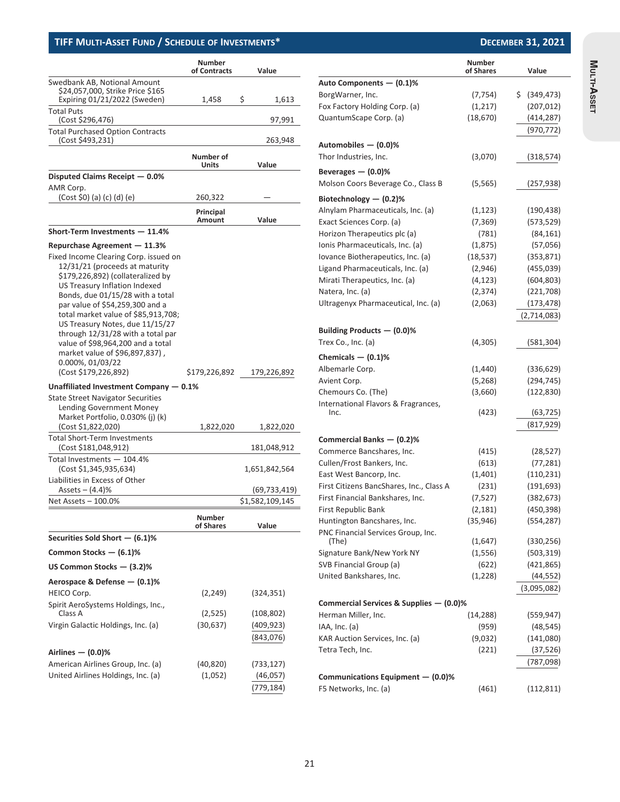|                                                                                                                                                                                                                                                                                                                                                                                                                                                                                        | <b>Number</b><br>of Contracts | Value                        |
|----------------------------------------------------------------------------------------------------------------------------------------------------------------------------------------------------------------------------------------------------------------------------------------------------------------------------------------------------------------------------------------------------------------------------------------------------------------------------------------|-------------------------------|------------------------------|
| Swedbank AB, Notional Amount                                                                                                                                                                                                                                                                                                                                                                                                                                                           |                               |                              |
| \$24,057,000, Strike Price \$165                                                                                                                                                                                                                                                                                                                                                                                                                                                       |                               | \$                           |
| Expiring 01/21/2022 (Sweden)<br><b>Total Puts</b>                                                                                                                                                                                                                                                                                                                                                                                                                                      | 1,458                         | 1,613                        |
| (Cost \$296,476)                                                                                                                                                                                                                                                                                                                                                                                                                                                                       |                               | 97,991                       |
| <b>Total Purchased Option Contracts</b><br>(Cost \$493,231)                                                                                                                                                                                                                                                                                                                                                                                                                            |                               | 263,948                      |
|                                                                                                                                                                                                                                                                                                                                                                                                                                                                                        | Number of<br>Units            | Value                        |
| Disputed Claims Receipt - 0.0%                                                                                                                                                                                                                                                                                                                                                                                                                                                         |                               |                              |
| AMR Corp.<br>(Cost \$0) (a) (c) (d) (e)                                                                                                                                                                                                                                                                                                                                                                                                                                                | 260,322                       |                              |
|                                                                                                                                                                                                                                                                                                                                                                                                                                                                                        | Principal                     |                              |
|                                                                                                                                                                                                                                                                                                                                                                                                                                                                                        | Amount                        | Value                        |
| Short-Term Investments - 11.4%                                                                                                                                                                                                                                                                                                                                                                                                                                                         |                               |                              |
| Repurchase Agreement – 11.3%<br>Fixed Income Clearing Corp. issued on<br>12/31/21 (proceeds at maturity<br>\$179,226,892) (collateralized by<br>US Treasury Inflation Indexed<br>Bonds, due 01/15/28 with a total<br>par value of \$54,259,300 and a<br>total market value of \$85,913,708;<br>US Treasury Notes, due 11/15/27<br>through 12/31/28 with a total par<br>value of \$98,964,200 and a total<br>market value of \$96,897,837),<br>0.000%, 01/03/22<br>(Cost \$179,226,892) | \$179,226,892                 | 179,226,892                  |
| Unaffiliated Investment Company $-0.1\%$                                                                                                                                                                                                                                                                                                                                                                                                                                               |                               |                              |
| <b>State Street Navigator Securities</b><br><b>Lending Government Money</b><br>Market Portfolio, 0.030% (j) (k)<br>(Cost \$1,822,020)                                                                                                                                                                                                                                                                                                                                                  | 1,822,020                     | 1,822,020                    |
| <b>Total Short-Term Investments</b><br>(Cost \$181,048,912)                                                                                                                                                                                                                                                                                                                                                                                                                            |                               |                              |
| Total Investments - 104.4%<br>(Cost \$1,345,935,634)<br>Liabilities in Excess of Other                                                                                                                                                                                                                                                                                                                                                                                                 |                               | 181,048,912<br>1,651,842,564 |
| Assets $- (4.4)$ %                                                                                                                                                                                                                                                                                                                                                                                                                                                                     |                               | (69,733,419)                 |
| Net Assets - 100.0%                                                                                                                                                                                                                                                                                                                                                                                                                                                                    |                               | \$1,582,109,145              |
|                                                                                                                                                                                                                                                                                                                                                                                                                                                                                        | <b>Number</b><br>of Shares    | Value                        |
| Securities Sold Short - (6.1)%                                                                                                                                                                                                                                                                                                                                                                                                                                                         |                               |                              |
| Common Stocks - (6.1)%                                                                                                                                                                                                                                                                                                                                                                                                                                                                 |                               |                              |
| US Common Stocks — (3.2)%                                                                                                                                                                                                                                                                                                                                                                                                                                                              |                               |                              |
| Aerospace & Defense - (0.1)%                                                                                                                                                                                                                                                                                                                                                                                                                                                           |                               |                              |
| HEICO Corp.                                                                                                                                                                                                                                                                                                                                                                                                                                                                            | (2, 249)                      | (324, 351)                   |
| Spirit AeroSystems Holdings, Inc.,<br>Class A                                                                                                                                                                                                                                                                                                                                                                                                                                          | (2,525)                       | (108, 802)                   |
| Virgin Galactic Holdings, Inc. (a)                                                                                                                                                                                                                                                                                                                                                                                                                                                     | (30, 637)                     | (409, 923)                   |
|                                                                                                                                                                                                                                                                                                                                                                                                                                                                                        |                               | (843,076)                    |
| Airlines $-$ (0.0)%                                                                                                                                                                                                                                                                                                                                                                                                                                                                    |                               |                              |
| American Airlines Group, Inc. (a)                                                                                                                                                                                                                                                                                                                                                                                                                                                      | (40,820)                      | (733, 127)                   |
| United Airlines Holdings, Inc. (a)                                                                                                                                                                                                                                                                                                                                                                                                                                                     | (1,052)                       | (46, 057)<br>(779,184)       |

|                                             | Number<br>of Shares | Value            |
|---------------------------------------------|---------------------|------------------|
| Auto Components - (0.1)%                    |                     |                  |
| BorgWarner, Inc.                            | (7, 754)            | \$<br>(349, 473) |
| Fox Factory Holding Corp. (a)               | (1, 217)            | (207, 012)       |
| QuantumScape Corp. (a)                      | (18, 670)           | (414, 287)       |
|                                             |                     | (970, 772)       |
|                                             |                     |                  |
| Automobiles - (0.0)%                        |                     |                  |
| Thor Industries, Inc.                       | (3,070)             | (318, 574)       |
| Beverages $-$ (0.0)%                        |                     |                  |
| Molson Coors Beverage Co., Class B          | (5, 565)            | (257, 938)       |
| Biotechnology $-$ (0.2)%                    |                     |                  |
| Alnylam Pharmaceuticals, Inc. (a)           | (1, 123)            | (190, 438)       |
| Exact Sciences Corp. (a)                    | (7, 369)            | (573, 529)       |
| Horizon Therapeutics plc (a)                | (781)               | (84, 161)        |
| Ionis Pharmaceuticals, Inc. (a)             | (1, 875)            | (57,056)         |
| lovance Biotherapeutics, Inc. (a)           | (18, 537)           | (353, 871)       |
| Ligand Pharmaceuticals, Inc. (a)            | (2,946)             | (455,039)        |
| Mirati Therapeutics, Inc. (a)               | (4, 123)            | (604, 803)       |
| Natera, Inc. (a)                            | (2, 374)            | (221, 708)       |
| Ultragenyx Pharmaceutical, Inc. (a)         | (2,063)             | (173, 478)       |
|                                             |                     | (2,714,083)      |
| Building Products - (0.0)%                  |                     |                  |
| Trex Co., Inc. (a)                          | (4,305)             | (581,304)        |
|                                             |                     |                  |
| Chemicals $-$ (0.1)%                        |                     |                  |
| Albemarle Corp.                             | (1,440)             | (336, 629)       |
| Avient Corp.                                | (5,268)             | (294, 745)       |
| Chemours Co. (The)                          | (3,660)             | (122, 830)       |
| International Flavors & Fragrances,<br>Inc. | (423)               | (63, 725)        |
|                                             |                     | (817, 929)       |
|                                             |                     |                  |
| Commercial Banks - (0.2)%                   |                     |                  |
| Commerce Bancshares, Inc.                   | (415)               | (28, 527)        |
| Cullen/Frost Bankers, Inc.                  | (613)               | (77, 281)        |
| East West Bancorp, Inc.                     | (1,401)             | (110, 231)       |
| First Citizens BancShares, Inc., Class A    | (231)               | (191, 693)       |
| First Financial Bankshares, Inc.            | (7, 527)            | (382, 673)       |
| First Republic Bank                         | (2, 181)            | (450, 398)       |
| Huntington Bancshares, Inc.                 | (35,946)            | (554, 287)       |
| PNC Financial Services Group, Inc.<br>(The) | (1,647)             | (330, 256)       |
| Signature Bank/New York NY                  | (1, 556)            | (503, 319)       |
| SVB Financial Group (a)                     | (622)               | (421, 865)       |
| United Bankshares, Inc.                     | (1,228)             | (44, 552)        |
|                                             |                     | (3,095,082)      |
|                                             |                     |                  |
| Commercial Services & Supplies - (0.0)%     |                     |                  |
| Herman Miller, Inc.                         | (14,288)            | (559, 947)       |
| IAA, Inc. (a)                               | (959)               | (48, 545)        |
| KAR Auction Services, Inc. (a)              | (9,032)             | (141,080)        |
| Tetra Tech, Inc.                            | (221)               | (37, 526)        |
|                                             |                     | (787,098)        |
|                                             |                     |                  |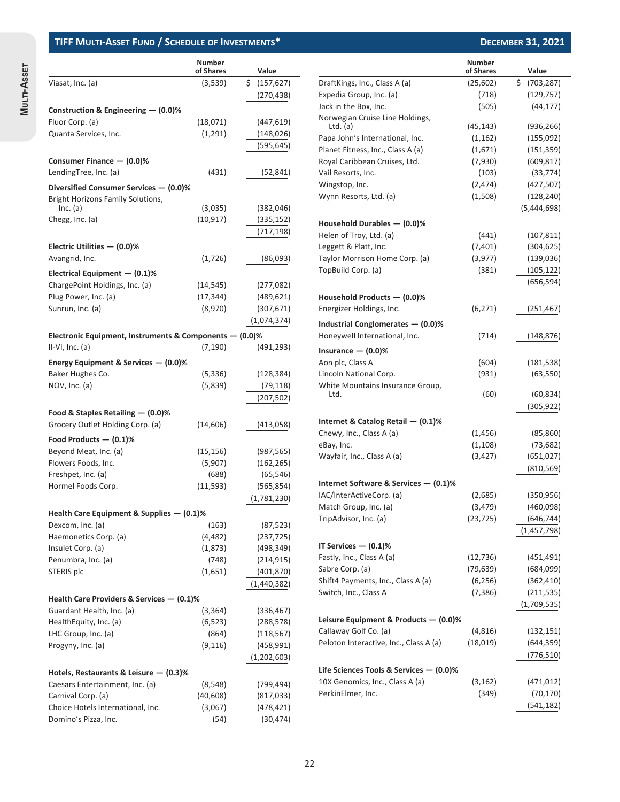**MULTI-ASSET**

MULTI-ASSET

|                                                           | <b>Number</b><br>of Shares | Value            |
|-----------------------------------------------------------|----------------------------|------------------|
| Viasat, Inc. (a)                                          | (3,539)                    | \$<br>(157, 627) |
|                                                           |                            | (270,438)        |
|                                                           |                            |                  |
| Construction & Engineering $-$ (0.0)%                     |                            |                  |
| Fluor Corp. (a)                                           | (18,071)                   | (447, 619)       |
| Quanta Services, Inc.                                     | (1, 291)                   | (148, 026)       |
|                                                           |                            | (595,645)        |
| Consumer Finance - (0.0)%                                 |                            |                  |
| LendingTree, Inc. (a)                                     | (431)                      | (52,841)         |
| Diversified Consumer Services - (0.0)%                    |                            |                  |
| <b>Bright Horizons Family Solutions,</b>                  |                            |                  |
| Inc. (a)                                                  | (3,035)                    | (382, 046)       |
| Chegg, Inc. (a)                                           | (10, 917)                  | (335, 152)       |
|                                                           |                            | (717,198)        |
| Electric Utilities $-$ (0.0)%                             |                            |                  |
| Avangrid, Inc.                                            | (1,726)                    | (86,093)         |
| Electrical Equipment $-$ (0.1)%                           |                            |                  |
| ChargePoint Holdings, Inc. (a)                            | (14, 545)                  | (277,082)        |
| Plug Power, Inc. (a)                                      | (17, 344)                  | (489, 621)       |
| Sunrun, Inc. (a)                                          | (8,970)                    | (307, 671)       |
|                                                           |                            | (1,074,374)      |
| Electronic Equipment, Instruments & Components $-$ (0.0)% |                            |                  |
| $II-VI, Inc. (a)$                                         | (7, 190)                   | (491,293)        |
|                                                           |                            |                  |
| Energy Equipment & Services – (0.0)%                      |                            |                  |
| Baker Hughes Co.                                          | (5,336)                    | (128,384)        |
| NOV, Inc. (a)                                             | (5,839)                    | (79, 118)        |
|                                                           |                            | (207, 502)       |
| Food & Staples Retailing $-$ (0.0)%                       |                            |                  |
| Grocery Outlet Holding Corp. (a)                          | (14, 606)                  | (413,058)        |
| Food Products $-$ (0.1)%                                  |                            |                  |
| Beyond Meat, Inc. (a)                                     | (15,156)                   | (987, 565)       |
| Flowers Foods, Inc.                                       | (5,907)                    | (162, 265)       |
| Freshpet, Inc. (a)                                        | (688)                      | (65, 546)        |
| Hormel Foods Corp.                                        | (11, 593)                  | (565, 854)       |
|                                                           |                            | (1,781,230)      |
| Health Care Equipment & Supplies $-$ (0.1)%               |                            |                  |
| Dexcom, Inc. (a)                                          | (163)                      | (87, 523)        |
| Haemonetics Corp. (a)                                     | (4, 482)                   | (237, 725)       |
| Insulet Corp. (a)                                         | (1,873)                    | (498, 349)       |
| Penumbra, Inc. (a)                                        | (748)                      | (214, 915)       |
| STERIS plc                                                | (1,651)                    | (401, 870)       |
|                                                           |                            | (1,440,382)      |
| Health Care Providers & Services $-$ (0.1)%               |                            |                  |
| Guardant Health, Inc. (a)                                 | (3,364)                    | (336, 467)       |
| HealthEquity, Inc. (a)                                    | (6, 523)                   | (288, 578)       |
| LHC Group, Inc. (a)                                       | (864)                      | (118, 567)       |
| Progyny, Inc. (a)                                         | (9, 116)                   | (458, 991)       |
|                                                           |                            | (1,202,603)      |
|                                                           |                            |                  |
| Hotels, Restaurants & Leisure $-$ (0.3)%                  |                            |                  |
| Caesars Entertainment, Inc. (a)                           | (8,548)                    | (799,494)        |
| Carnival Corp. (a)                                        | (40, 608)                  | (817, 033)       |
| Choice Hotels International, Inc.                         | (3,067)                    | (478, 421)       |

Domino's Pizza, Inc. (54) (30,474)

|                                         | <b>Number</b><br>of Shares | Value             |
|-----------------------------------------|----------------------------|-------------------|
| DraftKings, Inc., Class A (a)           | (25, 602)                  | \$.<br>(703, 287) |
| Expedia Group, Inc. (a)                 | (718)                      | (129, 757)        |
| Jack in the Box, Inc.                   | (505)                      | (44, 177)         |
| Norwegian Cruise Line Holdings,         |                            |                   |
| Ltd. $(a)$                              | (45, 143)                  | (936, 266)        |
| Papa John's International, Inc.         | (1, 162)                   | (155,092)         |
| Planet Fitness, Inc., Class A (a)       | (1,671)                    | (151, 359)        |
| Royal Caribbean Cruises, Ltd.           | (7,930)                    | (609, 817)        |
| Vail Resorts, Inc.                      | (103)                      | (33, 774)         |
| Wingstop, Inc.                          | (2, 474)                   | (427, 507)        |
| Wynn Resorts, Ltd. (a)                  | (1,508)                    | (128, 240)        |
|                                         |                            | (5,444,698)       |
| Household Durables - (0.0)%             |                            |                   |
| Helen of Troy, Ltd. (a)                 | (441)                      | (107, 811)        |
| Leggett & Platt, Inc.                   | (7,401)                    | (304, 625)        |
| Taylor Morrison Home Corp. (a)          | (3,977)                    | (139,036)         |
| TopBuild Corp. (a)                      | (381)                      | (105, 122)        |
|                                         |                            | (656, 594)        |
| Household Products - (0.0)%             |                            |                   |
| Energizer Holdings, Inc.                | (6, 271)                   | (251, 467)        |
|                                         |                            |                   |
| Industrial Conglomerates - (0.0)%       |                            |                   |
| Honeywell International, Inc.           | (714)                      | (148, 876)        |
| Insurance $-$ (0.0)%                    |                            |                   |
| Aon plc, Class A                        | (604)                      | (181, 538)        |
| Lincoln National Corp.                  | (931)                      | (63, 550)         |
| White Mountains Insurance Group,        |                            |                   |
| Ltd.                                    | (60)                       | (60, 834)         |
|                                         |                            | (305, 922)        |
| Internet & Catalog Retail - (0.1)%      |                            |                   |
| Chewy, Inc., Class A (a)                | (1, 456)                   | (85, 860)         |
| eBay, Inc.                              | (1, 108)                   | (73, 682)         |
| Wayfair, Inc., Class A (a)              | (3,427)                    | (651, 027)        |
|                                         |                            | (810, 569)        |
| Internet Software & Services — (0.1)%   |                            |                   |
| IAC/InterActiveCorp. (a)                | (2,685)                    | (350, 956)        |
| Match Group, Inc. (a)                   | (3, 479)                   | (460,098)         |
| TripAdvisor, Inc. (a)                   | (23, 725)                  | (646, 744)        |
|                                         |                            | (1, 457, 798)     |
| IT Services $-$ (0.1)%                  |                            |                   |
| Fastly, Inc., Class A (a)               | (12, 736)                  | (451,491)         |
| Sabre Corp. (a)                         | (79, 639)                  | (684,099)         |
| Shift4 Payments, Inc., Class A (a)      | (6, 256)                   | (362, 410)        |
| Switch, Inc., Class A                   | (7, 386)                   | (211, 535)        |
|                                         |                            | (1,709,535)       |
|                                         |                            |                   |
| Leisure Equipment & Products - (0.0)%   |                            |                   |
| Callaway Golf Co. (a)                   | (4, 816)                   | (132, 151)        |
| Peloton Interactive, Inc., Class A (a)  | (18,019)                   | (644, 359)        |
|                                         |                            | (776, 510)        |
| Life Sciences Tools & Services - (0.0)% |                            |                   |
| 10X Genomics, Inc., Class A (a)         | (3, 162)                   | (471, 012)        |
| PerkinElmer, Inc.                       | (349)                      | (70, 170)         |
|                                         |                            | (541, 182)        |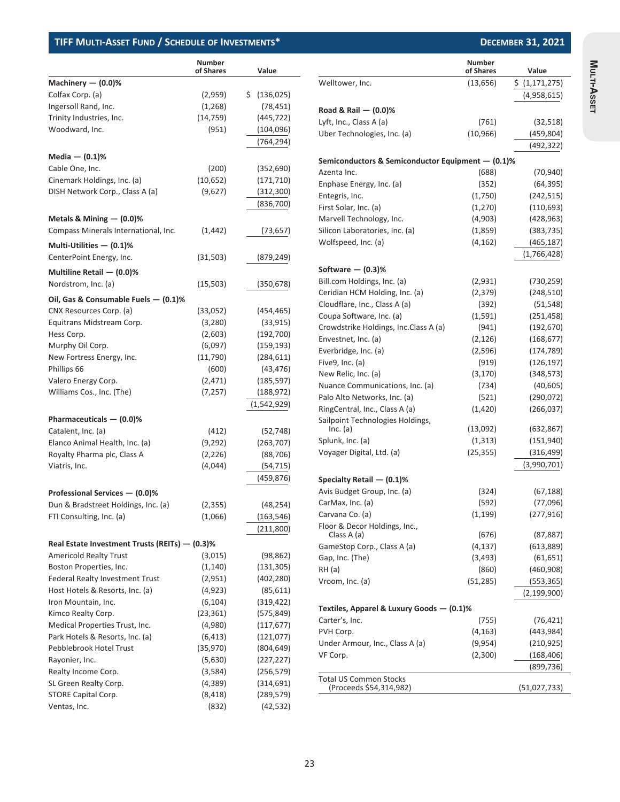|                                                | <b>Number</b><br>of Shares | Value             |
|------------------------------------------------|----------------------------|-------------------|
| Machinery - (0.0)%                             |                            |                   |
| Colfax Corp. (a)                               | (2,959)                    | \$.<br>(136, 025) |
| Ingersoll Rand, Inc.                           | (1,268)                    | (78, 451)         |
| Trinity Industries, Inc.                       | (14, 759)                  | (445, 722)        |
| Woodward, Inc.                                 | (951)                      | (104, 096)        |
|                                                |                            | (764, 294)        |
| Media $-$ (0.1)%                               |                            |                   |
| Cable One, Inc.                                | (200)                      | (352, 690)        |
| Cinemark Holdings, Inc. (a)                    | (10, 652)                  | (171, 710)        |
| DISH Network Corp., Class A (a)                | (9,627)                    | (312, 300)        |
|                                                |                            | (836,700)         |
|                                                |                            |                   |
| Metals & Mining $-$ (0.0)%                     |                            |                   |
| Compass Minerals International, Inc.           | (1, 442)                   | (73, 657)         |
| Multi-Utilities $-$ (0.1)%                     |                            |                   |
| CenterPoint Energy, Inc.                       | (31,503)                   | (879, 249)        |
| Multiline Retail - (0.0)%                      |                            |                   |
| Nordstrom, Inc. (a)                            | (15, 503)                  | (350, 678)        |
| Oil, Gas & Consumable Fuels — (0.1)%           |                            |                   |
| CNX Resources Corp. (a)                        | (33,052)                   | (454, 465)        |
| Equitrans Midstream Corp.                      | (3,280)                    | (33, 915)         |
| Hess Corp.                                     | (2,603)                    | (192, 700)        |
| Murphy Oil Corp.                               | (6,097)                    | (159, 193)        |
| New Fortress Energy, Inc.                      | (11,790)                   | (284, 611)        |
| Phillips 66                                    | (600)                      | (43, 476)         |
| Valero Energy Corp.                            | (2, 471)                   | (185, 597)        |
| Williams Cos., Inc. (The)                      | (7, 257)                   | (188, 972)        |
|                                                |                            | (1,542,929)       |
| Pharmaceuticals $-$ (0.0)%                     |                            |                   |
| Catalent, Inc. (a)                             | (412)                      | (52, 748)         |
| Elanco Animal Health, Inc. (a)                 | (9, 292)                   | (263, 707)        |
| Royalty Pharma plc, Class A                    | (2, 226)                   | (88, 706)         |
| Viatris, Inc.                                  | (4,044)                    | (54, 715)         |
|                                                |                            | (459, 876)        |
| Professional Services - (0.0)%                 |                            |                   |
| Dun & Bradstreet Holdings, Inc. (a)            | (2, 355)                   | (48, 254)         |
| FTI Consulting, Inc. (a)                       | (1,066)                    | (163, 546)        |
|                                                |                            | (211,800)         |
| Real Estate Investment Trusts (REITs) - (0.3)% |                            |                   |
| <b>Americold Realty Trust</b>                  | (3,015)                    | (98, 862)         |
| Boston Properties, Inc.                        | (1, 140)                   | (131, 305)        |
| <b>Federal Realty Investment Trust</b>         | (2,951)                    | (402, 280)        |
| Host Hotels & Resorts, Inc. (a)                | (4,923)                    | (85, 611)         |
| Iron Mountain, Inc.                            | (6, 104)                   | (319, 422)        |
| Kimco Realty Corp.                             | (23, 361)                  | (575, 849)        |
| Medical Properties Trust, Inc.                 | (4,980)                    | (117, 677)        |
| Park Hotels & Resorts, Inc. (a)                | (6, 413)                   | (121, 077)        |
| Pebblebrook Hotel Trust                        | (35, 970)                  | (804, 649)        |
| Rayonier, Inc.                                 | (5,630)                    | (227, 227)        |
| Realty Income Corp.                            | (3,584)                    | (256, 579)        |
| SL Green Realty Corp.                          | (4,389)                    | (314, 691)        |
| STORE Capital Corp.                            | (8, 418)                   | (289, 579)        |
| Ventas, Inc.                                   | (832)                      | (42, 532)         |

|                                                          | Number<br>of Shares | Value          |
|----------------------------------------------------------|---------------------|----------------|
| Welltower, Inc.                                          | (13, 656)           | \$ (1,171,275) |
|                                                          |                     | (4,958,615)    |
| Road & Rail - (0.0)%                                     |                     |                |
|                                                          |                     |                |
| Lyft, Inc., Class A (a)<br>Uber Technologies, Inc. (a)   | (761)<br>(10, 966)  | (32, 518)      |
|                                                          |                     | (459,804)      |
|                                                          |                     | (492, 322)     |
| Semiconductors & Semiconductor Equipment — (0.1)%        |                     |                |
| Azenta Inc.                                              | (688)               | (70, 940)      |
| Enphase Energy, Inc. (a)                                 | (352)               | (64, 395)      |
| Entegris, Inc.                                           | (1,750)             | (242, 515)     |
| First Solar, Inc. (a)                                    | (1, 270)            | (110, 693)     |
| Marvell Technology, Inc.                                 | (4,903)             | (428, 963)     |
| Silicon Laboratories, Inc. (a)                           | (1,859)             | (383, 735)     |
| Wolfspeed, Inc. (a)                                      | (4, 162)            | (465,187)      |
|                                                          |                     | (1,766,428)    |
| Software — (0.3)%                                        |                     |                |
| Bill.com Holdings, Inc. (a)                              | (2,931)             | (730, 259)     |
| Ceridian HCM Holding, Inc. (a)                           | (2,379)             | (248, 510)     |
| Cloudflare, Inc., Class A (a)                            | (392)               | (51, 548)      |
| Coupa Software, Inc. (a)                                 | (1, 591)            | (251,458)      |
| Crowdstrike Holdings, Inc.Class A (a)                    | (941)               | (192, 670)     |
| Envestnet, Inc. (a)                                      | (2, 126)            | (168, 677)     |
| Everbridge, Inc. (a)                                     | (2,596)             | (174, 789)     |
| Five9, Inc. (a)                                          | (919)               | (126, 197)     |
| New Relic, Inc. (a)                                      | (3, 170)            | (348, 573)     |
| Nuance Communications, Inc. (a)                          | (734)               | (40, 605)      |
| Palo Alto Networks, Inc. (a)                             | (521)               | (290,072)      |
| RingCentral, Inc., Class A (a)                           | (1,420)             | (266, 037)     |
| Sailpoint Technologies Holdings,                         |                     |                |
| Inc. (a)                                                 | (13,092)            | (632, 867)     |
| Splunk, Inc. (a)                                         | (1, 313)            | (151, 940)     |
| Voyager Digital, Ltd. (a)                                | (25, 355)           | (316, 499)     |
|                                                          |                     | (3,990,701)    |
| Specialty Retail — (0.1)%                                |                     |                |
| Avis Budget Group, Inc. (a)                              | (324)               | (67,188)       |
| CarMax, Inc. (a)                                         | (592)               | (77,096)       |
| Carvana Co. (a)                                          | (1, 199)            | (277, 916)     |
| Floor & Decor Holdings, Inc.,                            |                     |                |
| Class A (a)                                              | (676)               | (87, 887)      |
| GameStop Corp., Class A (a)                              | (4, 137)            | (613,889)      |
| Gap, Inc. (The)                                          | (3, 493)            | (61, 651)      |
| RH (a)                                                   | (860)               | (460,908)      |
| Vroom, Inc. (a)                                          | (51, 285)           | (553, 365)     |
|                                                          |                     | (2, 199, 900)  |
| Textiles, Apparel & Luxury Goods — (0.1)%                |                     |                |
| Carter's, Inc.                                           | (755)               | (76, 421)      |
| PVH Corp.                                                | (4, 163)            | (443, 984)     |
| Under Armour, Inc., Class A (a)                          | (9,954)             | (210, 925)     |
| VF Corp.                                                 | (2,300)             | (168, 406)     |
|                                                          |                     | (899, 736)     |
| <b>Total US Common Stocks</b><br>(Proceeds \$54,314,982) |                     | (51,027,733)   |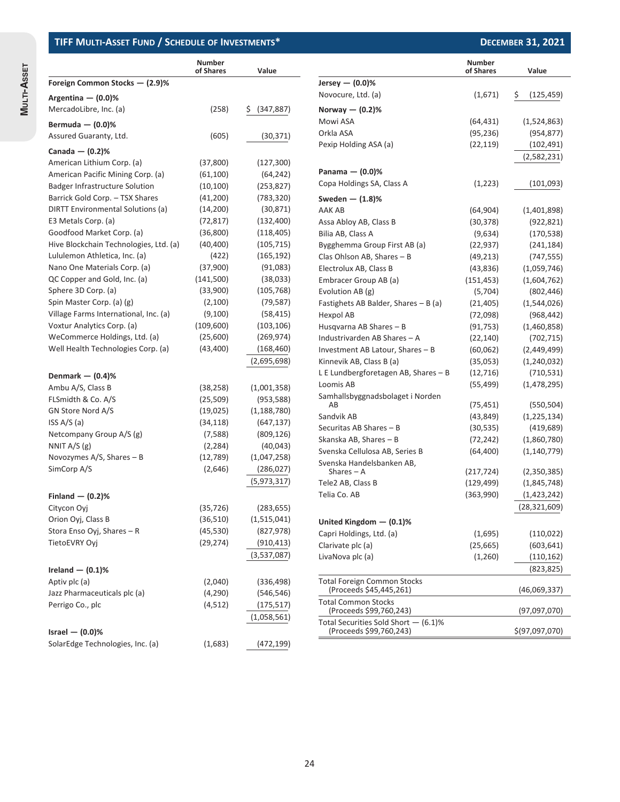**MULTI-ASSET**

**MULTI-ASSET** 

|                                        | <b>Number</b><br>of Shares | Value         |                                                                   | <b>Number</b><br>of Shares | Value            |
|----------------------------------------|----------------------------|---------------|-------------------------------------------------------------------|----------------------------|------------------|
| Foreign Common Stocks - (2.9)%         |                            |               | Jersey $-$ (0.0)%                                                 |                            |                  |
| Argentina $-$ (0.0)%                   |                            |               | Novocure, Ltd. (a)                                                | (1,671)                    | \$<br>(125, 459) |
| MercadoLibre, Inc. (a)                 | (258)                      | \$ (347,887)  | Norway $-$ (0.2)%                                                 |                            |                  |
|                                        |                            |               | Mowi ASA                                                          | (64, 431)                  | (1,524,863)      |
| Bermuda $-$ (0.0)%                     |                            |               | Orkla ASA                                                         | (95, 236)                  | (954, 877)       |
| Assured Guaranty, Ltd.                 | (605)                      | (30, 371)     | Pexip Holding ASA (a)                                             | (22, 119)                  | (102, 491)       |
| Canada $-$ (0.2)%                      |                            |               |                                                                   |                            | (2,582,231)      |
| American Lithium Corp. (a)             | (37,800)                   | (127, 300)    |                                                                   |                            |                  |
| American Pacific Mining Corp. (a)      | (61, 100)                  | (64, 242)     | Panama $-$ (0.0)%                                                 |                            |                  |
| <b>Badger Infrastructure Solution</b>  | (10, 100)                  | (253, 827)    | Copa Holdings SA, Class A                                         | (1, 223)                   | (101,093)        |
| Barrick Gold Corp. - TSX Shares        | (41,200)                   | (783, 320)    | Sweden $ (1.8)$ %                                                 |                            |                  |
| DIRTT Environmental Solutions (a)      | (14,200)                   | (30, 871)     | AAK AB                                                            | (64, 904)                  | (1,401,898)      |
| E3 Metals Corp. (a)                    | (72, 817)                  | (132, 400)    | Assa Abloy AB, Class B                                            | (30, 378)                  | (922, 821)       |
| Goodfood Market Corp. (a)              | (36,800)                   | (118, 405)    | Bilia AB, Class A                                                 | (9,634)                    | (170, 538)       |
| Hive Blockchain Technologies, Ltd. (a) | (40, 400)                  | (105, 715)    | Bygghemma Group First AB (a)                                      | (22, 937)                  | (241, 184)       |
| Lululemon Athletica, Inc. (a)          | (422)                      | (165, 192)    | Clas Ohlson AB, Shares - B                                        | (49, 213)                  | (747, 555)       |
| Nano One Materials Corp. (a)           | (37,900)                   | (91,083)      | Electrolux AB, Class B                                            | (43, 836)                  | (1,059,746)      |
| QC Copper and Gold, Inc. (a)           | (141,500)                  | (38,033)      | Embracer Group AB (a)                                             | (151, 453)                 | (1,604,762)      |
| Sphere 3D Corp. (a)                    | (33,900)                   | (105, 768)    | Evolution AB (g)                                                  | (5,704)                    | (802, 446)       |
| Spin Master Corp. (a) (g)              | (2,100)                    | (79, 587)     | Fastighets AB Balder, Shares - B (a)                              | (21, 405)                  | (1,544,026)      |
| Village Farms International, Inc. (a)  | (9,100)                    | (58, 415)     | Hexpol AB                                                         | (72,098)                   | (968, 442)       |
| Voxtur Analytics Corp. (a)             | (109,600)                  | (103, 106)    | Husgvarna AB Shares - B                                           | (91, 753)                  | (1,460,858)      |
| WeCommerce Holdings, Ltd. (a)          | (25,600)                   | (269, 974)    | Industrivarden AB Shares - A                                      | (22, 140)                  | (702, 715)       |
| Well Health Technologies Corp. (a)     | (43, 400)                  | (168, 460)    | Investment AB Latour, Shares - B                                  | (60,062)                   | (2,449,499)      |
|                                        |                            | (2,695,698)   | Kinnevik AB, Class B (a)                                          | (35,053)                   | (1,240,032)      |
| Denmark $-$ (0.4)%                     |                            |               | L E Lundbergforetagen AB, Shares - B                              | (12, 716)                  | (710, 531)       |
| Ambu A/S, Class B                      | (38, 258)                  | (1,001,358)   | Loomis AB                                                         | (55, 499)                  | (1,478,295)      |
| FLSmidth & Co. A/S                     | (25, 509)                  | (953, 588)    | Samhallsbyggnadsbolaget i Norden                                  |                            |                  |
| GN Store Nord A/S                      | (19,025)                   | (1, 188, 780) | AB                                                                | (75, 451)                  | (550, 504)       |
| ISS $A/S(a)$                           | (34, 118)                  | (647, 137)    | Sandvik AB                                                        | (43, 849)                  | (1,225,134)      |
| Netcompany Group A/S (g)               | (7,588)                    | (809, 126)    | Securitas AB Shares - B                                           | (30, 535)                  | (419, 689)       |
| NNIT $A/S$ (g)                         | (2, 284)                   | (40, 043)     | Skanska AB, Shares - B                                            | (72, 242)                  | (1,860,780)      |
| Novozymes $A/S$ , Shares - B           | (12,789)                   |               | Svenska Cellulosa AB, Series B                                    | (64, 400)                  | (1, 140, 779)    |
| SimCorp A/S                            | (2,646)                    | (1,047,258)   | Svenska Handelsbanken AB,                                         |                            |                  |
|                                        |                            | (286, 027)    | Shares $-$ A                                                      | (217, 724)                 | (2,350,385)      |
|                                        |                            | (5,973,317)   | Tele2 AB, Class B                                                 | (129, 499)                 | (1,845,748)      |
| Finland $-$ (0.2)%                     |                            |               | Telia Co. AB                                                      | (363,990)                  | (1,423,242)      |
| Citycon Oyj                            | (35, 726)                  | (283, 655)    |                                                                   |                            | (28, 321, 609)   |
| Orion Oyj, Class B                     | (36, 510)                  | (1,515,041)   | United Kingdom $-$ (0.1)%                                         |                            |                  |
| Stora Enso Oyj, Shares - R             | (45, 530)                  | (827, 978)    | Capri Holdings, Ltd. (a)                                          | (1,695)                    | (110, 022)       |
| TietoEVRY Ovi                          | (29, 274)                  | (910, 413)    | Clarivate plc (a)                                                 | (25, 665)                  | (603, 641)       |
|                                        |                            | (3,537,087)   | LivaNova plc (a)                                                  | (1,260)                    | (110, 162)       |
| Ireland $-$ (0.1)%                     |                            |               |                                                                   |                            | (823, 825)       |
| Aptiv plc (a)                          | (2,040)                    | (336, 498)    | <b>Total Foreign Common Stocks</b>                                |                            |                  |
| Jazz Pharmaceuticals plc (a)           | (4, 290)                   | (546, 546)    | (Proceeds \$45,445,261)                                           |                            | (46,069,337)     |
| Perrigo Co., plc                       | (4, 512)                   | (175, 517)    | <b>Total Common Stocks</b>                                        |                            |                  |
|                                        |                            | (1,058,561)   | (Proceeds \$99,760,243)                                           |                            | (97,097,070)     |
| Israel $-$ (0.0)%                      |                            |               | Total Securities Sold Short $-$ (6.1)%<br>(Proceeds \$99,760,243) |                            | \$(97,097,070)   |
|                                        |                            |               |                                                                   |                            |                  |
| SolarEdge Technologies, Inc. (a)       | (1,683)                    | (472, 199)    |                                                                   |                            |                  |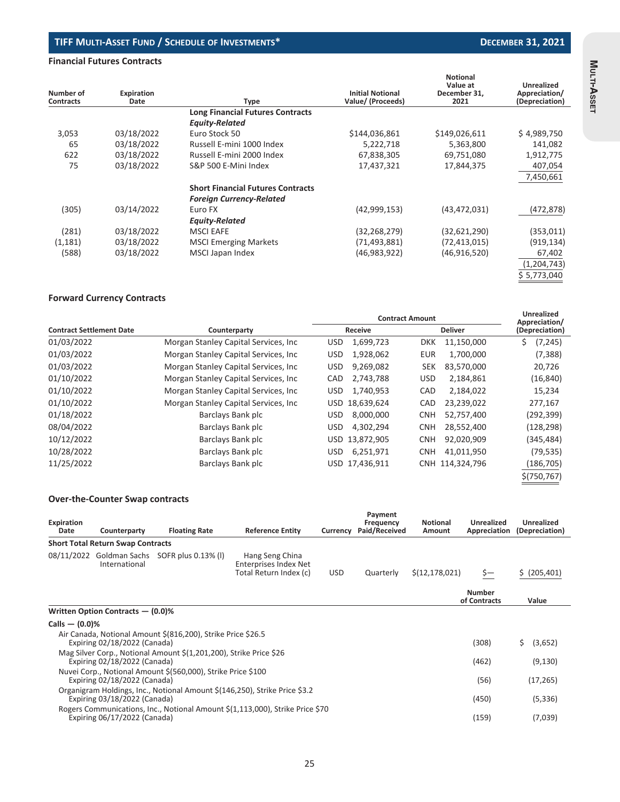### **Financial Futures Contracts**

|                               |                    |                                          | <b>Initial Notional</b> | <b>Notional</b><br>Value at | Unrealized                      |
|-------------------------------|--------------------|------------------------------------------|-------------------------|-----------------------------|---------------------------------|
| Number of<br><b>Contracts</b> | Expiration<br>Date | <b>Type</b>                              | Value/ (Proceeds)       | December 31.<br>2021        | Appreciation/<br>(Depreciation) |
|                               |                    | <b>Long Financial Futures Contracts</b>  |                         |                             |                                 |
|                               |                    | <b>Equity-Related</b>                    |                         |                             |                                 |
| 3,053                         | 03/18/2022         | Euro Stock 50                            | \$144,036,861           | \$149,026,611               | \$4,989,750                     |
| 65                            | 03/18/2022         | Russell E-mini 1000 Index                | 5,222,718               | 5,363,800                   | 141,082                         |
| 622                           | 03/18/2022         | Russell E-mini 2000 Index                | 67,838,305              | 69,751,080                  | 1,912,775                       |
| 75                            | 03/18/2022         | S&P 500 E-Mini Index                     | 17,437,321              | 17,844,375                  | 407,054                         |
|                               |                    |                                          |                         |                             | 7,450,661                       |
|                               |                    | <b>Short Financial Futures Contracts</b> |                         |                             |                                 |
|                               |                    | <b>Foreign Currency-Related</b>          |                         |                             |                                 |
| (305)                         | 03/14/2022         | Euro FX                                  | (42,999,153)            | (43, 472, 031)              | (472, 878)                      |
|                               |                    | <b>Equity-Related</b>                    |                         |                             |                                 |
| (281)                         | 03/18/2022         | <b>MSCI EAFE</b>                         | (32, 268, 279)          | (32,621,290)                | (353, 011)                      |
| (1, 181)                      | 03/18/2022         | <b>MSCI Emerging Markets</b>             | (71, 493, 881)          | (72, 413, 015)              | (919, 134)                      |
| (588)                         | 03/18/2022         | MSCI Japan Index                         | (46,983,922)            | (46,916,520)                | 67,402                          |
|                               |                    |                                          |                         |                             | (1,204,743)                     |
|                               |                    |                                          |                         |                             | \$ 5,773,040                    |

### **Forward Currency Contracts**

|                                       |                          | <b>Unrealized</b><br>Appreciation/ |                        |  |
|---------------------------------------|--------------------------|------------------------------------|------------------------|--|
| Counterparty                          | Receive                  | <b>Deliver</b>                     | (Depreciation)         |  |
| Morgan Stanley Capital Services, Inc. | 1,699,723<br><b>USD</b>  | 11,150,000<br><b>DKK</b>           | \$<br>(7, 245)         |  |
| Morgan Stanley Capital Services, Inc. | 1,928,062<br><b>USD</b>  | 1,700,000<br>EUR                   | (7, 388)               |  |
| Morgan Stanley Capital Services, Inc. | 9,269,082<br><b>USD</b>  | 83,570,000<br>SEK                  | 20,726                 |  |
| Morgan Stanley Capital Services, Inc. | 2,743,788<br><b>CAD</b>  | <b>USD</b><br>2,184,861            | (16, 840)              |  |
| Morgan Stanley Capital Services, Inc. | 1,740,953<br><b>USD</b>  | 2,184,022<br>CAD                   | 15,234                 |  |
| Morgan Stanley Capital Services, Inc  | 18,639,624<br><b>USD</b> | 23,239,022<br><b>CAD</b>           | 277,167                |  |
| Barclays Bank plc                     | 8,000,000<br>USD.        | <b>CNH</b><br>52,757,400           | (292,399)              |  |
| Barclays Bank plc                     | 4,302,294<br><b>USD</b>  | 28,552,400<br><b>CNH</b>           | (128,298)              |  |
| Barclays Bank plc                     | USD 13,872,905           | 92,020,909<br><b>CNH</b>           | (345,484)              |  |
| Barclays Bank plc                     | 6,251,971<br>USD.        | <b>CNH</b><br>41,011,950           | (79, 535)              |  |
| Barclays Bank plc                     | USD 17,436,911           | CNH 114,324,796                    | (186, 705)             |  |
|                                       |                          |                                    | \$(750, 767)           |  |
|                                       |                          |                                    | <b>Contract Amount</b> |  |

#### **Over-the-Counter Swap contracts**

| Expiration<br>Date | Counterparty                             | <b>Floating Rate</b>                                               | <b>Reference Entity</b>                                                       | Currency   | Payment<br>Frequency<br>Paid/Received | <b>Notional</b><br>Amount | Unrealized<br>Appreciation    | Unrealized<br>(Depreciation) |
|--------------------|------------------------------------------|--------------------------------------------------------------------|-------------------------------------------------------------------------------|------------|---------------------------------------|---------------------------|-------------------------------|------------------------------|
|                    | <b>Short Total Return Swap Contracts</b> |                                                                    |                                                                               |            |                                       |                           |                               |                              |
| 08/11/2022         | International                            | Goldman Sachs SOFR plus 0.13% (I)                                  | Hang Seng China<br><b>Enterprises Index Net</b><br>Total Return Index (c)     | <b>USD</b> | Quarterly                             | \$(12, 178, 021)          | Ş—                            | \$ (205, 401)                |
|                    |                                          |                                                                    |                                                                               |            |                                       |                           | <b>Number</b><br>of Contracts | Value                        |
|                    | Written Option Contracts - (0.0)%        |                                                                    |                                                                               |            |                                       |                           |                               |                              |
| Calls $-$ (0.0)%   |                                          |                                                                    |                                                                               |            |                                       |                           |                               |                              |
|                    | Expiring 02/18/2022 (Canada)             | Air Canada, Notional Amount \$(816,200), Strike Price \$26.5       |                                                                               |            |                                       |                           | (308)                         | Ś.<br>(3,652)                |
|                    | Expiring 02/18/2022 (Canada)             | Mag Silver Corp., Notional Amount \$(1,201,200), Strike Price \$26 |                                                                               |            |                                       |                           | (462)                         | (9, 130)                     |
|                    | Expiring 02/18/2022 (Canada)             | Nuvei Corp., Notional Amount \$(560,000), Strike Price \$100       |                                                                               |            |                                       |                           | (56)                          | (17, 265)                    |
|                    | Expiring 03/18/2022 (Canada)             |                                                                    | Organigram Holdings, Inc., Notional Amount \$(146,250), Strike Price \$3.2    |            |                                       |                           | (450)                         | (5, 336)                     |
|                    | Expiring 06/17/2022 (Canada)             |                                                                    | Rogers Communications, Inc., Notional Amount \$(1,113,000), Strike Price \$70 |            |                                       |                           | (159)                         | (7,039)                      |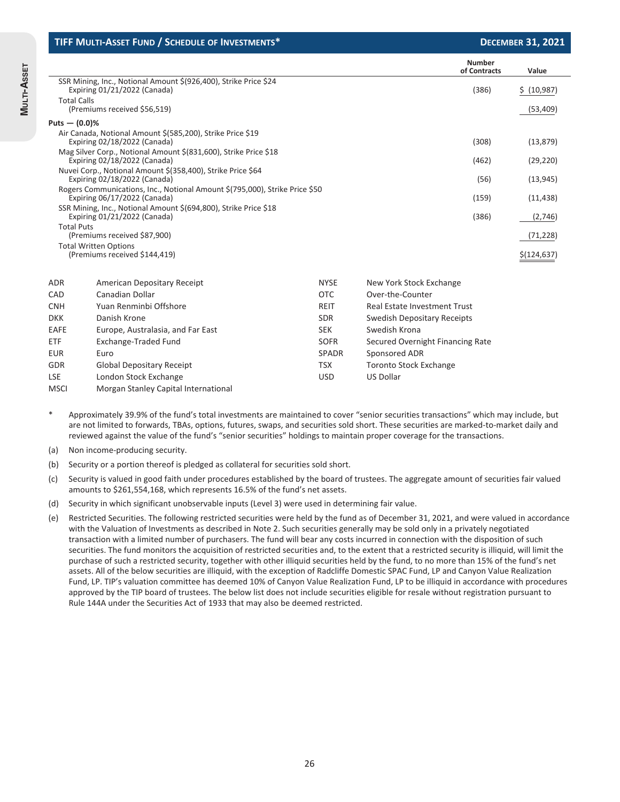|                    | TIFF MULTI-ASSET FUND / SCHEDULE OF INVESTMENTS*                                                            |              |                                     | <b>DECEMBER 31, 2021</b> |
|--------------------|-------------------------------------------------------------------------------------------------------------|--------------|-------------------------------------|--------------------------|
|                    |                                                                                                             |              | <b>Number</b><br>of Contracts       | Value                    |
|                    | SSR Mining, Inc., Notional Amount \$(926,400), Strike Price \$24<br>Expiring 01/21/2022 (Canada)            |              | (386)                               | \$ (10,987)              |
| <b>Total Calls</b> | (Premiums received \$56,519)                                                                                |              |                                     | (53, 409)                |
| Puts $-$ (0.0)%    |                                                                                                             |              |                                     |                          |
|                    | Air Canada, Notional Amount \$(585,200), Strike Price \$19<br>Expiring 02/18/2022 (Canada)                  |              | (308)                               | (13, 879)                |
|                    | Mag Silver Corp., Notional Amount \$(831,600), Strike Price \$18<br>Expiring 02/18/2022 (Canada)            |              | (462)                               | (29, 220)                |
|                    | Nuvei Corp., Notional Amount \$(358,400), Strike Price \$64<br>Expiring 02/18/2022 (Canada)                 |              | (56)                                | (13, 945)                |
|                    | Rogers Communications, Inc., Notional Amount \$(795,000), Strike Price \$50<br>Expiring 06/17/2022 (Canada) |              | (159)                               | (11, 438)                |
|                    | SSR Mining, Inc., Notional Amount \$(694,800), Strike Price \$18<br>Expiring 01/21/2022 (Canada)            |              | (386)                               | (2,746)                  |
| <b>Total Puts</b>  | (Premiums received \$87,900)                                                                                |              |                                     | (71, 228)                |
|                    | <b>Total Written Options</b><br>(Premiums received \$144,419)                                               |              |                                     | \$(124, 637)             |
| <b>ADR</b>         | American Depositary Receipt                                                                                 | <b>NYSE</b>  | New York Stock Exchange             |                          |
| CAD                | Canadian Dollar                                                                                             | <b>OTC</b>   | Over-the-Counter                    |                          |
| <b>CNH</b>         | Yuan Renminbi Offshore                                                                                      | <b>REIT</b>  | <b>Real Estate Investment Trust</b> |                          |
| <b>DKK</b>         | Danish Krone                                                                                                | <b>SDR</b>   | <b>Swedish Depositary Receipts</b>  |                          |
| EAFE               | Europe, Australasia, and Far East                                                                           | <b>SEK</b>   | Swedish Krona                       |                          |
| ETF                | Exchange-Traded Fund                                                                                        | <b>SOFR</b>  | Secured Overnight Financing Rate    |                          |
| <b>EUR</b>         | Euro                                                                                                        | <b>SPADR</b> | Sponsored ADR                       |                          |
| GDR                | <b>Global Depositary Receipt</b>                                                                            | <b>TSX</b>   | <b>Toronto Stock Exchange</b>       |                          |

Approximately 39.9% of the fund's total investments are maintained to cover "senior securities transactions" which may include, but are not limited to forwards, TBAs, options, futures, swaps, and securities sold short. These securities are marked-to-market daily and reviewed against the value of the fund's "senior securities" holdings to maintain proper coverage for the transactions.

USD US Dollar

(a) Non income-producing security.

LSE London Stock Exchange

MSCI Morgan Stanley Capital International

(b) Security or a portion thereof is pledged as collateral for securities sold short.

(c) Security is valued in good faith under procedures established by the board of trustees. The aggregate amount of securities fair valued amounts to \$261,554,168, which represents 16.5% of the fund's net assets.

(d) Security in which significant unobservable inputs (Level 3) were used in determining fair value.

(e) Restricted Securities. The following restricted securities were held by the fund as of December 31, 2021, and were valued in accordance with the Valuation of Investments as described in Note 2. Such securities generally may be sold only in a privately negotiated transaction with a limited number of purchasers. The fund will bear any costs incurred in connection with the disposition of such securities. The fund monitors the acquisition of restricted securities and, to the extent that a restricted security is illiquid, will limit the purchase of such a restricted security, together with other illiquid securities held by the fund, to no more than 15% of the fund's net assets. All of the below securities are illiquid, with the exception of Radcliffe Domestic SPAC Fund, LP and Canyon Value Realization Fund, LP. TIP's valuation committee has deemed 10% of Canyon Value Realization Fund, LP to be illiquid in accordance with procedures approved by the TIP board of trustees. The below list does not include securities eligible for resale without registration pursuant to Rule 144A under the Securities Act of 1933 that may also be deemed restricted.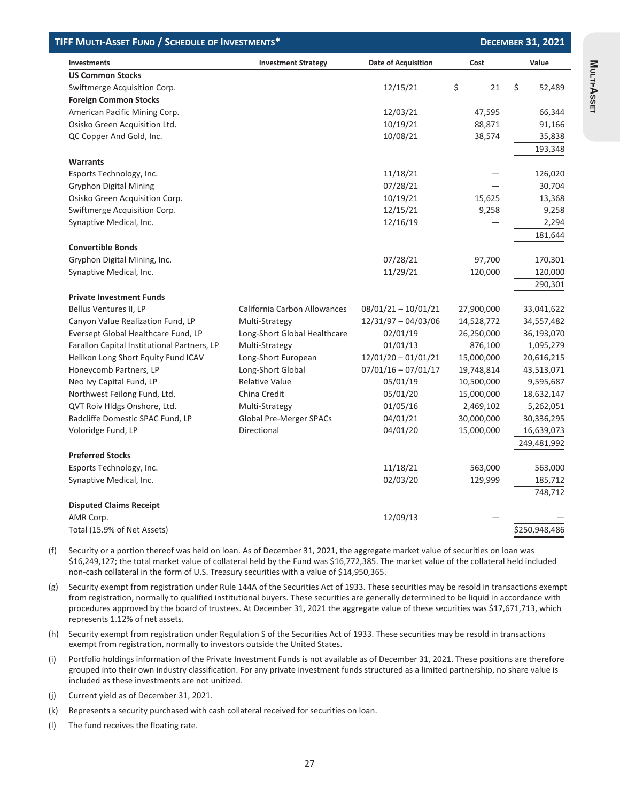| TIFF MULTI-ASSET FUND / SCHEDULE OF INVESTMENTS*<br><b>DECEMBER 31, 2021</b> |                              |                            |            |               |
|------------------------------------------------------------------------------|------------------------------|----------------------------|------------|---------------|
| Investments                                                                  | <b>Investment Strategy</b>   | <b>Date of Acquisition</b> | Cost       | Value         |
| <b>US Common Stocks</b>                                                      |                              |                            |            |               |
| Swiftmerge Acquisition Corp.                                                 |                              | 12/15/21                   | \$<br>21   | \$<br>52,489  |
| <b>Foreign Common Stocks</b>                                                 |                              |                            |            |               |
| American Pacific Mining Corp.                                                |                              | 12/03/21                   | 47,595     | 66,344        |
| Osisko Green Acquisition Ltd.                                                |                              | 10/19/21                   | 88,871     | 91,166        |
| QC Copper And Gold, Inc.                                                     |                              | 10/08/21                   | 38,574     | 35,838        |
|                                                                              |                              |                            |            | 193,348       |
| <b>Warrants</b>                                                              |                              |                            |            |               |
| Esports Technology, Inc.                                                     |                              | 11/18/21                   |            | 126,020       |
| <b>Gryphon Digital Mining</b>                                                |                              | 07/28/21                   |            | 30,704        |
| Osisko Green Acquisition Corp.                                               |                              | 10/19/21                   | 15,625     | 13,368        |
| Swiftmerge Acquisition Corp.                                                 |                              | 12/15/21                   | 9,258      | 9,258         |
| Synaptive Medical, Inc.                                                      |                              | 12/16/19                   |            | 2,294         |
|                                                                              |                              |                            |            | 181,644       |
| <b>Convertible Bonds</b>                                                     |                              |                            |            |               |
| Gryphon Digital Mining, Inc.                                                 |                              | 07/28/21                   | 97,700     | 170,301       |
| Synaptive Medical, Inc.                                                      |                              | 11/29/21                   | 120,000    | 120,000       |
|                                                                              |                              |                            |            | 290,301       |
| <b>Private Investment Funds</b>                                              |                              |                            |            |               |
| Bellus Ventures II, LP                                                       | California Carbon Allowances | $08/01/21 - 10/01/21$      | 27,900,000 | 33,041,622    |
| Canyon Value Realization Fund, LP                                            | Multi-Strategy               | $12/31/97 - 04/03/06$      | 14,528,772 | 34,557,482    |
| Eversept Global Healthcare Fund, LP                                          | Long-Short Global Healthcare | 02/01/19                   | 26,250,000 | 36,193,070    |
| Farallon Capital Institutional Partners, LP                                  | Multi-Strategy               | 01/01/13                   | 876,100    | 1,095,279     |
| Helikon Long Short Equity Fund ICAV                                          | Long-Short European          | $12/01/20 - 01/01/21$      | 15,000,000 | 20,616,215    |
| Honeycomb Partners, LP                                                       | Long-Short Global            | $07/01/16 - 07/01/17$      | 19,748,814 | 43,513,071    |
| Neo Ivy Capital Fund, LP                                                     | <b>Relative Value</b>        | 05/01/19                   | 10,500,000 | 9,595,687     |
| Northwest Feilong Fund, Ltd.                                                 | China Credit                 | 05/01/20                   | 15,000,000 | 18,632,147    |
| QVT Roiv Hldgs Onshore, Ltd.                                                 | Multi-Strategy               | 01/05/16                   | 2,469,102  | 5,262,051     |
| Radcliffe Domestic SPAC Fund, LP                                             | Global Pre-Merger SPACs      | 04/01/21                   | 30,000,000 | 30,336,295    |
| Voloridge Fund, LP                                                           | Directional                  | 04/01/20                   | 15,000,000 | 16,639,073    |
|                                                                              |                              |                            |            | 249,481,992   |
| <b>Preferred Stocks</b>                                                      |                              |                            |            |               |
| Esports Technology, Inc.                                                     |                              | 11/18/21                   | 563,000    | 563,000       |
| Synaptive Medical, Inc.                                                      |                              | 02/03/20                   | 129,999    | 185,712       |
|                                                                              |                              |                            |            | 748,712       |
| <b>Disputed Claims Receipt</b>                                               |                              |                            |            |               |
| AMR Corp.                                                                    |                              | 12/09/13                   |            |               |
| Total (15.9% of Net Assets)                                                  |                              |                            |            | \$250,948,486 |

**MULTI-ASSET**

Multi-Asset

(f) Security or a portion thereof was held on loan. As of December 31, 2021, the aggregate market value of securities on loan was \$16,249,127; the total market value of collateral held by the Fund was \$16,772,385. The market value of the collateral held included non-cash collateral in the form of U.S. Treasury securities with a value of \$14,950,365.

(g) Security exempt from registration under Rule 144A of the Securities Act of 1933. These securities may be resold in transactions exempt from registration, normally to qualified institutional buyers. These securities are generally determined to be liquid in accordance with procedures approved by the board of trustees. At December 31, 2021 the aggregate value of these securities was \$17,671,713, which represents 1.12% of net assets.

(h) Security exempt from registration under Regulation S of the Securities Act of 1933. These securities may be resold in transactions exempt from registration, normally to investors outside the United States.

- (i) Portfolio holdings information of the Private Investment Funds is not available as of December 31, 2021. These positions are therefore grouped into their own industry classification. For any private investment funds structured as a limited partnership, no share value is included as these investments are not unitized.
- (j) Current yield as of December 31, 2021.
- (k) Represents a security purchased with cash collateral received for securities on loan.
- (l) The fund receives the floating rate.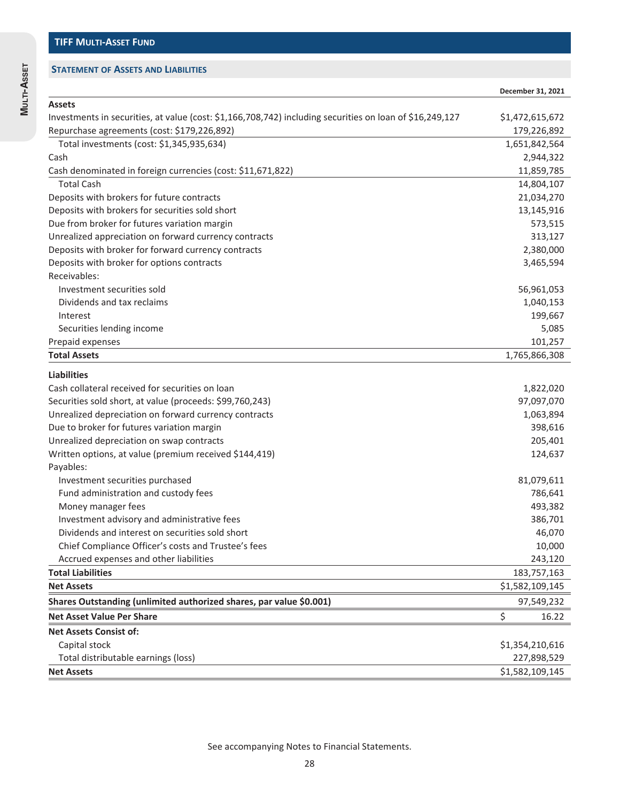**MULTI-ASSET**

MULTI-ASSET

|                                                                                                          | December 31, 2021  |
|----------------------------------------------------------------------------------------------------------|--------------------|
| <b>Assets</b>                                                                                            |                    |
| Investments in securities, at value (cost: \$1,166,708,742) including securities on loan of \$16,249,127 | \$1,472,615,672    |
| Repurchase agreements (cost: \$179,226,892)                                                              | 179,226,892        |
| Total investments (cost: \$1,345,935,634)                                                                | 1,651,842,564      |
| Cash                                                                                                     | 2,944,322          |
| Cash denominated in foreign currencies (cost: \$11,671,822)                                              | 11,859,785         |
| <b>Total Cash</b>                                                                                        | 14,804,107         |
| Deposits with brokers for future contracts                                                               | 21,034,270         |
| Deposits with brokers for securities sold short                                                          | 13,145,916         |
| Due from broker for futures variation margin                                                             | 573,515            |
| Unrealized appreciation on forward currency contracts                                                    | 313,127            |
| Deposits with broker for forward currency contracts                                                      | 2,380,000          |
| Deposits with broker for options contracts                                                               | 3,465,594          |
| Receivables:                                                                                             |                    |
| Investment securities sold                                                                               | 56,961,053         |
| Dividends and tax reclaims                                                                               | 1,040,153          |
| Interest                                                                                                 | 199,667            |
| Securities lending income                                                                                | 5,085              |
| Prepaid expenses                                                                                         | 101,257            |
| <b>Total Assets</b>                                                                                      | 1,765,866,308      |
| <b>Liabilities</b>                                                                                       |                    |
| Cash collateral received for securities on loan                                                          |                    |
|                                                                                                          | 1,822,020          |
| Securities sold short, at value (proceeds: \$99,760,243)                                                 | 97,097,070         |
| Unrealized depreciation on forward currency contracts                                                    | 1,063,894          |
| Due to broker for futures variation margin                                                               | 398,616            |
| Unrealized depreciation on swap contracts                                                                | 205,401            |
| Written options, at value (premium received \$144,419)                                                   | 124,637            |
| Payables:                                                                                                |                    |
| Investment securities purchased                                                                          | 81,079,611         |
| Fund administration and custody fees<br>Money manager fees                                               | 786,641<br>493,382 |
|                                                                                                          | 386,701            |
| Investment advisory and administrative fees<br>Dividends and interest on securities sold short           |                    |
| Chief Compliance Officer's costs and Trustee's fees                                                      | 46,070<br>10,000   |
|                                                                                                          |                    |
| Accrued expenses and other liabilities<br><b>Total Liabilities</b>                                       | 243,120            |
|                                                                                                          | 183,757,163        |
| <b>Net Assets</b>                                                                                        | \$1,582,109,145    |
| Shares Outstanding (unlimited authorized shares, par value \$0.001)                                      | 97,549,232         |
| <b>Net Asset Value Per Share</b>                                                                         | \$<br>16.22        |
| <b>Net Assets Consist of:</b>                                                                            |                    |
| Capital stock                                                                                            | \$1,354,210,616    |
| Total distributable earnings (loss)                                                                      | 227,898,529        |
| <b>Net Assets</b>                                                                                        | \$1,582,109,145    |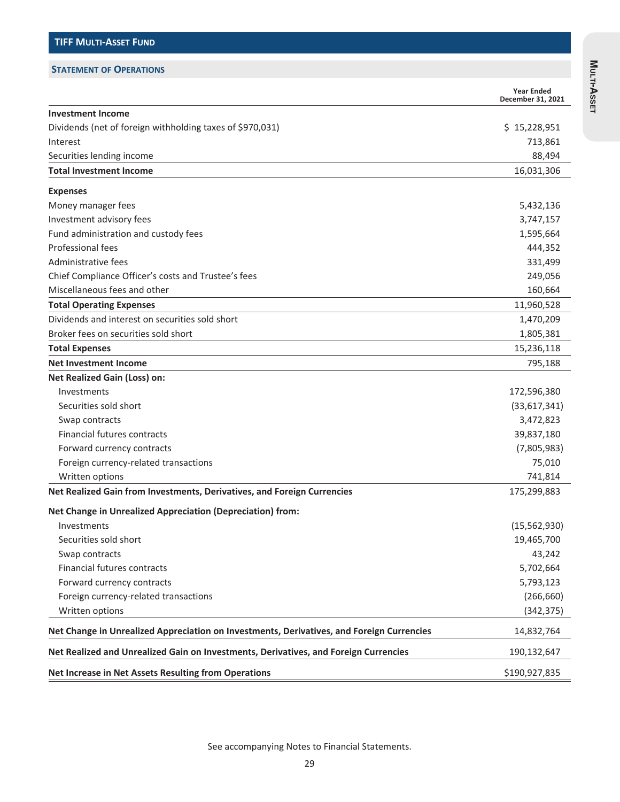#### **STATEMENT OF OPERATIONS**

|                                                                                           | <b>Year Ended</b><br>December 31, 2021 |
|-------------------------------------------------------------------------------------------|----------------------------------------|
| <b>Investment Income</b>                                                                  |                                        |
| Dividends (net of foreign withholding taxes of \$970,031)                                 | \$15,228,951                           |
| Interest                                                                                  | 713,861                                |
| Securities lending income                                                                 | 88,494                                 |
| <b>Total Investment Income</b>                                                            | 16,031,306                             |
| <b>Expenses</b>                                                                           |                                        |
| Money manager fees                                                                        | 5,432,136                              |
| Investment advisory fees                                                                  | 3,747,157                              |
| Fund administration and custody fees                                                      | 1,595,664                              |
| Professional fees                                                                         | 444,352                                |
| Administrative fees                                                                       | 331,499                                |
| Chief Compliance Officer's costs and Trustee's fees                                       | 249,056                                |
| Miscellaneous fees and other                                                              | 160,664                                |
| <b>Total Operating Expenses</b>                                                           | 11,960,528                             |
| Dividends and interest on securities sold short                                           | 1,470,209                              |
| Broker fees on securities sold short                                                      | 1,805,381                              |
| <b>Total Expenses</b>                                                                     | 15,236,118                             |
| <b>Net Investment Income</b>                                                              | 795,188                                |
| <b>Net Realized Gain (Loss) on:</b>                                                       |                                        |
| Investments                                                                               | 172,596,380                            |
| Securities sold short                                                                     | (33,617,341)                           |
| Swap contracts                                                                            | 3,472,823                              |
| <b>Financial futures contracts</b>                                                        | 39,837,180                             |
| Forward currency contracts                                                                | (7,805,983)                            |
| Foreign currency-related transactions                                                     | 75,010                                 |
| Written options                                                                           | 741,814                                |
| Net Realized Gain from Investments, Derivatives, and Foreign Currencies                   | 175,299,883                            |
| Net Change in Unrealized Appreciation (Depreciation) from:                                |                                        |
| Investments                                                                               | (15, 562, 930)                         |
| Securities sold short                                                                     | 19,465,700                             |
| Swap contracts                                                                            | 43,242                                 |
| Financial futures contracts                                                               | 5,702,664                              |
| Forward currency contracts                                                                | 5,793,123                              |
| Foreign currency-related transactions                                                     | (266, 660)                             |
| Written options                                                                           | (342, 375)                             |
| Net Change in Unrealized Appreciation on Investments, Derivatives, and Foreign Currencies | 14,832,764                             |
| Net Realized and Unrealized Gain on Investments, Derivatives, and Foreign Currencies      | 190,132,647                            |
| Net Increase in Net Assets Resulting from Operations                                      | \$190,927,835                          |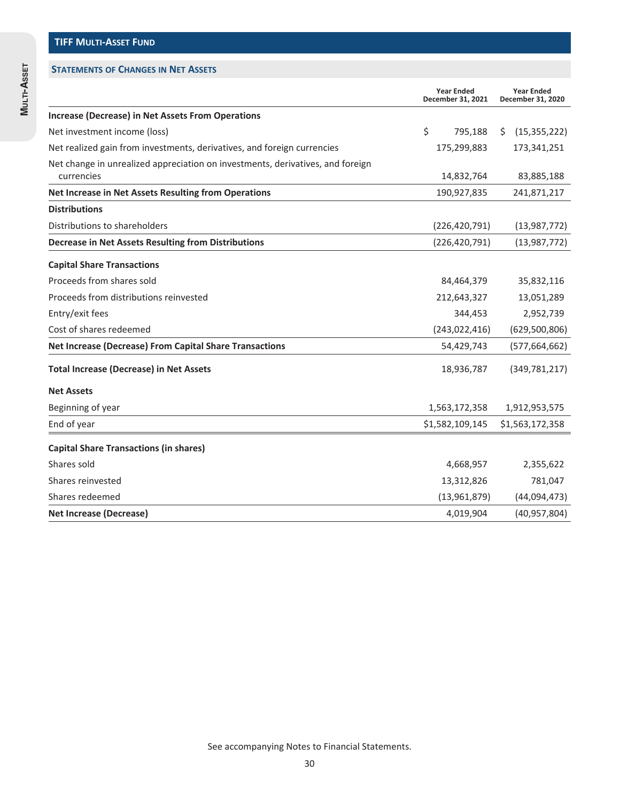|                                                                                              | <b>Year Ended</b><br>December 31, 2021 |     | <b>Year Ended</b><br>December 31, 2020 |
|----------------------------------------------------------------------------------------------|----------------------------------------|-----|----------------------------------------|
| <b>Increase (Decrease) in Net Assets From Operations</b>                                     |                                        |     |                                        |
| Net investment income (loss)                                                                 | \$<br>795,188                          | \$. | (15, 355, 222)                         |
| Net realized gain from investments, derivatives, and foreign currencies                      | 175,299,883                            |     | 173,341,251                            |
| Net change in unrealized appreciation on investments, derivatives, and foreign<br>currencies | 14,832,764                             |     | 83,885,188                             |
| Net Increase in Net Assets Resulting from Operations                                         | 190,927,835                            |     | 241,871,217                            |
| <b>Distributions</b>                                                                         |                                        |     |                                        |
| Distributions to shareholders                                                                | (226, 420, 791)                        |     | (13,987,772)                           |
| <b>Decrease in Net Assets Resulting from Distributions</b>                                   | (226, 420, 791)                        |     | (13,987,772)                           |
| <b>Capital Share Transactions</b>                                                            |                                        |     |                                        |
| Proceeds from shares sold                                                                    | 84,464,379                             |     | 35,832,116                             |
| Proceeds from distributions reinvested                                                       | 212,643,327                            |     | 13,051,289                             |
| Entry/exit fees                                                                              | 344,453                                |     | 2,952,739                              |
| Cost of shares redeemed                                                                      | (243, 022, 416)                        |     | (629,500,806)                          |
| Net Increase (Decrease) From Capital Share Transactions                                      | 54,429,743                             |     | (577, 664, 662)                        |
| <b>Total Increase (Decrease) in Net Assets</b>                                               | 18,936,787                             |     | (349, 781, 217)                        |
| <b>Net Assets</b>                                                                            |                                        |     |                                        |
| Beginning of year                                                                            | 1,563,172,358                          |     | 1,912,953,575                          |
| End of year                                                                                  | \$1,582,109,145                        |     | \$1,563,172,358                        |
| <b>Capital Share Transactions (in shares)</b>                                                |                                        |     |                                        |
| Shares sold                                                                                  | 4,668,957                              |     | 2,355,622                              |
| Shares reinvested                                                                            | 13,312,826                             |     | 781,047                                |
| Shares redeemed                                                                              | (13,961,879)                           |     | (44,094,473)                           |
| <b>Net Increase (Decrease)</b>                                                               | 4,019,904                              |     | (40, 957, 804)                         |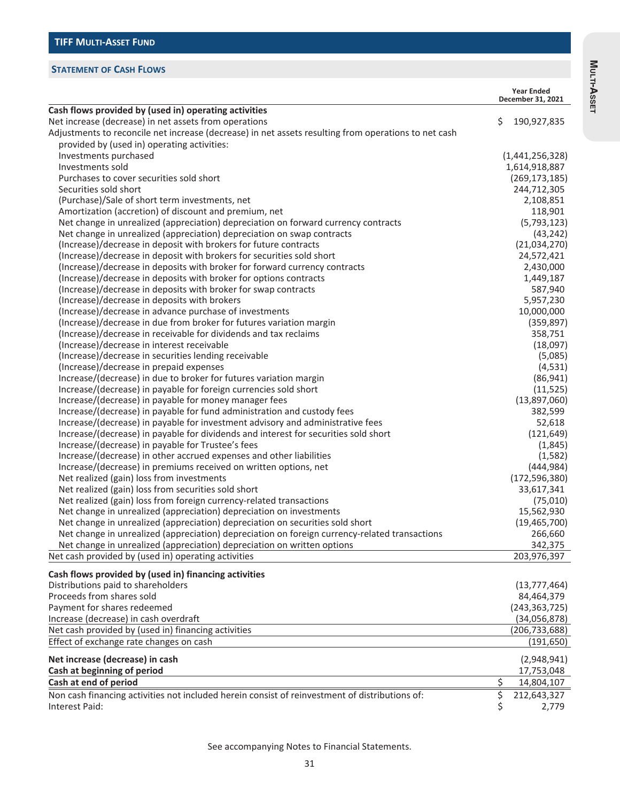### **STATEMENT OF CASH FLOWS**

|                                                                                                                                                               | <b>Year Ended</b><br>December 31, 2021 |
|---------------------------------------------------------------------------------------------------------------------------------------------------------------|----------------------------------------|
| Cash flows provided by (used in) operating activities                                                                                                         |                                        |
| Net increase (decrease) in net assets from operations<br>Adjustments to reconcile net increase (decrease) in net assets resulting from operations to net cash | \$<br>190,927,835                      |
| provided by (used in) operating activities:                                                                                                                   |                                        |
| Investments purchased                                                                                                                                         | (1,441,256,328)                        |
| Investments sold                                                                                                                                              | 1,614,918,887                          |
| Purchases to cover securities sold short                                                                                                                      | (269, 173, 185)                        |
| Securities sold short                                                                                                                                         | 244,712,305                            |
| (Purchase)/Sale of short term investments, net                                                                                                                | 2,108,851                              |
| Amortization (accretion) of discount and premium, net                                                                                                         | 118,901                                |
| Net change in unrealized (appreciation) depreciation on forward currency contracts                                                                            | (5,793,123)                            |
| Net change in unrealized (appreciation) depreciation on swap contracts                                                                                        | (43, 242)                              |
| (Increase)/decrease in deposit with brokers for future contracts                                                                                              | (21,034,270)                           |
| (Increase)/decrease in deposit with brokers for securities sold short                                                                                         | 24,572,421                             |
| (Increase)/decrease in deposits with broker for forward currency contracts                                                                                    | 2,430,000                              |
| (Increase)/decrease in deposits with broker for options contracts                                                                                             | 1,449,187                              |
| (Increase)/decrease in deposits with broker for swap contracts                                                                                                | 587,940                                |
| (Increase)/decrease in deposits with brokers                                                                                                                  | 5,957,230                              |
| (Increase)/decrease in advance purchase of investments                                                                                                        | 10,000,000                             |
| (Increase)/decrease in due from broker for futures variation margin                                                                                           | (359, 897)                             |
| (Increase)/decrease in receivable for dividends and tax reclaims                                                                                              | 358,751                                |
| (Increase)/decrease in interest receivable                                                                                                                    | (18,097)                               |
| (Increase)/decrease in securities lending receivable                                                                                                          | (5,085)                                |
| (Increase)/decrease in prepaid expenses                                                                                                                       | (4, 531)                               |
| Increase/(decrease) in due to broker for futures variation margin                                                                                             | (86, 941)                              |
| Increase/(decrease) in payable for foreign currencies sold short                                                                                              | (11, 525)                              |
| Increase/(decrease) in payable for money manager fees                                                                                                         | (13,897,060)                           |
| Increase/(decrease) in payable for fund administration and custody fees                                                                                       | 382,599                                |
| Increase/(decrease) in payable for investment advisory and administrative fees                                                                                | 52,618                                 |
| Increase/(decrease) in payable for dividends and interest for securities sold short                                                                           | (121, 649)                             |
| Increase/(decrease) in payable for Trustee's fees                                                                                                             | (1,845)                                |
| Increase/(decrease) in other accrued expenses and other liabilities                                                                                           | (1,582)                                |
| Increase/(decrease) in premiums received on written options, net                                                                                              | (444, 984)                             |
| Net realized (gain) loss from investments                                                                                                                     | (172, 596, 380)                        |
| Net realized (gain) loss from securities sold short                                                                                                           | 33,617,341                             |
| Net realized (gain) loss from foreign currency-related transactions                                                                                           | (75,010)                               |
| Net change in unrealized (appreciation) depreciation on investments                                                                                           | 15,562,930                             |
| Net change in unrealized (appreciation) depreciation on securities sold short                                                                                 | (19, 465, 700)                         |
| Net change in unrealized (appreciation) depreciation on foreign currency-related transactions                                                                 | 266,660                                |
| Net change in unrealized (appreciation) depreciation on written options                                                                                       | 342,375                                |
| Net cash provided by (used in) operating activities                                                                                                           | 203,976,397                            |
| Cash flows provided by (used in) financing activities                                                                                                         |                                        |
| Distributions paid to shareholders                                                                                                                            | (13, 777, 464)                         |
| Proceeds from shares sold                                                                                                                                     | 84,464,379                             |
| Payment for shares redeemed                                                                                                                                   | (243, 363, 725)                        |
| Increase (decrease) in cash overdraft                                                                                                                         | (34,056,878)                           |
| Net cash provided by (used in) financing activities                                                                                                           | (206, 733, 688)                        |
| Effect of exchange rate changes on cash                                                                                                                       | (191, 650)                             |
| Net increase (decrease) in cash                                                                                                                               | (2,948,941)                            |
| Cash at beginning of period                                                                                                                                   | 17,753,048                             |
| Cash at end of period                                                                                                                                         | \$<br>14,804,107                       |
| Non cash financing activities not included herein consist of reinvestment of distributions of:                                                                | \$<br>212,643,327                      |
| Interest Paid:                                                                                                                                                | \$<br>2,779                            |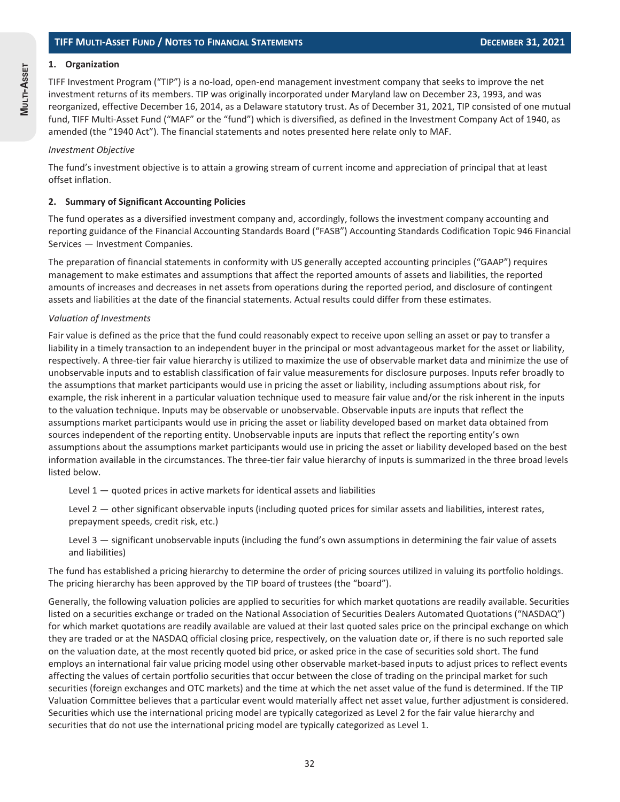#### **1. Organization**

TIFF Investment Program ("TIP") is a no-load, open-end management investment company that seeks to improve the net investment returns of its members. TIP was originally incorporated under Maryland law on December 23, 1993, and was reorganized, effective December 16, 2014, as a Delaware statutory trust. As of December 31, 2021, TIP consisted of one mutual fund, TIFF Multi-Asset Fund ("MAF" or the "fund") which is diversified, as defined in the Investment Company Act of 1940, as amended (the "1940 Act"). The financial statements and notes presented here relate only to MAF.

#### *Investment Objective*

The fund's investment objective is to attain a growing stream of current income and appreciation of principal that at least offset inflation.

#### **2. Summary of Significant Accounting Policies**

The fund operates as a diversified investment company and, accordingly, follows the investment company accounting and reporting guidance of the Financial Accounting Standards Board ("FASB") Accounting Standards Codification Topic 946 Financial Services — Investment Companies.

The preparation of financial statements in conformity with US generally accepted accounting principles ("GAAP") requires management to make estimates and assumptions that affect the reported amounts of assets and liabilities, the reported amounts of increases and decreases in net assets from operations during the reported period, and disclosure of contingent assets and liabilities at the date of the financial statements. Actual results could differ from these estimates.

#### *Valuation of Investments*

Fair value is defined as the price that the fund could reasonably expect to receive upon selling an asset or pay to transfer a liability in a timely transaction to an independent buyer in the principal or most advantageous market for the asset or liability, respectively. A three-tier fair value hierarchy is utilized to maximize the use of observable market data and minimize the use of unobservable inputs and to establish classification of fair value measurements for disclosure purposes. Inputs refer broadly to the assumptions that market participants would use in pricing the asset or liability, including assumptions about risk, for example, the risk inherent in a particular valuation technique used to measure fair value and/or the risk inherent in the inputs to the valuation technique. Inputs may be observable or unobservable. Observable inputs are inputs that reflect the assumptions market participants would use in pricing the asset or liability developed based on market data obtained from sources independent of the reporting entity. Unobservable inputs are inputs that reflect the reporting entity's own assumptions about the assumptions market participants would use in pricing the asset or liability developed based on the best information available in the circumstances. The three-tier fair value hierarchy of inputs is summarized in the three broad levels listed below.

Level  $1$   $-$  quoted prices in active markets for identical assets and liabilities

Level 2 — other significant observable inputs (including quoted prices for similar assets and liabilities, interest rates, prepayment speeds, credit risk, etc.)

Level 3 — significant unobservable inputs (including the fund's own assumptions in determining the fair value of assets and liabilities)

The fund has established a pricing hierarchy to determine the order of pricing sources utilized in valuing its portfolio holdings. The pricing hierarchy has been approved by the TIP board of trustees (the "board").

Generally, the following valuation policies are applied to securities for which market quotations are readily available. Securities listed on a securities exchange or traded on the National Association of Securities Dealers Automated Quotations ("NASDAQ") for which market quotations are readily available are valued at their last quoted sales price on the principal exchange on which they are traded or at the NASDAQ official closing price, respectively, on the valuation date or, if there is no such reported sale on the valuation date, at the most recently quoted bid price, or asked price in the case of securities sold short. The fund employs an international fair value pricing model using other observable market-based inputs to adjust prices to reflect events affecting the values of certain portfolio securities that occur between the close of trading on the principal market for such securities (foreign exchanges and OTC markets) and the time at which the net asset value of the fund is determined. If the TIP Valuation Committee believes that a particular event would materially affect net asset value, further adjustment is considered. Securities which use the international pricing model are typically categorized as Level 2 for the fair value hierarchy and securities that do not use the international pricing model are typically categorized as Level 1.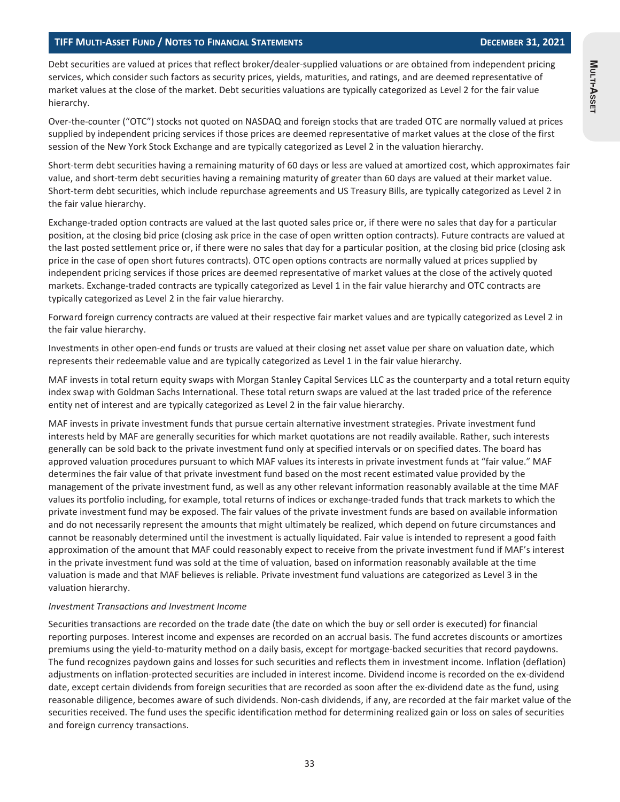**MULTI-ASSET**

Muun-Asser

#### **TIFF MULTI-ASSET FUND / NOTES TO FINANCIAL STATEMENTS DECEMBER 31, 2021**

Debt securities are valued at prices that reflect broker/dealer-supplied valuations or are obtained from independent pricing services, which consider such factors as security prices, yields, maturities, and ratings, and are deemed representative of market values at the close of the market. Debt securities valuations are typically categorized as Level 2 for the fair value hierarchy.

Over-the-counter ("OTC") stocks not quoted on NASDAQ and foreign stocks that are traded OTC are normally valued at prices supplied by independent pricing services if those prices are deemed representative of market values at the close of the first session of the New York Stock Exchange and are typically categorized as Level 2 in the valuation hierarchy.

Short-term debt securities having a remaining maturity of 60 days or less are valued at amortized cost, which approximates fair value, and short-term debt securities having a remaining maturity of greater than 60 days are valued at their market value. Short-term debt securities, which include repurchase agreements and US Treasury Bills, are typically categorized as Level 2 in the fair value hierarchy.

Exchange-traded option contracts are valued at the last quoted sales price or, if there were no sales that day for a particular position, at the closing bid price (closing ask price in the case of open written option contracts). Future contracts are valued at the last posted settlement price or, if there were no sales that day for a particular position, at the closing bid price (closing ask price in the case of open short futures contracts). OTC open options contracts are normally valued at prices supplied by independent pricing services if those prices are deemed representative of market values at the close of the actively quoted markets. Exchange-traded contracts are typically categorized as Level 1 in the fair value hierarchy and OTC contracts are typically categorized as Level 2 in the fair value hierarchy.

Forward foreign currency contracts are valued at their respective fair market values and are typically categorized as Level 2 in the fair value hierarchy.

Investments in other open-end funds or trusts are valued at their closing net asset value per share on valuation date, which represents their redeemable value and are typically categorized as Level 1 in the fair value hierarchy.

MAF invests in total return equity swaps with Morgan Stanley Capital Services LLC as the counterparty and a total return equity index swap with Goldman Sachs International. These total return swaps are valued at the last traded price of the reference entity net of interest and are typically categorized as Level 2 in the fair value hierarchy.

MAF invests in private investment funds that pursue certain alternative investment strategies. Private investment fund interests held by MAF are generally securities for which market quotations are not readily available. Rather, such interests generally can be sold back to the private investment fund only at specified intervals or on specified dates. The board has approved valuation procedures pursuant to which MAF values its interests in private investment funds at "fair value." MAF determines the fair value of that private investment fund based on the most recent estimated value provided by the management of the private investment fund, as well as any other relevant information reasonably available at the time MAF values its portfolio including, for example, total returns of indices or exchange-traded funds that track markets to which the private investment fund may be exposed. The fair values of the private investment funds are based on available information and do not necessarily represent the amounts that might ultimately be realized, which depend on future circumstances and cannot be reasonably determined until the investment is actually liquidated. Fair value is intended to represent a good faith approximation of the amount that MAF could reasonably expect to receive from the private investment fund if MAF's interest in the private investment fund was sold at the time of valuation, based on information reasonably available at the time valuation is made and that MAF believes is reliable. Private investment fund valuations are categorized as Level 3 in the valuation hierarchy.

#### *Investment Transactions and Investment Income*

Securities transactions are recorded on the trade date (the date on which the buy or sell order is executed) for financial reporting purposes. Interest income and expenses are recorded on an accrual basis. The fund accretes discounts or amortizes premiums using the yield-to-maturity method on a daily basis, except for mortgage-backed securities that record paydowns. The fund recognizes paydown gains and losses for such securities and reflects them in investment income. Inflation (deflation) adjustments on inflation-protected securities are included in interest income. Dividend income is recorded on the ex-dividend date, except certain dividends from foreign securities that are recorded as soon after the ex-dividend date as the fund, using reasonable diligence, becomes aware of such dividends. Non-cash dividends, if any, are recorded at the fair market value of the securities received. The fund uses the specific identification method for determining realized gain or loss on sales of securities and foreign currency transactions.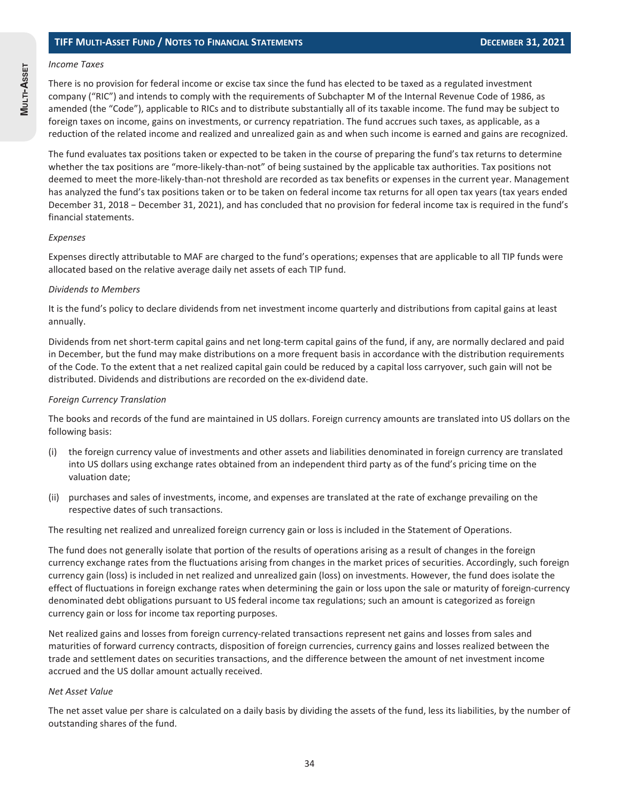#### *Income Taxes*

There is no provision for federal income or excise tax since the fund has elected to be taxed as a regulated investment company ("RIC") and intends to comply with the requirements of Subchapter M of the Internal Revenue Code of 1986, as amended (the "Code"), applicable to RICs and to distribute substantially all of its taxable income. The fund may be subject to foreign taxes on income, gains on investments, or currency repatriation. The fund accrues such taxes, as applicable, as a reduction of the related income and realized and unrealized gain as and when such income is earned and gains are recognized.

The fund evaluates tax positions taken or expected to be taken in the course of preparing the fund's tax returns to determine whether the tax positions are "more-likely-than-not" of being sustained by the applicable tax authorities. Tax positions not deemed to meet the more-likely-than-not threshold are recorded as tax benefits or expenses in the current year. Management has analyzed the fund's tax positions taken or to be taken on federal income tax returns for all open tax years (tax years ended December 31, 2018 − December 31, 2021), and has concluded that no provision for federal income tax is required in the fund's financial statements.

#### *Expenses*

Expenses directly attributable to MAF are charged to the fund's operations; expenses that are applicable to all TIP funds were allocated based on the relative average daily net assets of each TIP fund.

#### *Dividends to Members*

It is the fund's policy to declare dividends from net investment income quarterly and distributions from capital gains at least annually.

Dividends from net short-term capital gains and net long-term capital gains of the fund, if any, are normally declared and paid in December, but the fund may make distributions on a more frequent basis in accordance with the distribution requirements of the Code. To the extent that a net realized capital gain could be reduced by a capital loss carryover, such gain will not be distributed. Dividends and distributions are recorded on the ex-dividend date.

#### *Foreign Currency Translation*

The books and records of the fund are maintained in US dollars. Foreign currency amounts are translated into US dollars on the following basis:

- (i) the foreign currency value of investments and other assets and liabilities denominated in foreign currency are translated into US dollars using exchange rates obtained from an independent third party as of the fund's pricing time on the valuation date;
- (ii) purchases and sales of investments, income, and expenses are translated at the rate of exchange prevailing on the respective dates of such transactions.

The resulting net realized and unrealized foreign currency gain or loss is included in the Statement of Operations.

The fund does not generally isolate that portion of the results of operations arising as a result of changes in the foreign currency exchange rates from the fluctuations arising from changes in the market prices of securities. Accordingly, such foreign currency gain (loss) is included in net realized and unrealized gain (loss) on investments. However, the fund does isolate the effect of fluctuations in foreign exchange rates when determining the gain or loss upon the sale or maturity of foreign-currency denominated debt obligations pursuant to US federal income tax regulations; such an amount is categorized as foreign currency gain or loss for income tax reporting purposes.

Net realized gains and losses from foreign currency-related transactions represent net gains and losses from sales and maturities of forward currency contracts, disposition of foreign currencies, currency gains and losses realized between the trade and settlement dates on securities transactions, and the difference between the amount of net investment income accrued and the US dollar amount actually received.

#### *Net Asset Value*

The net asset value per share is calculated on a daily basis by dividing the assets of the fund, less its liabilities, by the number of outstanding shares of the fund.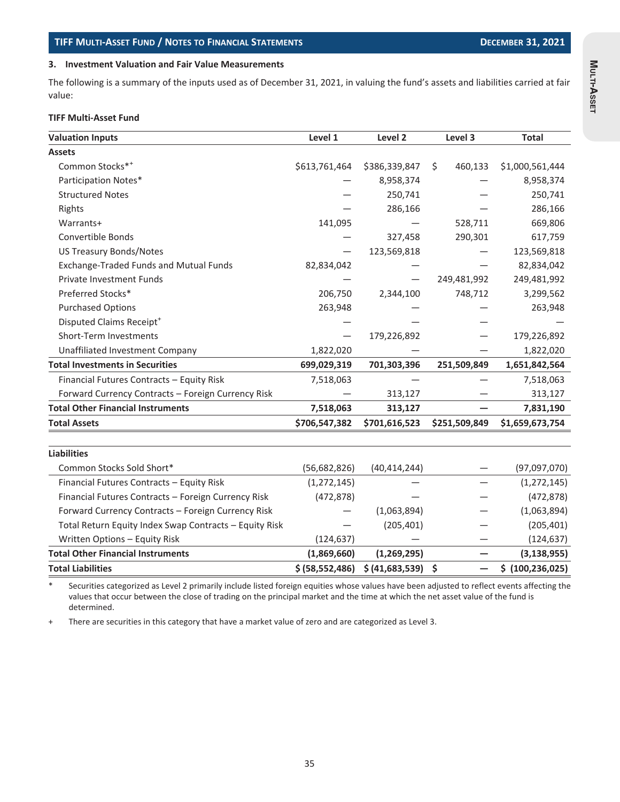#### **3. Investment Valuation and Fair Value Measurements**

The following is a summary of the inputs used as of December 31, 2021, in valuing the fund's assets and liabilities carried at fair value:

#### **TIFF Multi-Asset Fund**

| <b>Valuation Inputs</b>                                | Level 1           | Level 2         | Level 3       | <b>Total</b>       |
|--------------------------------------------------------|-------------------|-----------------|---------------|--------------------|
| <b>Assets</b>                                          |                   |                 |               |                    |
| Common Stocks* <sup>+</sup>                            | \$613,761,464     | \$386,339,847   | 460,133<br>\$ | \$1,000,561,444    |
| Participation Notes*                                   |                   | 8,958,374       |               | 8,958,374          |
| <b>Structured Notes</b>                                |                   | 250,741         |               | 250,741            |
| Rights                                                 |                   | 286,166         |               | 286,166            |
| Warrants+                                              | 141,095           |                 | 528,711       | 669,806            |
| <b>Convertible Bonds</b>                               |                   | 327,458         | 290,301       | 617,759            |
| <b>US Treasury Bonds/Notes</b>                         |                   | 123,569,818     |               | 123,569,818        |
| Exchange-Traded Funds and Mutual Funds                 | 82,834,042        |                 |               | 82,834,042         |
| Private Investment Funds                               |                   |                 | 249,481,992   | 249,481,992        |
| Preferred Stocks*                                      | 206,750           | 2,344,100       | 748,712       | 3,299,562          |
| <b>Purchased Options</b>                               | 263,948           |                 |               | 263,948            |
| Disputed Claims Receipt <sup>+</sup>                   |                   |                 |               |                    |
| Short-Term Investments                                 |                   | 179,226,892     |               | 179,226,892        |
| Unaffiliated Investment Company                        | 1,822,020         |                 |               | 1,822,020          |
| <b>Total Investments in Securities</b>                 | 699,029,319       | 701,303,396     | 251,509,849   | 1,651,842,564      |
| Financial Futures Contracts - Equity Risk              | 7,518,063         |                 |               | 7,518,063          |
| Forward Currency Contracts - Foreign Currency Risk     |                   | 313,127         |               | 313,127            |
| <b>Total Other Financial Instruments</b>               | 7,518,063         | 313,127         |               | 7,831,190          |
| <b>Total Assets</b>                                    | \$706,547,382     | \$701,616,523   | \$251,509,849 | \$1,659,673,754    |
|                                                        |                   |                 |               |                    |
| <b>Liabilities</b>                                     |                   |                 |               |                    |
| Common Stocks Sold Short*                              | (56, 682, 826)    | (40, 414, 244)  |               | (97,097,070)       |
| Financial Futures Contracts - Equity Risk              | (1, 272, 145)     |                 |               | (1, 272, 145)      |
| Financial Futures Contracts - Foreign Currency Risk    | (472, 878)        |                 |               | (472, 878)         |
| Forward Currency Contracts - Foreign Currency Risk     |                   | (1,063,894)     |               | (1,063,894)        |
| Total Return Equity Index Swap Contracts - Equity Risk |                   | (205, 401)      |               | (205, 401)         |
| Written Options - Equity Risk                          | (124, 637)        |                 |               | (124, 637)         |
| <b>Total Other Financial Instruments</b>               | (1,869,660)       | (1, 269, 295)   |               | (3, 138, 955)      |
| <b>Total Liabilities</b>                               | \$ (58, 552, 486) | \$ (41,683,539) | \$<br>—       | \$ (100, 236, 025) |

\* Securities categorized as Level 2 primarily include listed foreign equities whose values have been adjusted to reflect events affecting the values that occur between the close of trading on the principal market and the time at which the net asset value of the fund is determined.

+ There are securities in this category that have a market value of zero and are categorized as Level 3.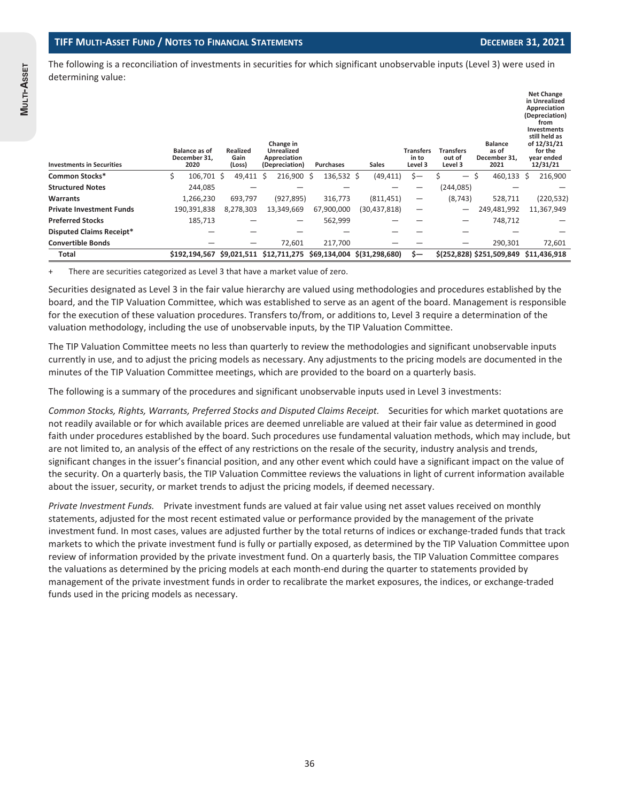The following is a reconciliation of investments in securities for which significant unobservable inputs (Level 3) were used in determining value:

| <b>Investments in Securities</b> |   | <b>Balance as of</b><br>December 31,<br>2020 | <b>Realized</b><br>Gain<br>(Loss) |   | Change in<br><b>Unrealized</b><br>Appreciation<br>(Depreciation) | <b>Purchases</b> | <b>Sales</b>                | <b>Transfers</b><br>in to<br>Level 3 | <b>Transfers</b><br>out of<br>Level 3 |   | <b>Balance</b><br>as of<br>December 31,<br>2021 |   | <b>Net Change</b><br>in Unrealized<br>Appreciation<br>(Depreciation)<br>from<br><b>Investments</b><br>still held as<br>of 12/31/21<br>for the<br>year ended<br>12/31/21 |
|----------------------------------|---|----------------------------------------------|-----------------------------------|---|------------------------------------------------------------------|------------------|-----------------------------|--------------------------------------|---------------------------------------|---|-------------------------------------------------|---|-------------------------------------------------------------------------------------------------------------------------------------------------------------------------|
| Common Stocks*                   | Ś | 106.701 \$                                   | 49,411                            | Ś | 216,900 \$                                                       | 136,532 \$       | (49, 411)                   | Ś—                                   | $\qquad \qquad -$                     | Ŝ | 460,133                                         | Ŝ | 216,900                                                                                                                                                                 |
| <b>Structured Notes</b>          |   | 244,085                                      |                                   |   |                                                                  |                  |                             |                                      | (244, 085)                            |   |                                                 |   |                                                                                                                                                                         |
| Warrants                         |   | 1,266,230                                    | 693,797                           |   | (927, 895)                                                       | 316,773          | (811, 451)                  | $\overline{\phantom{0}}$             | (8, 743)                              |   | 528,711                                         |   | (220, 532)                                                                                                                                                              |
| <b>Private Investment Funds</b>  |   | 190,391,838                                  | 8,278,303                         |   | 13,349,669                                                       | 67,900,000       | (30, 437, 818)              |                                      |                                       |   | 249,481,992                                     |   | 11,367,949                                                                                                                                                              |
| <b>Preferred Stocks</b>          |   | 185,713                                      |                                   |   |                                                                  | 562,999          |                             |                                      |                                       |   | 748,712                                         |   |                                                                                                                                                                         |
| <b>Disputed Claims Receipt*</b>  |   |                                              |                                   |   |                                                                  |                  |                             |                                      |                                       |   |                                                 |   |                                                                                                                                                                         |
| <b>Convertible Bonds</b>         |   |                                              |                                   |   | 72,601                                                           | 217,700          |                             |                                      | –                                     |   | 290,301                                         |   | 72,601                                                                                                                                                                  |
| Total                            |   | \$192,194,567 \$9,021,511 \$12,711,275       |                                   |   |                                                                  |                  | \$69,134,004 \$(31,298,680) | \$—                                  |                                       |   | \$(252,828) \$251,509,849 \$11,436,918          |   |                                                                                                                                                                         |

There are securities categorized as Level 3 that have a market value of zero.

Securities designated as Level 3 in the fair value hierarchy are valued using methodologies and procedures established by the board, and the TIP Valuation Committee, which was established to serve as an agent of the board. Management is responsible for the execution of these valuation procedures. Transfers to/from, or additions to, Level 3 require a determination of the valuation methodology, including the use of unobservable inputs, by the TIP Valuation Committee.

The TIP Valuation Committee meets no less than quarterly to review the methodologies and significant unobservable inputs currently in use, and to adjust the pricing models as necessary. Any adjustments to the pricing models are documented in the minutes of the TIP Valuation Committee meetings, which are provided to the board on a quarterly basis.

The following is a summary of the procedures and significant unobservable inputs used in Level 3 investments:

*Common Stocks, Rights, Warrants, Preferred Stocks and Disputed Claims Receipt.* Securities for which market quotations are not readily available or for which available prices are deemed unreliable are valued at their fair value as determined in good faith under procedures established by the board. Such procedures use fundamental valuation methods, which may include, but are not limited to, an analysis of the effect of any restrictions on the resale of the security, industry analysis and trends, significant changes in the issuer's financial position, and any other event which could have a significant impact on the value of the security. On a quarterly basis, the TIP Valuation Committee reviews the valuations in light of current information available about the issuer, security, or market trends to adjust the pricing models, if deemed necessary.

*Private Investment Funds.* Private investment funds are valued at fair value using net asset values received on monthly statements, adjusted for the most recent estimated value or performance provided by the management of the private investment fund. In most cases, values are adjusted further by the total returns of indices or exchange-traded funds that track markets to which the private investment fund is fully or partially exposed, as determined by the TIP Valuation Committee upon review of information provided by the private investment fund. On a quarterly basis, the TIP Valuation Committee compares the valuations as determined by the pricing models at each month-end during the quarter to statements provided by management of the private investment funds in order to recalibrate the market exposures, the indices, or exchange-traded funds used in the pricing models as necessary.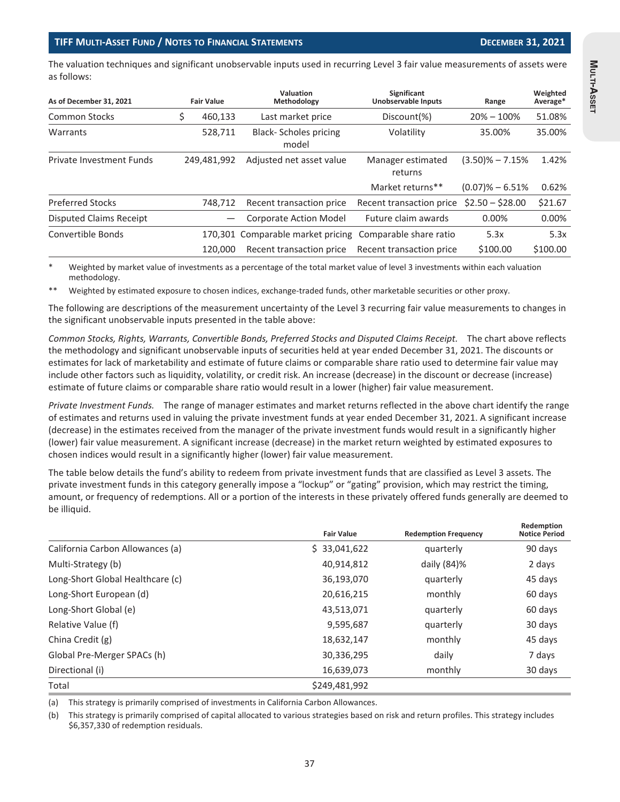The valuation techniques and significant unobservable inputs used in recurring Level 3 fair value measurements of assets were as follows:

| As of December 31, 2021                 | Valuation<br>Significant<br>Methodology<br><b>Fair Value</b> |                          | <b>Unobservable Inputs</b>            | Range                    | Weighted<br>Average* |         |
|-----------------------------------------|--------------------------------------------------------------|--------------------------|---------------------------------------|--------------------------|----------------------|---------|
| Common Stocks                           |                                                              | 460,133                  | Last market price                     | Discount(%)              | $20\% - 100\%$       | 51.08%  |
| Warrants                                | 528,711                                                      |                          | <b>Black-Scholes pricing</b><br>model | Volatility               | 35.00%               | 35.00%  |
| Private Investment Funds<br>249.481.992 |                                                              | Adjusted net asset value | Manager estimated<br>returns          | $(3.50)\% - 7.15\%$      | 1.42%                |         |
|                                         |                                                              |                          |                                       | Market returns**         | $(0.07)\% - 6.51\%$  | 0.62%   |
| <b>Preferred Stocks</b>                 |                                                              | 748.712                  | Recent transaction price              | Recent transaction price | $$2.50 - $28.00$     | \$21.67 |
| Disputed Claims Receipt                 |                                                              |                          | <b>Corporate Action Model</b>         | Future claim awards      | $0.00\%$             | 0.00%   |
| Convertible Bonds                       |                                                              |                          | 170,301 Comparable market pricing     | Comparable share ratio   | 5.3x                 | 5.3x    |
| 120,000                                 |                                                              | Recent transaction price | Recent transaction price              | \$100.00                 | \$100.00             |         |

Weighted by market value of investments as a percentage of the total market value of level 3 investments within each valuation methodology.

\*\* Weighted by estimated exposure to chosen indices, exchange-traded funds, other marketable securities or other proxy.

The following are descriptions of the measurement uncertainty of the Level 3 recurring fair value measurements to changes in the significant unobservable inputs presented in the table above:

*Common Stocks, Rights, Warrants, Convertible Bonds, Preferred Stocks and Disputed Claims Receipt.* The chart above reflects the methodology and significant unobservable inputs of securities held at year ended December 31, 2021. The discounts or estimates for lack of marketability and estimate of future claims or comparable share ratio used to determine fair value may include other factors such as liquidity, volatility, or credit risk. An increase (decrease) in the discount or decrease (increase) estimate of future claims or comparable share ratio would result in a lower (higher) fair value measurement.

*Private Investment Funds.* The range of manager estimates and market returns reflected in the above chart identify the range of estimates and returns used in valuing the private investment funds at year ended December 31, 2021. A significant increase (decrease) in the estimates received from the manager of the private investment funds would result in a significantly higher (lower) fair value measurement. A significant increase (decrease) in the market return weighted by estimated exposures to chosen indices would result in a significantly higher (lower) fair value measurement.

The table below details the fund's ability to redeem from private investment funds that are classified as Level 3 assets. The private investment funds in this category generally impose a "lockup" or "gating" provision, which may restrict the timing, amount, or frequency of redemptions. All or a portion of the interests in these privately offered funds generally are deemed to be illiquid.

|                                  | <b>Fair Value</b> | <b>Redemption Frequency</b> | Redemption<br><b>Notice Period</b> |
|----------------------------------|-------------------|-----------------------------|------------------------------------|
| California Carbon Allowances (a) | \$33,041,622      | quarterly                   | 90 days                            |
| Multi-Strategy (b)               | 40,914,812        | daily $(84)$ %              | 2 days                             |
| Long-Short Global Healthcare (c) | 36,193,070        | quarterly                   | 45 days                            |
| Long-Short European (d)          | 20,616,215        | monthly                     | 60 days                            |
| Long-Short Global (e)            | 43,513,071        | quarterly                   | 60 days                            |
| Relative Value (f)               | 9,595,687         | quarterly                   | 30 days                            |
| China Credit (g)                 | 18,632,147        | monthly                     | 45 days                            |
| Global Pre-Merger SPACs (h)      | 30,336,295        | daily                       | 7 days                             |
| Directional (i)                  | 16,639,073        | monthly                     | 30 days                            |
| Total                            | \$249,481,992     |                             |                                    |

(a) This strategy is primarily comprised of investments in California Carbon Allowances.

(b) This strategy is primarily comprised of capital allocated to various strategies based on risk and return profiles. This strategy includes \$6,357,330 of redemption residuals.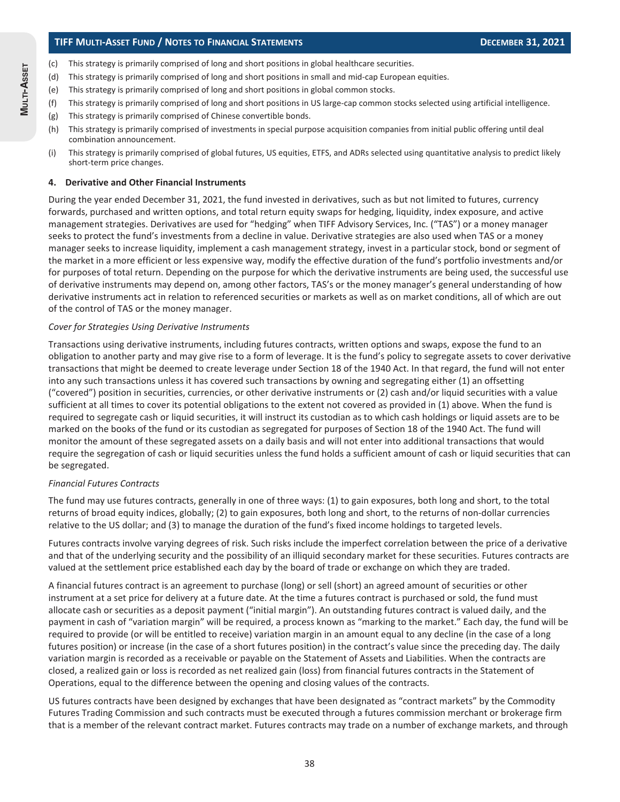### **TIFF MULTI-ASSET FUND / NOTES TO FINANCIAL STATEMENTS DECEMBER 31, 2021**

- (c) This strategy is primarily comprised of long and short positions in global healthcare securities.
- (d) This strategy is primarily comprised of long and short positions in small and mid-cap European equities.
- (e) This strategy is primarily comprised of long and short positions in global common stocks.
- (f) This strategy is primarily comprised of long and short positions in US large-cap common stocks selected using artificial intelligence.
- (g) This strategy is primarily comprised of Chinese convertible bonds.
- (h) This strategy is primarily comprised of investments in special purpose acquisition companies from initial public offering until deal combination announcement.
- (i) This strategy is primarily comprised of global futures, US equities, ETFS, and ADRs selected using quantitative analysis to predict likely short-term price changes.

#### **4. Derivative and Other Financial Instruments**

During the year ended December 31, 2021, the fund invested in derivatives, such as but not limited to futures, currency forwards, purchased and written options, and total return equity swaps for hedging, liquidity, index exposure, and active management strategies. Derivatives are used for "hedging" when TIFF Advisory Services, Inc. ("TAS") or a money manager seeks to protect the fund's investments from a decline in value. Derivative strategies are also used when TAS or a money manager seeks to increase liquidity, implement a cash management strategy, invest in a particular stock, bond or segment of the market in a more efficient or less expensive way, modify the effective duration of the fund's portfolio investments and/or for purposes of total return. Depending on the purpose for which the derivative instruments are being used, the successful use of derivative instruments may depend on, among other factors, TAS's or the money manager's general understanding of how derivative instruments act in relation to referenced securities or markets as well as on market conditions, all of which are out of the control of TAS or the money manager.

#### *Cover for Strategies Using Derivative Instruments*

Transactions using derivative instruments, including futures contracts, written options and swaps, expose the fund to an obligation to another party and may give rise to a form of leverage. It is the fund's policy to segregate assets to cover derivative transactions that might be deemed to create leverage under Section 18 of the 1940 Act. In that regard, the fund will not enter into any such transactions unless it has covered such transactions by owning and segregating either (1) an offsetting ("covered") position in securities, currencies, or other derivative instruments or (2) cash and/or liquid securities with a value sufficient at all times to cover its potential obligations to the extent not covered as provided in (1) above. When the fund is required to segregate cash or liquid securities, it will instruct its custodian as to which cash holdings or liquid assets are to be marked on the books of the fund or its custodian as segregated for purposes of Section 18 of the 1940 Act. The fund will monitor the amount of these segregated assets on a daily basis and will not enter into additional transactions that would require the segregation of cash or liquid securities unless the fund holds a sufficient amount of cash or liquid securities that can be segregated.

#### *Financial Futures Contracts*

The fund may use futures contracts, generally in one of three ways: (1) to gain exposures, both long and short, to the total returns of broad equity indices, globally; (2) to gain exposures, both long and short, to the returns of non-dollar currencies relative to the US dollar; and (3) to manage the duration of the fund's fixed income holdings to targeted levels.

Futures contracts involve varying degrees of risk. Such risks include the imperfect correlation between the price of a derivative and that of the underlying security and the possibility of an illiquid secondary market for these securities. Futures contracts are valued at the settlement price established each day by the board of trade or exchange on which they are traded.

A financial futures contract is an agreement to purchase (long) or sell (short) an agreed amount of securities or other instrument at a set price for delivery at a future date. At the time a futures contract is purchased or sold, the fund must allocate cash or securities as a deposit payment ("initial margin"). An outstanding futures contract is valued daily, and the payment in cash of "variation margin" will be required, a process known as "marking to the market." Each day, the fund will be required to provide (or will be entitled to receive) variation margin in an amount equal to any decline (in the case of a long futures position) or increase (in the case of a short futures position) in the contract's value since the preceding day. The daily variation margin is recorded as a receivable or payable on the Statement of Assets and Liabilities. When the contracts are closed, a realized gain or loss is recorded as net realized gain (loss) from financial futures contracts in the Statement of Operations, equal to the difference between the opening and closing values of the contracts.

US futures contracts have been designed by exchanges that have been designated as "contract markets" by the Commodity Futures Trading Commission and such contracts must be executed through a futures commission merchant or brokerage firm that is a member of the relevant contract market. Futures contracts may trade on a number of exchange markets, and through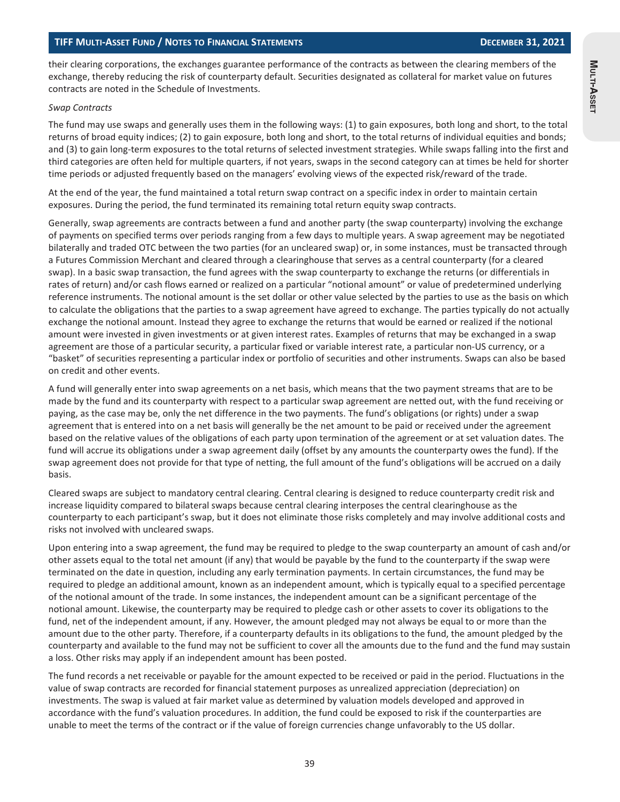**MULTI-ASSET**

Multi-Asset

their clearing corporations, the exchanges guarantee performance of the contracts as between the clearing members of the exchange, thereby reducing the risk of counterparty default. Securities designated as collateral for market value on futures contracts are noted in the Schedule of Investments.

#### *Swap Contracts*

The fund may use swaps and generally uses them in the following ways: (1) to gain exposures, both long and short, to the total returns of broad equity indices; (2) to gain exposure, both long and short, to the total returns of individual equities and bonds; and (3) to gain long-term exposures to the total returns of selected investment strategies. While swaps falling into the first and third categories are often held for multiple quarters, if not years, swaps in the second category can at times be held for shorter time periods or adjusted frequently based on the managers' evolving views of the expected risk/reward of the trade.

At the end of the year, the fund maintained a total return swap contract on a specific index in order to maintain certain exposures. During the period, the fund terminated its remaining total return equity swap contracts.

Generally, swap agreements are contracts between a fund and another party (the swap counterparty) involving the exchange of payments on specified terms over periods ranging from a few days to multiple years. A swap agreement may be negotiated bilaterally and traded OTC between the two parties (for an uncleared swap) or, in some instances, must be transacted through a Futures Commission Merchant and cleared through a clearinghouse that serves as a central counterparty (for a cleared swap). In a basic swap transaction, the fund agrees with the swap counterparty to exchange the returns (or differentials in rates of return) and/or cash flows earned or realized on a particular "notional amount" or value of predetermined underlying reference instruments. The notional amount is the set dollar or other value selected by the parties to use as the basis on which to calculate the obligations that the parties to a swap agreement have agreed to exchange. The parties typically do not actually exchange the notional amount. Instead they agree to exchange the returns that would be earned or realized if the notional amount were invested in given investments or at given interest rates. Examples of returns that may be exchanged in a swap agreement are those of a particular security, a particular fixed or variable interest rate, a particular non-US currency, or a "basket" of securities representing a particular index or portfolio of securities and other instruments. Swaps can also be based on credit and other events.

A fund will generally enter into swap agreements on a net basis, which means that the two payment streams that are to be made by the fund and its counterparty with respect to a particular swap agreement are netted out, with the fund receiving or paying, as the case may be, only the net difference in the two payments. The fund's obligations (or rights) under a swap agreement that is entered into on a net basis will generally be the net amount to be paid or received under the agreement based on the relative values of the obligations of each party upon termination of the agreement or at set valuation dates. The fund will accrue its obligations under a swap agreement daily (offset by any amounts the counterparty owes the fund). If the swap agreement does not provide for that type of netting, the full amount of the fund's obligations will be accrued on a daily basis.

Cleared swaps are subject to mandatory central clearing. Central clearing is designed to reduce counterparty credit risk and increase liquidity compared to bilateral swaps because central clearing interposes the central clearinghouse as the counterparty to each participant's swap, but it does not eliminate those risks completely and may involve additional costs and risks not involved with uncleared swaps.

Upon entering into a swap agreement, the fund may be required to pledge to the swap counterparty an amount of cash and/or other assets equal to the total net amount (if any) that would be payable by the fund to the counterparty if the swap were terminated on the date in question, including any early termination payments. In certain circumstances, the fund may be required to pledge an additional amount, known as an independent amount, which is typically equal to a specified percentage of the notional amount of the trade. In some instances, the independent amount can be a significant percentage of the notional amount. Likewise, the counterparty may be required to pledge cash or other assets to cover its obligations to the fund, net of the independent amount, if any. However, the amount pledged may not always be equal to or more than the amount due to the other party. Therefore, if a counterparty defaults in its obligations to the fund, the amount pledged by the counterparty and available to the fund may not be sufficient to cover all the amounts due to the fund and the fund may sustain a loss. Other risks may apply if an independent amount has been posted.

The fund records a net receivable or payable for the amount expected to be received or paid in the period. Fluctuations in the value of swap contracts are recorded for financial statement purposes as unrealized appreciation (depreciation) on investments. The swap is valued at fair market value as determined by valuation models developed and approved in accordance with the fund's valuation procedures. In addition, the fund could be exposed to risk if the counterparties are unable to meet the terms of the contract or if the value of foreign currencies change unfavorably to the US dollar.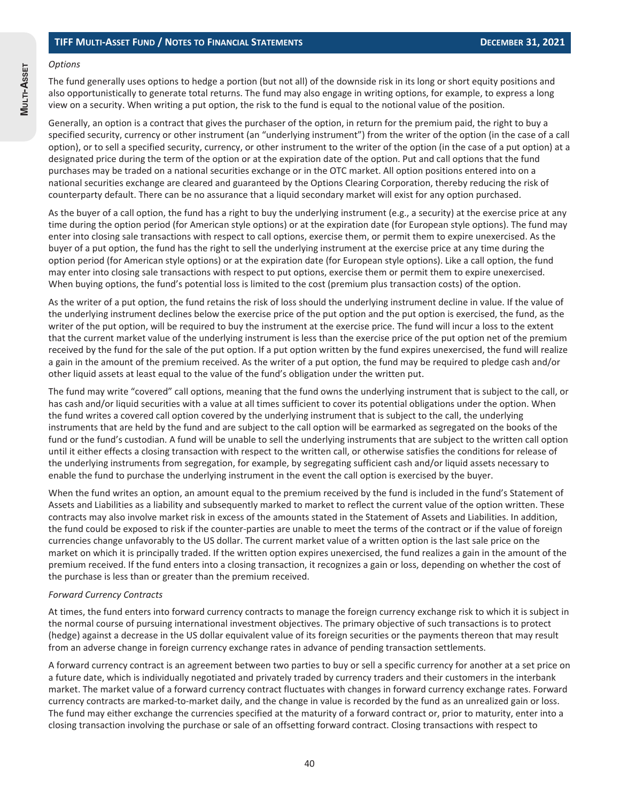# *Options*

**MULTI-ASSET**

MULTI-ASSET

The fund generally uses options to hedge a portion (but not all) of the downside risk in its long or short equity positions and also opportunistically to generate total returns. The fund may also engage in writing options, for example, to express a long view on a security. When writing a put option, the risk to the fund is equal to the notional value of the position.

Generally, an option is a contract that gives the purchaser of the option, in return for the premium paid, the right to buy a specified security, currency or other instrument (an "underlying instrument") from the writer of the option (in the case of a call option), or to sell a specified security, currency, or other instrument to the writer of the option (in the case of a put option) at a designated price during the term of the option or at the expiration date of the option. Put and call options that the fund purchases may be traded on a national securities exchange or in the OTC market. All option positions entered into on a national securities exchange are cleared and guaranteed by the Options Clearing Corporation, thereby reducing the risk of counterparty default. There can be no assurance that a liquid secondary market will exist for any option purchased.

As the buyer of a call option, the fund has a right to buy the underlying instrument (e.g., a security) at the exercise price at any time during the option period (for American style options) or at the expiration date (for European style options). The fund may enter into closing sale transactions with respect to call options, exercise them, or permit them to expire unexercised. As the buyer of a put option, the fund has the right to sell the underlying instrument at the exercise price at any time during the option period (for American style options) or at the expiration date (for European style options). Like a call option, the fund may enter into closing sale transactions with respect to put options, exercise them or permit them to expire unexercised. When buying options, the fund's potential loss is limited to the cost (premium plus transaction costs) of the option.

As the writer of a put option, the fund retains the risk of loss should the underlying instrument decline in value. If the value of the underlying instrument declines below the exercise price of the put option and the put option is exercised, the fund, as the writer of the put option, will be required to buy the instrument at the exercise price. The fund will incur a loss to the extent that the current market value of the underlying instrument is less than the exercise price of the put option net of the premium received by the fund for the sale of the put option. If a put option written by the fund expires unexercised, the fund will realize a gain in the amount of the premium received. As the writer of a put option, the fund may be required to pledge cash and/or other liquid assets at least equal to the value of the fund's obligation under the written put.

The fund may write "covered" call options, meaning that the fund owns the underlying instrument that is subject to the call, or has cash and/or liquid securities with a value at all times sufficient to cover its potential obligations under the option. When the fund writes a covered call option covered by the underlying instrument that is subject to the call, the underlying instruments that are held by the fund and are subject to the call option will be earmarked as segregated on the books of the fund or the fund's custodian. A fund will be unable to sell the underlying instruments that are subject to the written call option until it either effects a closing transaction with respect to the written call, or otherwise satisfies the conditions for release of the underlying instruments from segregation, for example, by segregating sufficient cash and/or liquid assets necessary to enable the fund to purchase the underlying instrument in the event the call option is exercised by the buyer.

When the fund writes an option, an amount equal to the premium received by the fund is included in the fund's Statement of Assets and Liabilities as a liability and subsequently marked to market to reflect the current value of the option written. These contracts may also involve market risk in excess of the amounts stated in the Statement of Assets and Liabilities. In addition, the fund could be exposed to risk if the counter-parties are unable to meet the terms of the contract or if the value of foreign currencies change unfavorably to the US dollar. The current market value of a written option is the last sale price on the market on which it is principally traded. If the written option expires unexercised, the fund realizes a gain in the amount of the premium received. If the fund enters into a closing transaction, it recognizes a gain or loss, depending on whether the cost of the purchase is less than or greater than the premium received.

#### *Forward Currency Contracts*

At times, the fund enters into forward currency contracts to manage the foreign currency exchange risk to which it is subject in the normal course of pursuing international investment objectives. The primary objective of such transactions is to protect (hedge) against a decrease in the US dollar equivalent value of its foreign securities or the payments thereon that may result from an adverse change in foreign currency exchange rates in advance of pending transaction settlements.

A forward currency contract is an agreement between two parties to buy or sell a specific currency for another at a set price on a future date, which is individually negotiated and privately traded by currency traders and their customers in the interbank market. The market value of a forward currency contract fluctuates with changes in forward currency exchange rates. Forward currency contracts are marked-to-market daily, and the change in value is recorded by the fund as an unrealized gain or loss. The fund may either exchange the currencies specified at the maturity of a forward contract or, prior to maturity, enter into a closing transaction involving the purchase or sale of an offsetting forward contract. Closing transactions with respect to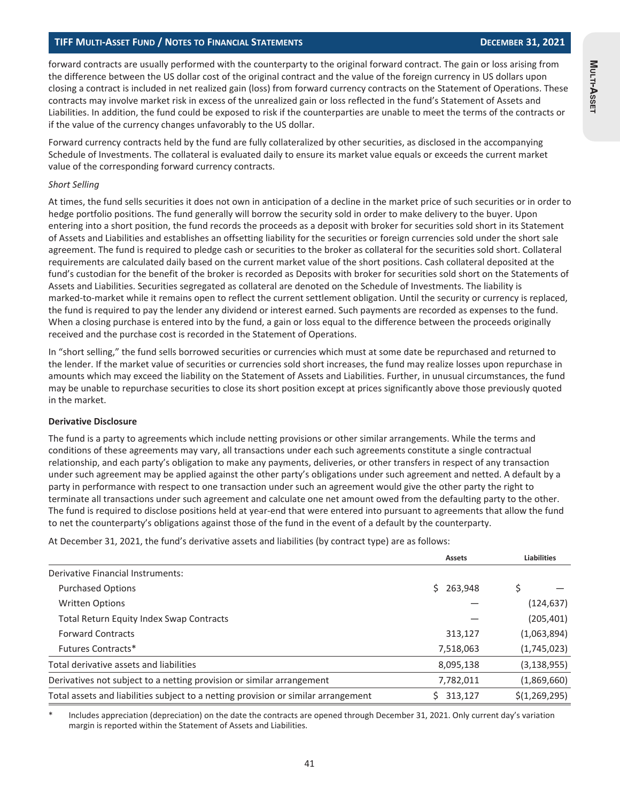#### **TIFF MULTI-ASSET FUND / NOTES TO FINANCIAL STATEMENTS DECEMBER 31, 2021**

forward contracts are usually performed with the counterparty to the original forward contract. The gain or loss arising from the difference between the US dollar cost of the original contract and the value of the foreign currency in US dollars upon closing a contract is included in net realized gain (loss) from forward currency contracts on the Statement of Operations. These contracts may involve market risk in excess of the unrealized gain or loss reflected in the fund's Statement of Assets and Liabilities. In addition, the fund could be exposed to risk if the counterparties are unable to meet the terms of the contracts or if the value of the currency changes unfavorably to the US dollar.

Forward currency contracts held by the fund are fully collateralized by other securities, as disclosed in the accompanying Schedule of Investments. The collateral is evaluated daily to ensure its market value equals or exceeds the current market value of the corresponding forward currency contracts.

#### *Short Selling*

At times, the fund sells securities it does not own in anticipation of a decline in the market price of such securities or in order to hedge portfolio positions. The fund generally will borrow the security sold in order to make delivery to the buyer. Upon entering into a short position, the fund records the proceeds as a deposit with broker for securities sold short in its Statement of Assets and Liabilities and establishes an offsetting liability for the securities or foreign currencies sold under the short sale agreement. The fund is required to pledge cash or securities to the broker as collateral for the securities sold short. Collateral requirements are calculated daily based on the current market value of the short positions. Cash collateral deposited at the fund's custodian for the benefit of the broker is recorded as Deposits with broker for securities sold short on the Statements of Assets and Liabilities. Securities segregated as collateral are denoted on the Schedule of Investments. The liability is marked-to-market while it remains open to reflect the current settlement obligation. Until the security or currency is replaced, the fund is required to pay the lender any dividend or interest earned. Such payments are recorded as expenses to the fund. When a closing purchase is entered into by the fund, a gain or loss equal to the difference between the proceeds originally received and the purchase cost is recorded in the Statement of Operations.

In "short selling," the fund sells borrowed securities or currencies which must at some date be repurchased and returned to the lender. If the market value of securities or currencies sold short increases, the fund may realize losses upon repurchase in amounts which may exceed the liability on the Statement of Assets and Liabilities. Further, in unusual circumstances, the fund may be unable to repurchase securities to close its short position except at prices significantly above those previously quoted in the market.

#### **Derivative Disclosure**

The fund is a party to agreements which include netting provisions or other similar arrangements. While the terms and conditions of these agreements may vary, all transactions under each such agreements constitute a single contractual relationship, and each party's obligation to make any payments, deliveries, or other transfers in respect of any transaction under such agreement may be applied against the other party's obligations under such agreement and netted. A default by a party in performance with respect to one transaction under such an agreement would give the other party the right to terminate all transactions under such agreement and calculate one net amount owed from the defaulting party to the other. The fund is required to disclose positions held at year-end that were entered into pursuant to agreements that allow the fund to net the counterparty's obligations against those of the fund in the event of a default by the counterparty.

At December 31, 2021, the fund's derivative assets and liabilities (by contract type) are as follows:

|                                                                                    |               | <b>Liabilities</b> |
|------------------------------------------------------------------------------------|---------------|--------------------|
| Derivative Financial Instruments:                                                  |               |                    |
| <b>Purchased Options</b>                                                           | 263,948<br>Ś. |                    |
| <b>Written Options</b>                                                             |               | (124, 637)         |
| <b>Total Return Equity Index Swap Contracts</b>                                    |               | (205, 401)         |
| <b>Forward Contracts</b>                                                           | 313,127       | (1,063,894)        |
| Futures Contracts*                                                                 | 7,518,063     | (1,745,023)        |
| Total derivative assets and liabilities                                            | 8,095,138     | (3, 138, 955)      |
| Derivatives not subject to a netting provision or similar arrangement              | 7,782,011     | (1,869,660)        |
| Total assets and liabilities subject to a netting provision or similar arrangement | 313,127       | \$(1, 269, 295)    |

Includes appreciation (depreciation) on the date the contracts are opened through December 31, 2021. Only current day's variation margin is reported within the Statement of Assets and Liabilities.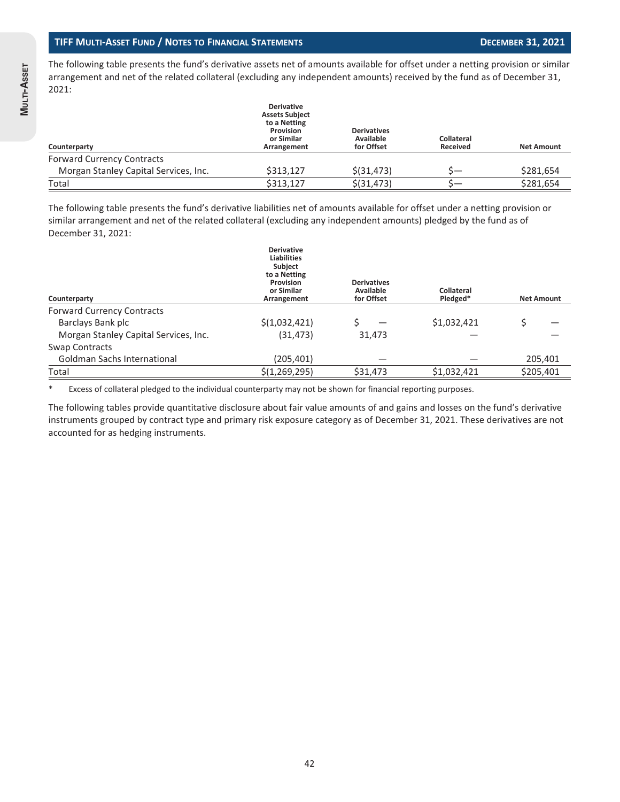The following table presents the fund's derivative assets net of amounts available for offset under a netting provision or similar arrangement and net of the related collateral (excluding any independent amounts) received by the fund as of December 31, 2021:

| Counterparty                          | <b>Derivative</b><br><b>Assets Subiect</b><br>to a Netting<br>Provision<br>or Similar<br>Arrangement | <b>Derivatives</b><br>Available<br>for Offset | Collateral<br><b>Received</b> | <b>Net Amount</b> |
|---------------------------------------|------------------------------------------------------------------------------------------------------|-----------------------------------------------|-------------------------------|-------------------|
| <b>Forward Currency Contracts</b>     |                                                                                                      |                                               |                               |                   |
| Morgan Stanley Capital Services, Inc. | \$313,127                                                                                            | $$$ (31,473)                                  |                               | \$281,654         |
| Total                                 | \$313,127                                                                                            | $$$ (31,473)                                  | $\overline{\phantom{0}}$      | \$281,654         |

The following table presents the fund's derivative liabilities net of amounts available for offset under a netting provision or similar arrangement and net of the related collateral (excluding any independent amounts) pledged by the fund as of December 31, 2021:

| Counterparty                          | <b>Derivative</b><br><b>Liabilities</b><br><b>Subject</b><br>to a Netting<br>Provision<br>or Similar<br>Arrangement | <b>Derivatives</b><br>Available<br>for Offset | Collateral<br>Pledged* | <b>Net Amount</b> |
|---------------------------------------|---------------------------------------------------------------------------------------------------------------------|-----------------------------------------------|------------------------|-------------------|
| <b>Forward Currency Contracts</b>     |                                                                                                                     |                                               |                        |                   |
| Barclays Bank plc                     | \$(1,032,421)                                                                                                       |                                               | \$1,032,421            | \$                |
| Morgan Stanley Capital Services, Inc. | (31, 473)                                                                                                           | 31,473                                        |                        |                   |
| Swap Contracts                        |                                                                                                                     |                                               |                        |                   |
| Goldman Sachs International           | (205,401)                                                                                                           |                                               |                        | 205,401           |
| Total                                 | \$(1, 269, 295)                                                                                                     | \$31,473                                      | \$1,032,421            | \$205,401         |

\* Excess of collateral pledged to the individual counterparty may not be shown for financial reporting purposes.

The following tables provide quantitative disclosure about fair value amounts of and gains and losses on the fund's derivative instruments grouped by contract type and primary risk exposure category as of December 31, 2021. These derivatives are not accounted for as hedging instruments.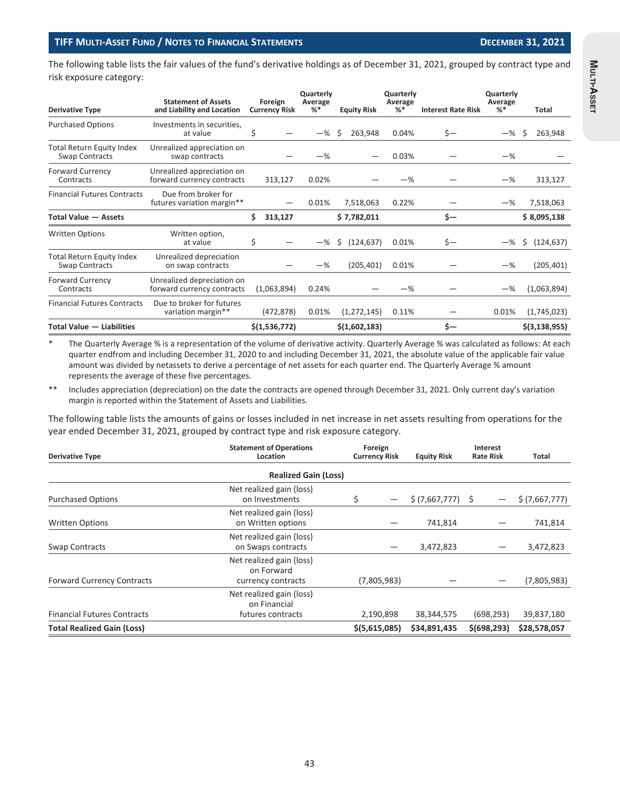The following table lists the fair values of the fund's derivative holdings as of December 31, 2021, grouped by contract type and risk exposure category:

| <b>Derivative Type</b>                                    | <b>Statement of Assets</b><br>and Liability and Location | Foreign<br><b>Currency Risk</b> | Quarterly<br>Average<br>%* | <b>Equity Risk</b> | Quarterly<br>Average<br>%* | <b>Interest Rate Risk</b> | Quarterly<br>Average<br>% | Total            |
|-----------------------------------------------------------|----------------------------------------------------------|---------------------------------|----------------------------|--------------------|----------------------------|---------------------------|---------------------------|------------------|
| <b>Purchased Options</b>                                  | Investments in securities,<br>at value                   | Ś                               | $-\%$                      | Ŝ<br>263,948       | 0.04%                      | $s-$                      | $-$ %                     | Ŝ<br>263,948     |
| Total Return Equity Index<br>Swap Contracts               | Unrealized appreciation on<br>swap contracts             |                                 | $-\%$                      |                    | 0.03%                      |                           | $-\%$                     |                  |
| <b>Forward Currency</b><br>Contracts                      | Unrealized appreciation on<br>forward currency contracts | 313,127                         | 0.02%                      |                    | $-\%$                      |                           | $-\%$                     | 313,127          |
| <b>Financial Futures Contracts</b>                        | Due from broker for<br>futures variation margin**        |                                 | 0.01%                      | 7,518,063          | 0.22%                      |                           | $-\%$                     | 7,518,063        |
| <b>Total Value - Assets</b>                               |                                                          | \$<br>313,127                   |                            | \$7,782,011        |                            | \$—                       |                           | \$8,095,138      |
| <b>Written Options</b>                                    | Written option,<br>at value                              | \$                              | $-\%$                      | \$<br>(124, 637)   | 0.01%                      | $s-$                      | $-\%$                     | \$<br>(124, 637) |
| <b>Total Return Equity Index</b><br><b>Swap Contracts</b> | Unrealized depreciation<br>on swap contracts             |                                 | $-\%$                      | (205, 401)         | 0.01%                      |                           | $-\%$                     | (205, 401)       |
| <b>Forward Currency</b><br>Contracts                      | Unrealized depreciation on<br>forward currency contracts | (1,063,894)                     | 0.24%                      |                    | $-$ %                      |                           | $-\%$                     | (1,063,894)      |
| <b>Financial Futures Contracts</b>                        | Due to broker for futures<br>variation margin**          | (472, 878)                      | 0.01%                      | (1, 272, 145)      | 0.11%                      |                           | 0.01%                     | (1,745,023)      |
| <b>Total Value - Liabilities</b>                          |                                                          | \$(1,536,772)                   |                            | \$(1,602,183)      |                            | Ś-                        |                           | \$(3, 138, 955)  |

The Quarterly Average % is a representation of the volume of derivative activity. Quarterly Average % was calculated as follows: At each quarter endfrom and including December 31, 2020 to and including December 31, 2021, the absolute value of the applicable fair value amount was divided by netassets to derive a percentage of net assets for each quarter end. The Quarterly Average % amount represents the average of these five percentages.

\*\* Includes appreciation (depreciation) on the date the contracts are opened through December 31, 2021. Only current day's variation margin is reported within the Statement of Assets and Liabilities.

The following table lists the amounts of gains or losses included in net increase in net assets resulting from operations for the year ended December 31, 2021, grouped by contract type and risk exposure category.

| <b>Derivative Type</b>             | <b>Statement of Operations</b><br>Location                    | Foreign<br><b>Currency Risk</b> | <b>Equity Risk</b> | Interest<br><b>Rate Risk</b> | Total          |
|------------------------------------|---------------------------------------------------------------|---------------------------------|--------------------|------------------------------|----------------|
|                                    | <b>Realized Gain (Loss)</b>                                   |                                 |                    |                              |                |
| <b>Purchased Options</b>           | Net realized gain (loss)<br>on Investments                    | \$                              | \$ (7,667,777) \$  |                              | \$ (7,667,777) |
| <b>Written Options</b>             | Net realized gain (loss)<br>on Written options                |                                 | 741,814            |                              | 741,814        |
| <b>Swap Contracts</b>              | Net realized gain (loss)<br>on Swaps contracts                |                                 | 3,472,823          |                              | 3,472,823      |
| <b>Forward Currency Contracts</b>  | Net realized gain (loss)<br>on Forward<br>currency contracts  | (7,805,983)                     |                    |                              | (7,805,983)    |
| <b>Financial Futures Contracts</b> | Net realized gain (loss)<br>on Financial<br>futures contracts | 2,190,898                       | 38,344,575         | (698, 293)                   | 39,837,180     |
| <b>Total Realized Gain (Loss)</b>  |                                                               | \$(5,615,085)                   | \$34,891,435       | \$(698, 293)                 | \$28,578,057   |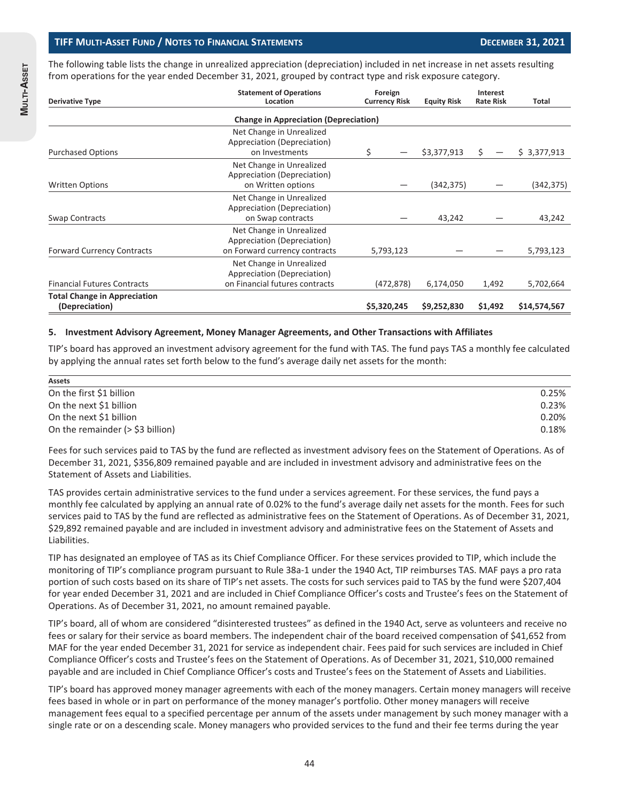The following table lists the change in unrealized appreciation (depreciation) included in net increase in net assets resulting from operations for the year ended December 31, 2021, grouped by contract type and risk exposure category.

| <b>Derivative Type</b>                                | <b>Statement of Operations</b><br>Location                                                | Foreign<br><b>Currency Risk</b> | <b>Equity Risk</b> | Interest<br><b>Rate Risk</b> | Total        |
|-------------------------------------------------------|-------------------------------------------------------------------------------------------|---------------------------------|--------------------|------------------------------|--------------|
|                                                       | <b>Change in Appreciation (Depreciation)</b>                                              |                                 |                    |                              |              |
| <b>Purchased Options</b>                              | Net Change in Unrealized<br>Appreciation (Depreciation)<br>on Investments                 | \$                              | \$3,377,913        | Ś.                           | \$3,377,913  |
|                                                       | Net Change in Unrealized                                                                  |                                 |                    |                              |              |
| <b>Written Options</b>                                | Appreciation (Depreciation)<br>on Written options                                         |                                 | (342,375)          |                              | (342, 375)   |
| Swap Contracts                                        | Net Change in Unrealized<br>Appreciation (Depreciation)<br>on Swap contracts              |                                 | 43,242             |                              | 43,242       |
| <b>Forward Currency Contracts</b>                     | Net Change in Unrealized<br>Appreciation (Depreciation)<br>on Forward currency contracts  | 5,793,123                       |                    |                              | 5,793,123    |
| <b>Financial Futures Contracts</b>                    | Net Change in Unrealized<br>Appreciation (Depreciation)<br>on Financial futures contracts | (472, 878)                      | 6,174,050          | 1,492                        | 5,702,664    |
| <b>Total Change in Appreciation</b><br>(Depreciation) |                                                                                           | \$5,320,245                     | \$9,252,830        | \$1,492                      | \$14,574,567 |

#### **5. Investment Advisory Agreement, Money Manager Agreements, and Other Transactions with Affiliates**

TIP's board has approved an investment advisory agreement for the fund with TAS. The fund pays TAS a monthly fee calculated by applying the annual rates set forth below to the fund's average daily net assets for the month:

| Assets                              |       |
|-------------------------------------|-------|
| On the first \$1 billion            | 0.25% |
| On the next \$1 billion             | 0.23% |
| On the next \$1 billion             | 0.20% |
| On the remainder $($ > \$3 billion) | 0.18% |

Fees for such services paid to TAS by the fund are reflected as investment advisory fees on the Statement of Operations. As of December 31, 2021, \$356,809 remained payable and are included in investment advisory and administrative fees on the Statement of Assets and Liabilities.

TAS provides certain administrative services to the fund under a services agreement. For these services, the fund pays a monthly fee calculated by applying an annual rate of 0.02% to the fund's average daily net assets for the month. Fees for such services paid to TAS by the fund are reflected as administrative fees on the Statement of Operations. As of December 31, 2021, \$29,892 remained payable and are included in investment advisory and administrative fees on the Statement of Assets and Liabilities.

TIP has designated an employee of TAS as its Chief Compliance Officer. For these services provided to TIP, which include the monitoring of TIP's compliance program pursuant to Rule 38a-1 under the 1940 Act, TIP reimburses TAS. MAF pays a pro rata portion of such costs based on its share of TIP's net assets. The costs for such services paid to TAS by the fund were \$207,404 for year ended December 31, 2021 and are included in Chief Compliance Officer's costs and Trustee's fees on the Statement of Operations. As of December 31, 2021, no amount remained payable.

TIP's board, all of whom are considered "disinterested trustees" as defined in the 1940 Act, serve as volunteers and receive no fees or salary for their service as board members. The independent chair of the board received compensation of \$41,652 from MAF for the year ended December 31, 2021 for service as independent chair. Fees paid for such services are included in Chief Compliance Officer's costs and Trustee's fees on the Statement of Operations. As of December 31, 2021, \$10,000 remained payable and are included in Chief Compliance Officer's costs and Trustee's fees on the Statement of Assets and Liabilities.

TIP's board has approved money manager agreements with each of the money managers. Certain money managers will receive fees based in whole or in part on performance of the money manager's portfolio. Other money managers will receive management fees equal to a specified percentage per annum of the assets under management by such money manager with a single rate or on a descending scale. Money managers who provided services to the fund and their fee terms during the year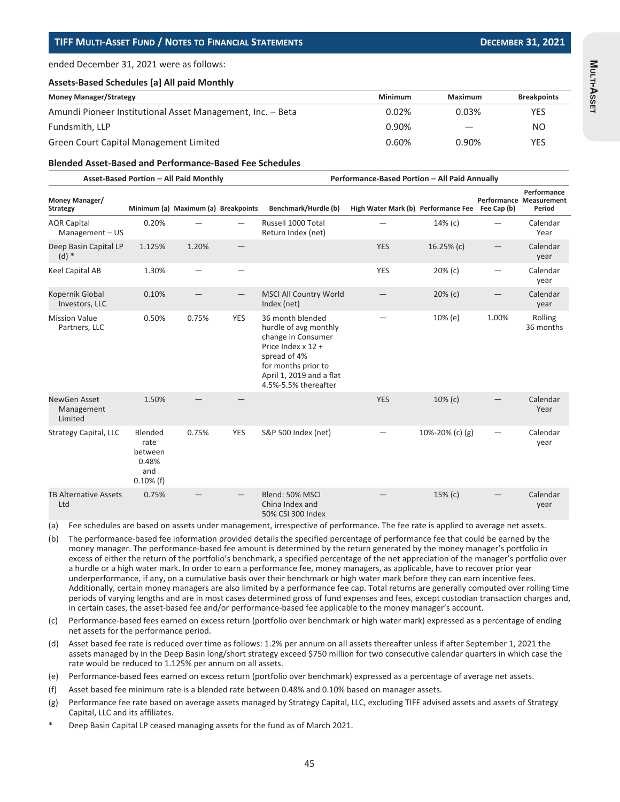ended December 31, 2021 were as follows:

#### **Assets-Based Schedules [a] All paid Monthly**

| <b>Money Manager/Strategy</b>                              | Minimum | Maximum                  | <b>Breakpoints</b> |
|------------------------------------------------------------|---------|--------------------------|--------------------|
| Amundi Pioneer Institutional Asset Management, Inc. - Beta | 0.02%   | 0.03%                    | <b>YES</b>         |
| Fundsmith, LLP                                             | 0.90%   | $\overline{\phantom{m}}$ | NO                 |
| Green Court Capital Management Limited                     | 0.60%   | 0.90%                    | <b>YES</b>         |

#### **Blended Asset-Based and Performance-Based Fee Schedules**

| Asset-Based Portion - All Paid Monthly |  |
|----------------------------------------|--|
|                                        |  |

**Performance-Based Portion – All Paid Annually** 

| Money Manager/<br><b>Strategy</b>      |                                                            | Minimum (a) Maximum (a) Breakpoints |            | Benchmark/Hurdle (b)                                                                                                                                                             | High Water Mark (b) Performance Fee |                   | Fee Cap (b) | Performance<br><b>Performance Measurement</b><br>Period |
|----------------------------------------|------------------------------------------------------------|-------------------------------------|------------|----------------------------------------------------------------------------------------------------------------------------------------------------------------------------------|-------------------------------------|-------------------|-------------|---------------------------------------------------------|
| <b>AQR Capital</b><br>Management $-US$ | 0.20%                                                      |                                     |            | Russell 1000 Total<br>Return Index (net)                                                                                                                                         |                                     | 14% (c)           |             | Calendar<br>Year                                        |
| Deep Basin Capital LP<br>$(d)$ *       | 1.125%                                                     | 1.20%                               |            |                                                                                                                                                                                  | <b>YES</b>                          | 16.25% $(c)$      |             | Calendar<br>year                                        |
| Keel Capital AB                        | 1.30%                                                      |                                     |            |                                                                                                                                                                                  | <b>YES</b>                          | $20%$ (c)         |             | Calendar<br>year                                        |
| Kopernik Global<br>Investors, LLC      | 0.10%                                                      |                                     |            | <b>MSCI All Country World</b><br>Index (net)                                                                                                                                     |                                     | $20%$ (c)         |             | Calendar<br>year                                        |
| <b>Mission Value</b><br>Partners, LLC  | 0.50%                                                      | 0.75%                               | <b>YES</b> | 36 month blended<br>hurdle of avg monthly<br>change in Consumer<br>Price Index x 12 +<br>spread of 4%<br>for months prior to<br>April 1, 2019 and a flat<br>4.5%-5.5% thereafter |                                     | 10% (e)           | 1.00%       | Rolling<br>36 months                                    |
| NewGen Asset<br>Management<br>Limited  | 1.50%                                                      |                                     |            |                                                                                                                                                                                  | <b>YES</b>                          | $10\%$ (c)        |             | Calendar<br>Year                                        |
| Strategy Capital, LLC                  | Blended<br>rate<br>between<br>0.48%<br>and<br>$0.10\%$ (f) | 0.75%                               | <b>YES</b> | S&P 500 Index (net)                                                                                                                                                              |                                     | 10%-20% (c) $(g)$ |             | Calendar<br>year                                        |
| <b>TB Alternative Assets</b><br>Ltd    | 0.75%                                                      |                                     |            | Blend: 50% MSCI<br>China Index and<br>50% CSI 300 Index                                                                                                                          |                                     | 15% (c)           |             | Calendar<br>year                                        |

(a) Fee schedules are based on assets under management, irrespective of performance. The fee rate is applied to average net assets.

(b) The performance-based fee information provided details the specified percentage of performance fee that could be earned by the money manager. The performance-based fee amount is determined by the return generated by the money manager's portfolio in excess of either the return of the portfolio's benchmark, a specified percentage of the net appreciation of the manager's portfolio over a hurdle or a high water mark. In order to earn a performance fee, money managers, as applicable, have to recover prior year underperformance, if any, on a cumulative basis over their benchmark or high water mark before they can earn incentive fees. Additionally, certain money managers are also limited by a performance fee cap. Total returns are generally computed over rolling time periods of varying lengths and are in most cases determined gross of fund expenses and fees, except custodian transaction charges and, in certain cases, the asset-based fee and/or performance-based fee applicable to the money manager's account.

(c) Performance-based fees earned on excess return (portfolio over benchmark or high water mark) expressed as a percentage of ending net assets for the performance period.

- (d) Asset based fee rate is reduced over time as follows: 1.2% per annum on all assets thereafter unless if after September 1, 2021 the assets managed by in the Deep Basin long/short strategy exceed \$750 million for two consecutive calendar quarters in which case the rate would be reduced to 1.125% per annum on all assets.
- (e) Performance-based fees earned on excess return (portfolio over benchmark) expressed as a percentage of average net assets.
- (f) Asset based fee minimum rate is a blended rate between 0.48% and 0.10% based on manager assets.
- (g) Performance fee rate based on average assets managed by Strategy Capital, LLC, excluding TIFF advised assets and assets of Strategy Capital, LLC and its affiliates.
- Deep Basin Capital LP ceased managing assets for the fund as of March 2021.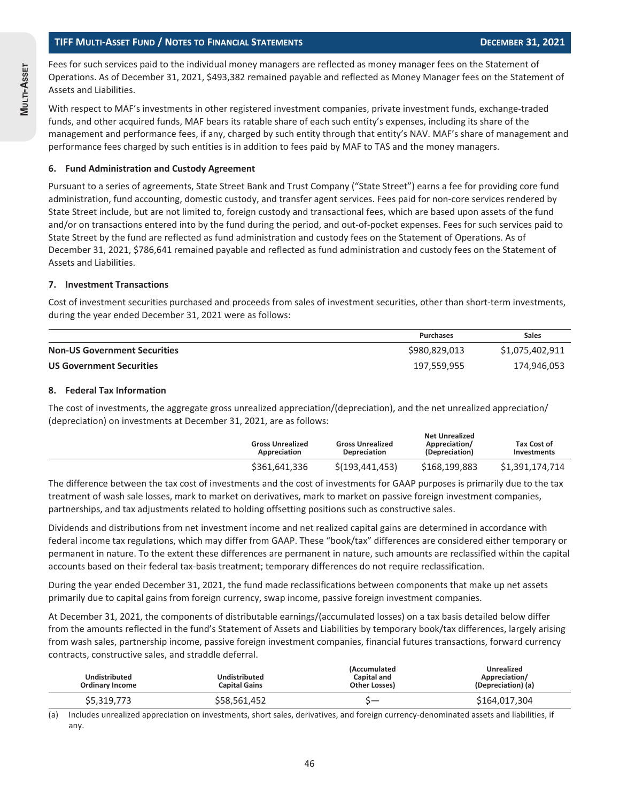Fees for such services paid to the individual money managers are reflected as money manager fees on the Statement of Operations. As of December 31, 2021, \$493,382 remained payable and reflected as Money Manager fees on the Statement of Assets and Liabilities.

With respect to MAF's investments in other registered investment companies, private investment funds, exchange-traded funds, and other acquired funds, MAF bears its ratable share of each such entity's expenses, including its share of the management and performance fees, if any, charged by such entity through that entity's NAV. MAF's share of management and performance fees charged by such entities is in addition to fees paid by MAF to TAS and the money managers.

#### **6. Fund Administration and Custody Agreement**

Pursuant to a series of agreements, State Street Bank and Trust Company ("State Street") earns a fee for providing core fund administration, fund accounting, domestic custody, and transfer agent services. Fees paid for non-core services rendered by State Street include, but are not limited to, foreign custody and transactional fees, which are based upon assets of the fund and/or on transactions entered into by the fund during the period, and out-of-pocket expenses. Fees for such services paid to State Street by the fund are reflected as fund administration and custody fees on the Statement of Operations. As of December 31, 2021, \$786,641 remained payable and reflected as fund administration and custody fees on the Statement of Assets and Liabilities.

#### **7. Investment Transactions**

Cost of investment securities purchased and proceeds from sales of investment securities, other than short-term investments, during the year ended December 31, 2021 were as follows:

|                                     | <b>Purchases</b> | <b>Sales</b>    |
|-------------------------------------|------------------|-----------------|
| <b>Non-US Government Securities</b> | \$980,829,013    | \$1,075,402,911 |
| <b>US Government Securities</b>     | 197,559,955      | 174,946,053     |

#### **8. Federal Tax Information**

The cost of investments, the aggregate gross unrealized appreciation/(depreciation), and the net unrealized appreciation/ (depreciation) on investments at December 31, 2021, are as follows:

| <b>Gross Unrealized</b><br>Appreciation | <b>Gross Unrealized</b><br><b>Depreciation</b> | <b>Net Unrealized</b><br>Appreciation/<br>(Depreciation) | Tax Cost of<br><b>Investments</b> |
|-----------------------------------------|------------------------------------------------|----------------------------------------------------------|-----------------------------------|
| \$361,641,336                           | \$(193, 441, 453)                              | \$168,199,883                                            | \$1,391,174,714                   |

The difference between the tax cost of investments and the cost of investments for GAAP purposes is primarily due to the tax treatment of wash sale losses, mark to market on derivatives, mark to market on passive foreign investment companies, partnerships, and tax adjustments related to holding offsetting positions such as constructive sales.

Dividends and distributions from net investment income and net realized capital gains are determined in accordance with federal income tax regulations, which may differ from GAAP. These "book/tax" differences are considered either temporary or permanent in nature. To the extent these differences are permanent in nature, such amounts are reclassified within the capital accounts based on their federal tax-basis treatment; temporary differences do not require reclassification.

During the year ended December 31, 2021, the fund made reclassifications between components that make up net assets primarily due to capital gains from foreign currency, swap income, passive foreign investment companies.

At December 31, 2021, the components of distributable earnings/(accumulated losses) on a tax basis detailed below differ from the amounts reflected in the fund's Statement of Assets and Liabilities by temporary book/tax differences, largely arising from wash sales, partnership income, passive foreign investment companies, financial futures transactions, forward currency contracts, constructive sales, and straddle deferral.

| <b>Undistributed</b><br><b>Ordinary Income</b> | Undistributed<br><b>Capital Gains</b> | <i>(Accumulated</i><br>Capital and<br>Other Losses) | <b>Unrealized</b><br>Appreciation/<br>(Depreciation) (a) |
|------------------------------------------------|---------------------------------------|-----------------------------------------------------|----------------------------------------------------------|
| \$5,319,773                                    | \$58,561,452                          |                                                     | \$164,017,304                                            |

(a) Includes unrealized appreciation on investments, short sales, derivatives, and foreign currency-denominated assets and liabilities, if any.

46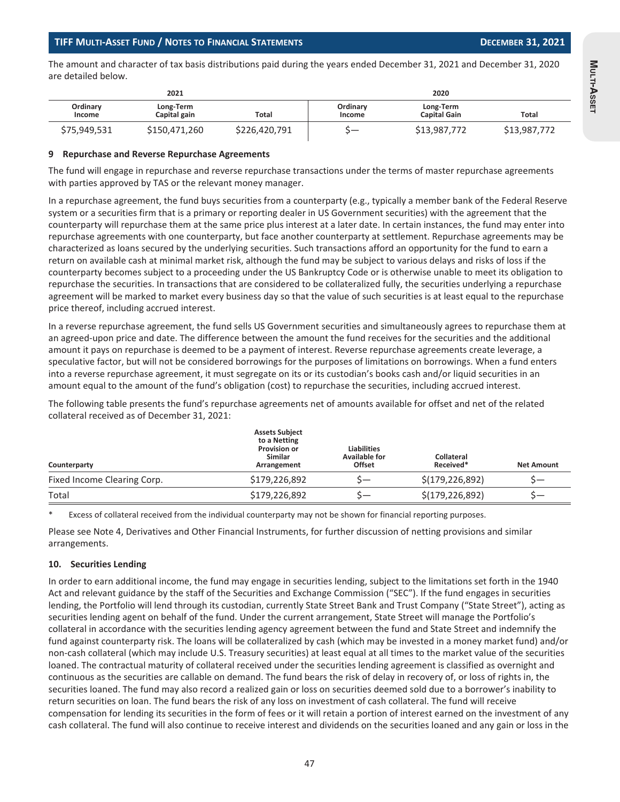The amount and character of tax basis distributions paid during the years ended December 31, 2021 and December 31, 2020 are detailed below.

|                    | 2021                      |               |                    | 2020                             |              |
|--------------------|---------------------------|---------------|--------------------|----------------------------------|--------------|
| Ordinary<br>Income | Long-Term<br>Capital gain | Total         | Ordinary<br>Income | Long-Term<br><b>Capital Gain</b> | Total        |
| \$75,949,531       | \$150,471,260             | \$226,420,791 |                    | \$13,987,772                     | \$13,987,772 |

#### **9 Repurchase and Reverse Repurchase Agreements**

The fund will engage in repurchase and reverse repurchase transactions under the terms of master repurchase agreements with parties approved by TAS or the relevant money manager.

In a repurchase agreement, the fund buys securities from a counterparty (e.g., typically a member bank of the Federal Reserve system or a securities firm that is a primary or reporting dealer in US Government securities) with the agreement that the counterparty will repurchase them at the same price plus interest at a later date. In certain instances, the fund may enter into repurchase agreements with one counterparty, but face another counterparty at settlement. Repurchase agreements may be characterized as loans secured by the underlying securities. Such transactions afford an opportunity for the fund to earn a return on available cash at minimal market risk, although the fund may be subject to various delays and risks of loss if the counterparty becomes subject to a proceeding under the US Bankruptcy Code or is otherwise unable to meet its obligation to repurchase the securities. In transactions that are considered to be collateralized fully, the securities underlying a repurchase agreement will be marked to market every business day so that the value of such securities is at least equal to the repurchase price thereof, including accrued interest.

In a reverse repurchase agreement, the fund sells US Government securities and simultaneously agrees to repurchase them at an agreed-upon price and date. The difference between the amount the fund receives for the securities and the additional amount it pays on repurchase is deemed to be a payment of interest. Reverse repurchase agreements create leverage, a speculative factor, but will not be considered borrowings for the purposes of limitations on borrowings. When a fund enters into a reverse repurchase agreement, it must segregate on its or its custodian's books cash and/or liquid securities in an amount equal to the amount of the fund's obligation (cost) to repurchase the securities, including accrued interest.

The following table presents the fund's repurchase agreements net of amounts available for offset and net of the related collateral received as of December 31, 2021:

| Counterparty                | <b>Assets Subject</b><br>to a Netting<br><b>Provision or</b><br><b>Similar</b><br>Arrangement | <b>Liabilities</b><br><b>Available for</b><br>Offset | <b>Collateral</b><br>Received* | <b>Net Amount</b> |
|-----------------------------|-----------------------------------------------------------------------------------------------|------------------------------------------------------|--------------------------------|-------------------|
| Fixed Income Clearing Corp. | \$179,226,892                                                                                 |                                                      | \$(179, 226, 892)              | $S-$              |
| Total                       | \$179,226,892                                                                                 |                                                      | \$(179, 226, 892)              |                   |

Excess of collateral received from the individual counterparty may not be shown for financial reporting purposes.

Please see Note 4, Derivatives and Other Financial Instruments, for further discussion of netting provisions and similar arrangements.

#### **10. Securities Lending**

In order to earn additional income, the fund may engage in securities lending, subject to the limitations set forth in the 1940 Act and relevant guidance by the staff of the Securities and Exchange Commission ("SEC"). If the fund engages in securities lending, the Portfolio will lend through its custodian, currently State Street Bank and Trust Company ("State Street"), acting as securities lending agent on behalf of the fund. Under the current arrangement, State Street will manage the Portfolio's collateral in accordance with the securities lending agency agreement between the fund and State Street and indemnify the fund against counterparty risk. The loans will be collateralized by cash (which may be invested in a money market fund) and/or non-cash collateral (which may include U.S. Treasury securities) at least equal at all times to the market value of the securities loaned. The contractual maturity of collateral received under the securities lending agreement is classified as overnight and continuous as the securities are callable on demand. The fund bears the risk of delay in recovery of, or loss of rights in, the securities loaned. The fund may also record a realized gain or loss on securities deemed sold due to a borrower's inability to return securities on loan. The fund bears the risk of any loss on investment of cash collateral. The fund will receive compensation for lending its securities in the form of fees or it will retain a portion of interest earned on the investment of any cash collateral. The fund will also continue to receive interest and dividends on the securities loaned and any gain or loss in the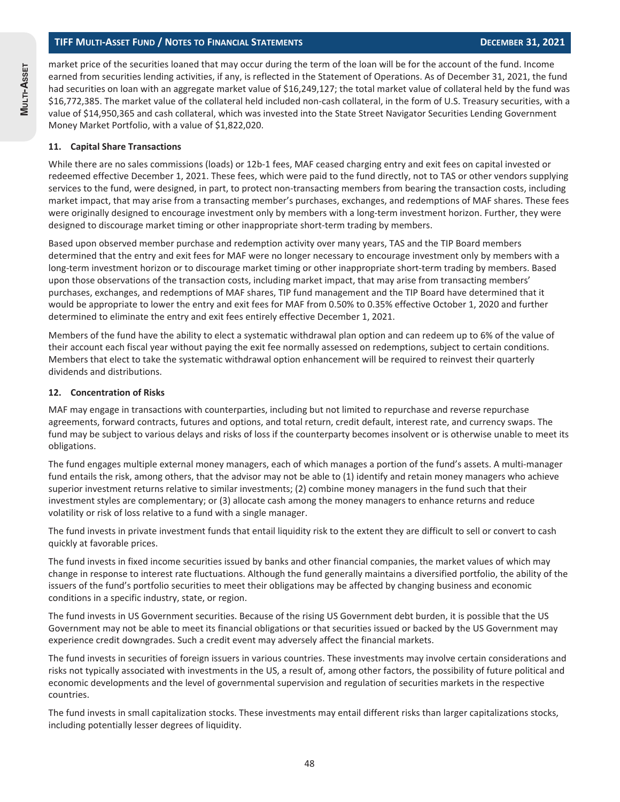market price of the securities loaned that may occur during the term of the loan will be for the account of the fund. Income earned from securities lending activities, if any, is reflected in the Statement of Operations. As of December 31, 2021, the fund had securities on loan with an aggregate market value of \$16,249,127; the total market value of collateral held by the fund was \$16,772,385. The market value of the collateral held included non-cash collateral, in the form of U.S. Treasury securities, with a value of \$14,950,365 and cash collateral, which was invested into the State Street Navigator Securities Lending Government Money Market Portfolio, with a value of \$1,822,020.

#### **11. Capital Share Transactions**

While there are no sales commissions (loads) or 12b-1 fees, MAF ceased charging entry and exit fees on capital invested or redeemed effective December 1, 2021. These fees, which were paid to the fund directly, not to TAS or other vendors supplying services to the fund, were designed, in part, to protect non-transacting members from bearing the transaction costs, including market impact, that may arise from a transacting member's purchases, exchanges, and redemptions of MAF shares. These fees were originally designed to encourage investment only by members with a long-term investment horizon. Further, they were designed to discourage market timing or other inappropriate short-term trading by members.

Based upon observed member purchase and redemption activity over many years, TAS and the TIP Board members determined that the entry and exit fees for MAF were no longer necessary to encourage investment only by members with a long-term investment horizon or to discourage market timing or other inappropriate short-term trading by members. Based upon those observations of the transaction costs, including market impact, that may arise from transacting members' purchases, exchanges, and redemptions of MAF shares, TIP fund management and the TIP Board have determined that it would be appropriate to lower the entry and exit fees for MAF from 0.50% to 0.35% effective October 1, 2020 and further determined to eliminate the entry and exit fees entirely effective December 1, 2021.

Members of the fund have the ability to elect a systematic withdrawal plan option and can redeem up to 6% of the value of their account each fiscal year without paying the exit fee normally assessed on redemptions, subject to certain conditions. Members that elect to take the systematic withdrawal option enhancement will be required to reinvest their quarterly dividends and distributions.

#### **12. Concentration of Risks**

MAF may engage in transactions with counterparties, including but not limited to repurchase and reverse repurchase agreements, forward contracts, futures and options, and total return, credit default, interest rate, and currency swaps. The fund may be subject to various delays and risks of loss if the counterparty becomes insolvent or is otherwise unable to meet its obligations.

The fund engages multiple external money managers, each of which manages a portion of the fund's assets. A multi-manager fund entails the risk, among others, that the advisor may not be able to (1) identify and retain money managers who achieve superior investment returns relative to similar investments; (2) combine money managers in the fund such that their investment styles are complementary; or (3) allocate cash among the money managers to enhance returns and reduce volatility or risk of loss relative to a fund with a single manager.

The fund invests in private investment funds that entail liquidity risk to the extent they are difficult to sell or convert to cash quickly at favorable prices.

The fund invests in fixed income securities issued by banks and other financial companies, the market values of which may change in response to interest rate fluctuations. Although the fund generally maintains a diversified portfolio, the ability of the issuers of the fund's portfolio securities to meet their obligations may be affected by changing business and economic conditions in a specific industry, state, or region.

The fund invests in US Government securities. Because of the rising US Government debt burden, it is possible that the US Government may not be able to meet its financial obligations or that securities issued or backed by the US Government may experience credit downgrades. Such a credit event may adversely affect the financial markets.

The fund invests in securities of foreign issuers in various countries. These investments may involve certain considerations and risks not typically associated with investments in the US, a result of, among other factors, the possibility of future political and economic developments and the level of governmental supervision and regulation of securities markets in the respective countries.

The fund invests in small capitalization stocks. These investments may entail different risks than larger capitalizations stocks, including potentially lesser degrees of liquidity.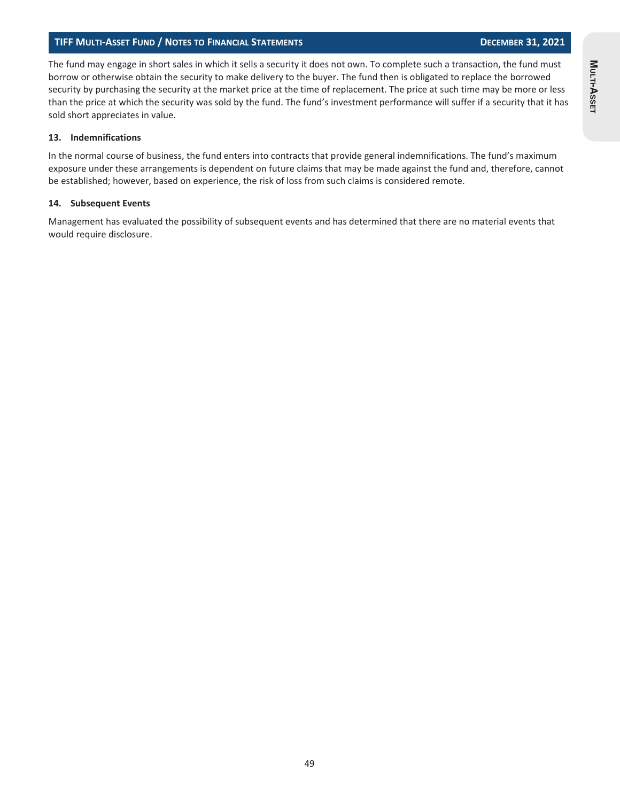#### **TIFF MULTI-ASSET FUND / NOTES TO FINANCIAL STATEMENTS DECEMBER 31, 2021**

The fund may engage in short sales in which it sells a security it does not own. To complete such a transaction, the fund must borrow or otherwise obtain the security to make delivery to the buyer. The fund then is obligated to replace the borrowed security by purchasing the security at the market price at the time of replacement. The price at such time may be more or less than the price at which the security was sold by the fund. The fund's investment performance will suffer if a security that it has sold short appreciates in value.

#### **13. Indemnifications**

In the normal course of business, the fund enters into contracts that provide general indemnifications. The fund's maximum exposure under these arrangements is dependent on future claims that may be made against the fund and, therefore, cannot be established; however, based on experience, the risk of loss from such claims is considered remote.

#### **14. Subsequent Events**

Management has evaluated the possibility of subsequent events and has determined that there are no material events that would require disclosure.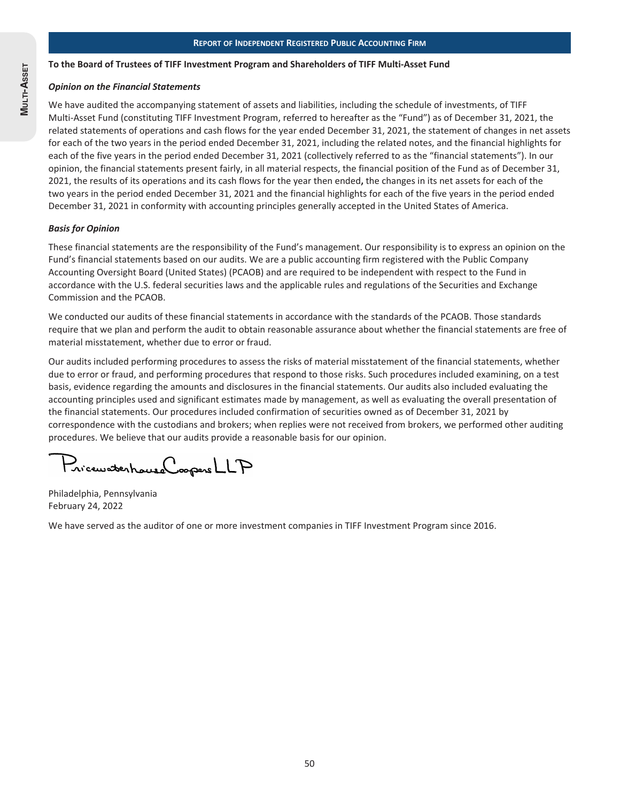#### **To the Board of Trustees of TIFF Investment Program and Shareholders of TIFF Multi-Asset Fund**

#### *Opinion on the Financial Statements*

We have audited the accompanying statement of assets and liabilities, including the schedule of investments, of TIFF Multi-Asset Fund (constituting TIFF Investment Program, referred to hereafter as the "Fund") as of December 31, 2021, the related statements of operations and cash flows for the year ended December 31, 2021, the statement of changes in net assets for each of the two years in the period ended December 31, 2021, including the related notes, and the financial highlights for each of the five years in the period ended December 31, 2021 (collectively referred to as the "financial statements"). In our opinion, the financial statements present fairly, in all material respects, the financial position of the Fund as of December 31, 2021, the results of its operations and its cash flows for the year then ended**,** the changes in its net assets for each of the two years in the period ended December 31, 2021 and the financial highlights for each of the five years in the period ended December 31, 2021 in conformity with accounting principles generally accepted in the United States of America.

#### *Basis for Opinion*

These financial statements are the responsibility of the Fund's management. Our responsibility is to express an opinion on the Fund's financial statements based on our audits. We are a public accounting firm registered with the Public Company Accounting Oversight Board (United States) (PCAOB) and are required to be independent with respect to the Fund in accordance with the U.S. federal securities laws and the applicable rules and regulations of the Securities and Exchange Commission and the PCAOB.

We conducted our audits of these financial statements in accordance with the standards of the PCAOB. Those standards require that we plan and perform the audit to obtain reasonable assurance about whether the financial statements are free of material misstatement, whether due to error or fraud.

Our audits included performing procedures to assess the risks of material misstatement of the financial statements, whether due to error or fraud, and performing procedures that respond to those risks. Such procedures included examining, on a test basis, evidence regarding the amounts and disclosures in the financial statements. Our audits also included evaluating the accounting principles used and significant estimates made by management, as well as evaluating the overall presentation of the financial statements. Our procedures included confirmation of securities owned as of December 31, 2021 by correspondence with the custodians and brokers; when replies were not received from brokers, we performed other auditing procedures. We believe that our audits provide a reasonable basis for our opinion.

PricewatchouseCoopersLLP

Philadelphia, Pennsylvania February 24, 2022

We have served as the auditor of one or more investment companies in TIFF Investment Program since 2016.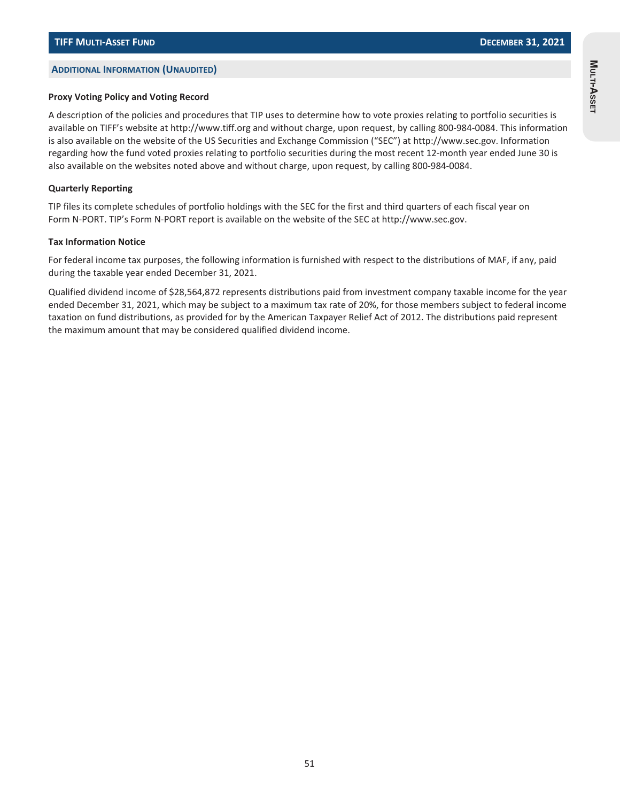#### **ADDITIONAL INFORMATION (UNAUDITED)**

#### **Proxy Voting Policy and Voting Record**

A description of the policies and procedures that TIP uses to determine how to vote proxies relating to portfolio securities is available on TIFF's website at http://www.tiff.org and without charge, upon request, by calling 800-984-0084. This information is also available on the website of the US Securities and Exchange Commission ("SEC") at http://www.sec.gov. Information regarding how the fund voted proxies relating to portfolio securities during the most recent 12-month year ended June 30 is also available on the websites noted above and without charge, upon request, by calling 800-984-0084.

#### **Quarterly Reporting**

TIP files its complete schedules of portfolio holdings with the SEC for the first and third quarters of each fiscal year on Form N-PORT. TIP's Form N-PORT report is available on the website of the SEC at http://www.sec.gov.

#### **Tax Information Notice**

For federal income tax purposes, the following information is furnished with respect to the distributions of MAF, if any, paid during the taxable year ended December 31, 2021.

Qualified dividend income of \$28,564,872 represents distributions paid from investment company taxable income for the year ended December 31, 2021, which may be subject to a maximum tax rate of 20%, for those members subject to federal income taxation on fund distributions, as provided for by the American Taxpayer Relief Act of 2012. The distributions paid represent the maximum amount that may be considered qualified dividend income.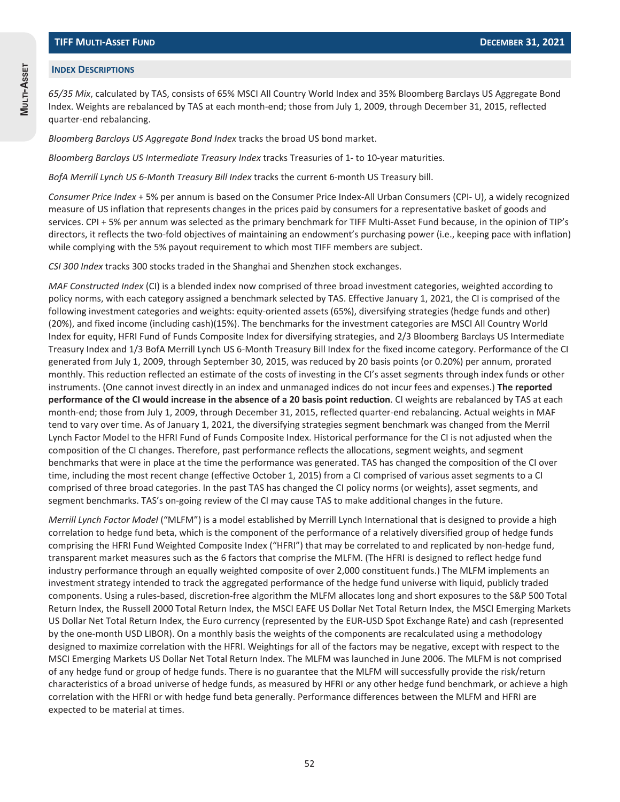#### **INDEX DESCRIPTIONS**

*65/35 Mix*, calculated by TAS, consists of 65% MSCI All Country World Index and 35% Bloomberg Barclays US Aggregate Bond Index. Weights are rebalanced by TAS at each month-end; those from July 1, 2009, through December 31, 2015, reflected quarter-end rebalancing.

*Bloomberg Barclays US Aggregate Bond Index* tracks the broad US bond market.

*Bloomberg Barclays US Intermediate Treasury Index* tracks Treasuries of 1- to 10-year maturities.

*BofA Merrill Lynch US 6-Month Treasury Bill Index* tracks the current 6-month US Treasury bill.

*Consumer Price Index* + 5% per annum is based on the Consumer Price Index-All Urban Consumers (CPI- U), a widely recognized measure of US inflation that represents changes in the prices paid by consumers for a representative basket of goods and services. CPI + 5% per annum was selected as the primary benchmark for TIFF Multi-Asset Fund because, in the opinion of TIP's directors, it reflects the two-fold objectives of maintaining an endowment's purchasing power (i.e., keeping pace with inflation) while complying with the 5% payout requirement to which most TIFF members are subject.

*CSI 300 Index* tracks 300 stocks traded in the Shanghai and Shenzhen stock exchanges.

*MAF Constructed Index* (CI) is a blended index now comprised of three broad investment categories, weighted according to policy norms, with each category assigned a benchmark selected by TAS. Effective January 1, 2021, the CI is comprised of the following investment categories and weights: equity-oriented assets (65%), diversifying strategies (hedge funds and other) (20%), and fixed income (including cash)(15%). The benchmarks for the investment categories are MSCI All Country World Index for equity, HFRI Fund of Funds Composite Index for diversifying strategies, and 2/3 Bloomberg Barclays US Intermediate Treasury Index and 1/3 BofA Merrill Lynch US 6-Month Treasury Bill Index for the fixed income category. Performance of the CI generated from July 1, 2009, through September 30, 2015, was reduced by 20 basis points (or 0.20%) per annum, prorated monthly. This reduction reflected an estimate of the costs of investing in the CI's asset segments through index funds or other instruments. (One cannot invest directly in an index and unmanaged indices do not incur fees and expenses.) **The reported performance of the CI would increase in the absence of a 20 basis point reduction**. CI weights are rebalanced by TAS at each month-end; those from July 1, 2009, through December 31, 2015, reflected quarter-end rebalancing. Actual weights in MAF tend to vary over time. As of January 1, 2021, the diversifying strategies segment benchmark was changed from the Merril Lynch Factor Model to the HFRI Fund of Funds Composite Index. Historical performance for the CI is not adjusted when the composition of the CI changes. Therefore, past performance reflects the allocations, segment weights, and segment benchmarks that were in place at the time the performance was generated. TAS has changed the composition of the CI over time, including the most recent change (effective October 1, 2015) from a CI comprised of various asset segments to a CI comprised of three broad categories. In the past TAS has changed the CI policy norms (or weights), asset segments, and segment benchmarks. TAS's on-going review of the CI may cause TAS to make additional changes in the future.

*Merrill Lynch Factor Model* ("MLFM") is a model established by Merrill Lynch International that is designed to provide a high correlation to hedge fund beta, which is the component of the performance of a relatively diversified group of hedge funds comprising the HFRI Fund Weighted Composite Index ("HFRI") that may be correlated to and replicated by non-hedge fund, transparent market measures such as the 6 factors that comprise the MLFM. (The HFRI is designed to reflect hedge fund industry performance through an equally weighted composite of over 2,000 constituent funds.) The MLFM implements an investment strategy intended to track the aggregated performance of the hedge fund universe with liquid, publicly traded components. Using a rules-based, discretion-free algorithm the MLFM allocates long and short exposures to the S&P 500 Total Return Index, the Russell 2000 Total Return Index, the MSCI EAFE US Dollar Net Total Return Index, the MSCI Emerging Markets US Dollar Net Total Return Index, the Euro currency (represented by the EUR-USD Spot Exchange Rate) and cash (represented by the one-month USD LIBOR). On a monthly basis the weights of the components are recalculated using a methodology designed to maximize correlation with the HFRI. Weightings for all of the factors may be negative, except with respect to the MSCI Emerging Markets US Dollar Net Total Return Index. The MLFM was launched in June 2006. The MLFM is not comprised of any hedge fund or group of hedge funds. There is no guarantee that the MLFM will successfully provide the risk/return characteristics of a broad universe of hedge funds, as measured by HFRI or any other hedge fund benchmark, or achieve a high correlation with the HFRI or with hedge fund beta generally. Performance differences between the MLFM and HFRI are expected to be material at times.

**MULTI-ASSET**

MULTI-ASSET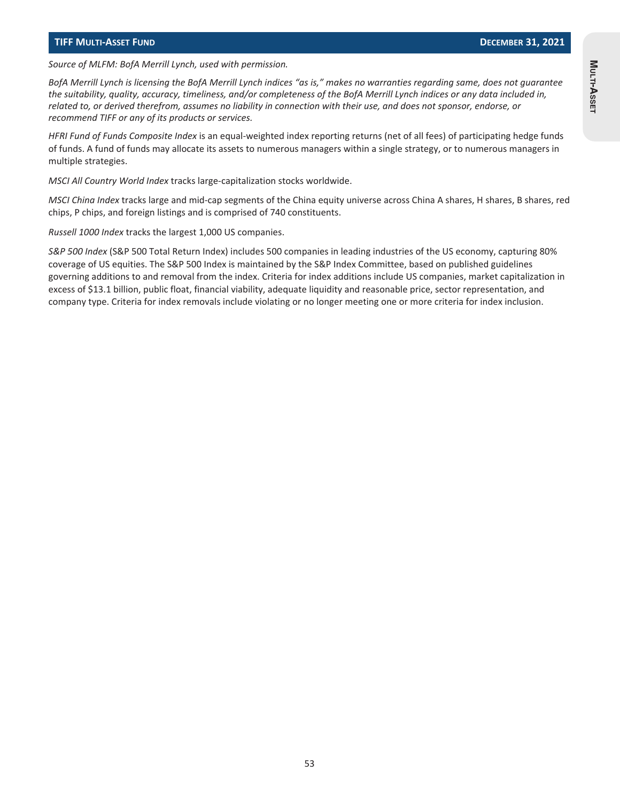*Source of MLFM: BofA Merrill Lynch, used with permission.*

*BofA Merrill Lynch is licensing the BofA Merrill Lynch indices "as is," makes no warranties regarding same, does not guarantee the suitability, quality, accuracy, timeliness, and/or completeness of the BofA Merrill Lynch indices or any data included in, related to, or derived therefrom, assumes no liability in connection with their use, and does not sponsor, endorse, or recommend TIFF or any of its products or services.*

*HFRI Fund of Funds Composite Index* is an equal-weighted index reporting returns (net of all fees) of participating hedge funds of funds. A fund of funds may allocate its assets to numerous managers within a single strategy, or to numerous managers in multiple strategies.

*MSCI All Country World Index* tracks large-capitalization stocks worldwide.

*MSCI China Index* tracks large and mid-cap segments of the China equity universe across China A shares, H shares, B shares, red chips, P chips, and foreign listings and is comprised of 740 constituents.

*Russell 1000 Index* tracks the largest 1,000 US companies.

*S&P 500 Index* (S&P 500 Total Return Index) includes 500 companies in leading industries of the US economy, capturing 80% coverage of US equities. The S&P 500 Index is maintained by the S&P Index Committee, based on published guidelines governing additions to and removal from the index. Criteria for index additions include US companies, market capitalization in excess of \$13.1 billion, public float, financial viability, adequate liquidity and reasonable price, sector representation, and company type. Criteria for index removals include violating or no longer meeting one or more criteria for index inclusion.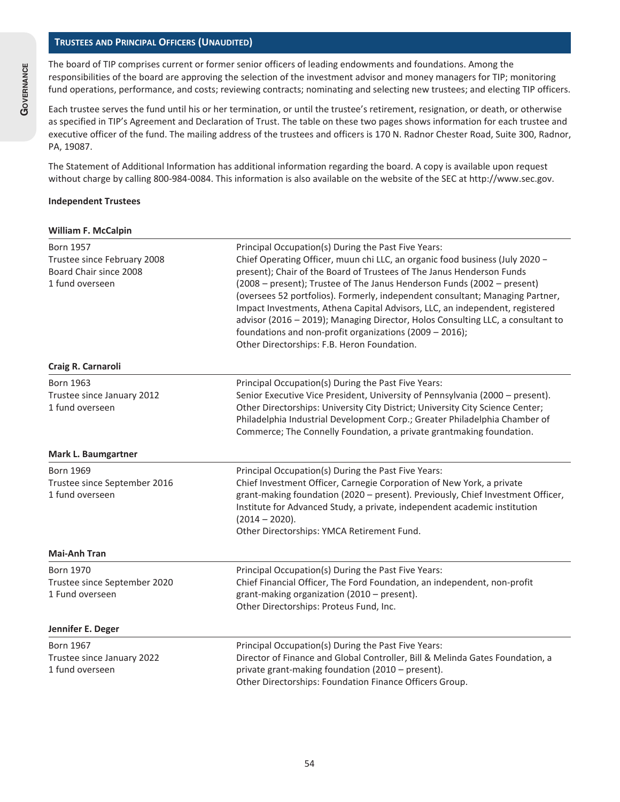#### **TRUSTEES AND PRINCIPAL OFFICERS (UNAUDITED)**

The board of TIP comprises current or former senior officers of leading endowments and foundations. Among the responsibilities of the board are approving the selection of the investment advisor and money managers for TIP; monitoring fund operations, performance, and costs; reviewing contracts; nominating and selecting new trustees; and electing TIP officers.

Each trustee serves the fund until his or her termination, or until the trustee's retirement, resignation, or death, or otherwise as specified in TIP's Agreement and Declaration of Trust. The table on these two pages shows information for each trustee and executive officer of the fund. The mailing address of the trustees and officers is 170 N. Radnor Chester Road, Suite 300, Radnor, PA, 19087.

The Statement of Additional Information has additional information regarding the board. A copy is available upon request without charge by calling 800-984-0084. This information is also available on the website of the SEC at http://www.sec.gov.

#### **Independent Trustees**

#### **William F. McCalpin**

| <b>Born 1957</b><br>Trustee since February 2008<br>Board Chair since 2008<br>1 fund overseen | Principal Occupation(s) During the Past Five Years:<br>Chief Operating Officer, muun chi LLC, an organic food business (July 2020 -<br>present); Chair of the Board of Trustees of The Janus Henderson Funds<br>(2008 – present); Trustee of The Janus Henderson Funds (2002 – present)<br>(oversees 52 portfolios). Formerly, independent consultant; Managing Partner,<br>Impact Investments, Athena Capital Advisors, LLC, an independent, registered<br>advisor (2016 - 2019); Managing Director, Holos Consulting LLC, a consultant to<br>foundations and non-profit organizations (2009 - 2016);<br>Other Directorships: F.B. Heron Foundation. |
|----------------------------------------------------------------------------------------------|-------------------------------------------------------------------------------------------------------------------------------------------------------------------------------------------------------------------------------------------------------------------------------------------------------------------------------------------------------------------------------------------------------------------------------------------------------------------------------------------------------------------------------------------------------------------------------------------------------------------------------------------------------|
| Craig R. Carnaroli                                                                           |                                                                                                                                                                                                                                                                                                                                                                                                                                                                                                                                                                                                                                                       |
| <b>Born 1963</b><br>Trustee since January 2012<br>1 fund overseen                            | Principal Occupation(s) During the Past Five Years:<br>Senior Executive Vice President, University of Pennsylvania (2000 - present).<br>Other Directorships: University City District; University City Science Center;<br>Philadelphia Industrial Development Corp.; Greater Philadelphia Chamber of<br>Commerce; The Connelly Foundation, a private grantmaking foundation.                                                                                                                                                                                                                                                                          |
| Mark L. Baumgartner                                                                          |                                                                                                                                                                                                                                                                                                                                                                                                                                                                                                                                                                                                                                                       |
| <b>Born 1969</b><br>Trustee since September 2016<br>1 fund overseen                          | Principal Occupation(s) During the Past Five Years:<br>Chief Investment Officer, Carnegie Corporation of New York, a private<br>grant-making foundation (2020 - present). Previously, Chief Investment Officer,<br>Institute for Advanced Study, a private, independent academic institution<br>$(2014 - 2020).$<br>Other Directorships: YMCA Retirement Fund.                                                                                                                                                                                                                                                                                        |
| <b>Mai-Anh Tran</b>                                                                          |                                                                                                                                                                                                                                                                                                                                                                                                                                                                                                                                                                                                                                                       |
| <b>Born 1970</b><br>Trustee since September 2020<br>1 Fund overseen                          | Principal Occupation(s) During the Past Five Years:<br>Chief Financial Officer, The Ford Foundation, an independent, non-profit<br>grant-making organization (2010 - present).<br>Other Directorships: Proteus Fund, Inc.                                                                                                                                                                                                                                                                                                                                                                                                                             |
| Jennifer E. Deger                                                                            |                                                                                                                                                                                                                                                                                                                                                                                                                                                                                                                                                                                                                                                       |
| <b>Born 1967</b><br>Trustee since January 2022<br>1 fund overseen                            | Principal Occupation(s) During the Past Five Years:<br>Director of Finance and Global Controller, Bill & Melinda Gates Foundation, a<br>private grant-making foundation (2010 - present).<br>Other Directorships: Foundation Finance Officers Group.                                                                                                                                                                                                                                                                                                                                                                                                  |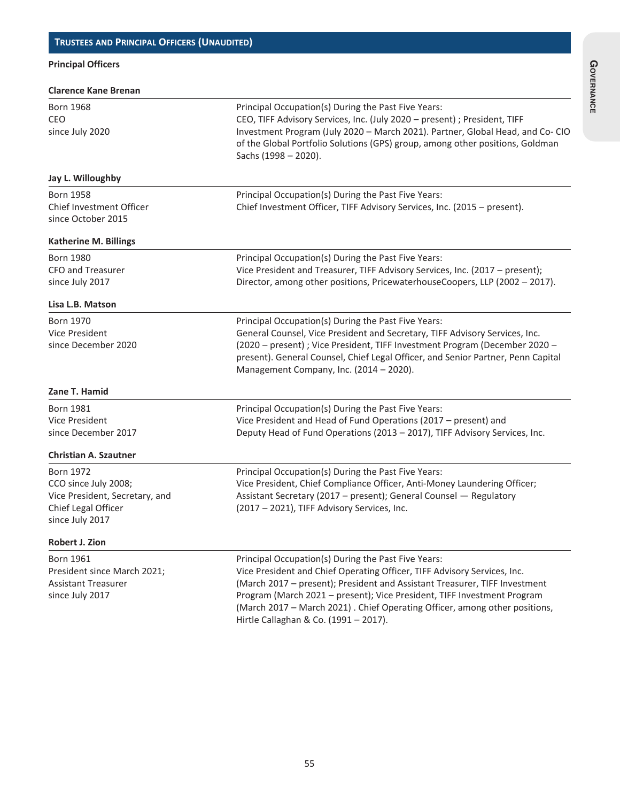# **Principal Officers**

| <b>Clarence Kane Brenan</b>                                                                                          |                                                                                                                                                                                                                                                                                                                                                                                                                 |
|----------------------------------------------------------------------------------------------------------------------|-----------------------------------------------------------------------------------------------------------------------------------------------------------------------------------------------------------------------------------------------------------------------------------------------------------------------------------------------------------------------------------------------------------------|
| <b>Born 1968</b><br>CEO<br>since July 2020                                                                           | Principal Occupation(s) During the Past Five Years:<br>CEO, TIFF Advisory Services, Inc. (July 2020 - present) ; President, TIFF<br>Investment Program (July 2020 - March 2021). Partner, Global Head, and Co-CIO<br>of the Global Portfolio Solutions (GPS) group, among other positions, Goldman<br>Sachs (1998 - 2020).                                                                                      |
| Jay L. Willoughby                                                                                                    |                                                                                                                                                                                                                                                                                                                                                                                                                 |
| <b>Born 1958</b><br>Chief Investment Officer<br>since October 2015                                                   | Principal Occupation(s) During the Past Five Years:<br>Chief Investment Officer, TIFF Advisory Services, Inc. (2015 - present).                                                                                                                                                                                                                                                                                 |
| <b>Katherine M. Billings</b>                                                                                         |                                                                                                                                                                                                                                                                                                                                                                                                                 |
| <b>Born 1980</b><br>CFO and Treasurer<br>since July 2017                                                             | Principal Occupation(s) During the Past Five Years:<br>Vice President and Treasurer, TIFF Advisory Services, Inc. (2017 – present);<br>Director, among other positions, PricewaterhouseCoopers, LLP (2002 - 2017).                                                                                                                                                                                              |
| Lisa L.B. Matson                                                                                                     |                                                                                                                                                                                                                                                                                                                                                                                                                 |
| <b>Born 1970</b><br>Vice President<br>since December 2020                                                            | Principal Occupation(s) During the Past Five Years:<br>General Counsel, Vice President and Secretary, TIFF Advisory Services, Inc.<br>(2020 – present) ; Vice President, TIFF Investment Program (December 2020 –<br>present). General Counsel, Chief Legal Officer, and Senior Partner, Penn Capital<br>Management Company, Inc. (2014 - 2020).                                                                |
| Zane T. Hamid                                                                                                        |                                                                                                                                                                                                                                                                                                                                                                                                                 |
| <b>Born 1981</b><br>Vice President<br>since December 2017                                                            | Principal Occupation(s) During the Past Five Years:<br>Vice President and Head of Fund Operations (2017 - present) and<br>Deputy Head of Fund Operations (2013 - 2017), TIFF Advisory Services, Inc.                                                                                                                                                                                                            |
| <b>Christian A. Szautner</b>                                                                                         |                                                                                                                                                                                                                                                                                                                                                                                                                 |
| <b>Born 1972</b><br>CCO since July 2008;<br>Vice President, Secretary, and<br>Chief Legal Officer<br>since July 2017 | Principal Occupation(s) During the Past Five Years:<br>Vice President, Chief Compliance Officer, Anti-Money Laundering Officer;<br>Assistant Secretary (2017 - present); General Counsel - Regulatory<br>(2017 - 2021), TIFF Advisory Services, Inc.                                                                                                                                                            |
| <b>Robert J. Zion</b>                                                                                                |                                                                                                                                                                                                                                                                                                                                                                                                                 |
| <b>Born 1961</b><br>President since March 2021;<br><b>Assistant Treasurer</b><br>since July 2017                     | Principal Occupation(s) During the Past Five Years:<br>Vice President and Chief Operating Officer, TIFF Advisory Services, Inc.<br>(March 2017 - present); President and Assistant Treasurer, TIFF Investment<br>Program (March 2021 - present); Vice President, TIFF Investment Program<br>(March 2017 - March 2021). Chief Operating Officer, among other positions,<br>Hirtle Callaghan & Co. (1991 - 2017). |